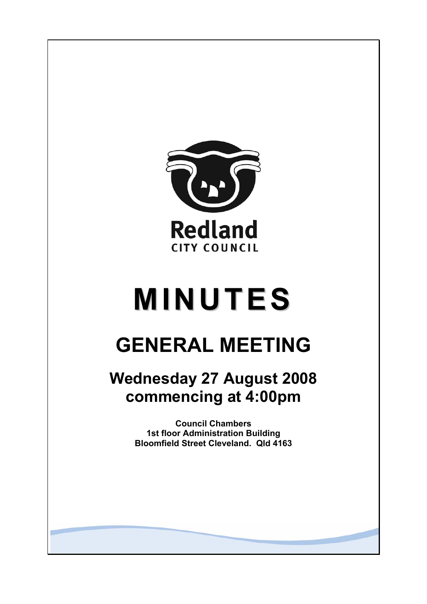

# **MINUTES**

## **GENERAL MEETING**

### **Wednesday 27 August 2008 commencing at 4:00pm**

**Council Chambers 1st floor Administration Building Bloomfield Street Cleveland. Qld 4163**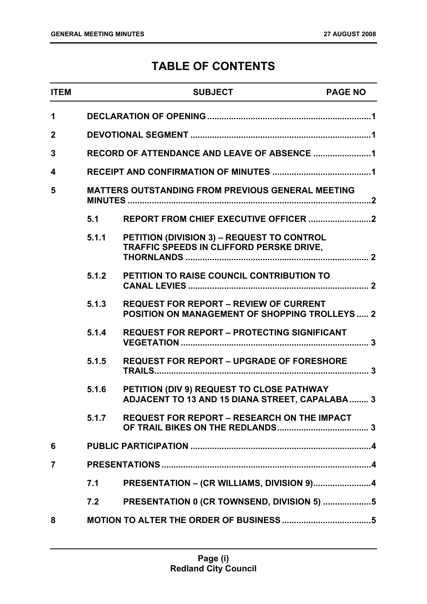### **TABLE OF CONTENTS**

| <b>ITEM</b>  |       | <b>SUBJECT</b>                                                                                         | <b>PAGE NO</b> |
|--------------|-------|--------------------------------------------------------------------------------------------------------|----------------|
| 1            |       |                                                                                                        |                |
| $\mathbf{2}$ |       |                                                                                                        |                |
| 3            |       | RECORD OF ATTENDANCE AND LEAVE OF ABSENCE 1                                                            |                |
| 4            |       |                                                                                                        |                |
| 5            |       | <b>MATTERS OUTSTANDING FROM PREVIOUS GENERAL MEETING</b>                                               |                |
|              | 5.1   |                                                                                                        |                |
|              | 5.1.1 | PETITION (DIVISION 3) - REQUEST TO CONTROL<br>TRAFFIC SPEEDS IN CLIFFORD PERSKE DRIVE,                 |                |
|              | 5.1.2 | PETITION TO RAISE COUNCIL CONTRIBUTION TO                                                              |                |
|              | 5.1.3 | <b>REQUEST FOR REPORT - REVIEW OF CURRENT</b><br><b>POSITION ON MANAGEMENT OF SHOPPING TROLLEYS  2</b> |                |
|              | 5.1.4 | <b>REQUEST FOR REPORT - PROTECTING SIGNIFICANT</b>                                                     |                |
|              | 5.1.5 | <b>REQUEST FOR REPORT - UPGRADE OF FORESHORE</b>                                                       |                |
|              | 5.1.6 | PETITION (DIV 9) REQUEST TO CLOSE PATHWAY<br><b>ADJACENT TO 13 AND 15 DIANA STREET, CAPALABA 3</b>     |                |
|              | 5.1.7 | <b>REQUEST FOR REPORT - RESEARCH ON THE IMPACT</b>                                                     |                |
| 6            |       |                                                                                                        |                |
| 7            |       |                                                                                                        |                |
|              | 7.1   | PRESENTATION - (CR WILLIAMS, DIVISION 9)4                                                              |                |
|              | 7.2   | PRESENTATION 0 (CR TOWNSEND, DIVISION 5) 5                                                             |                |
| 8            |       |                                                                                                        |                |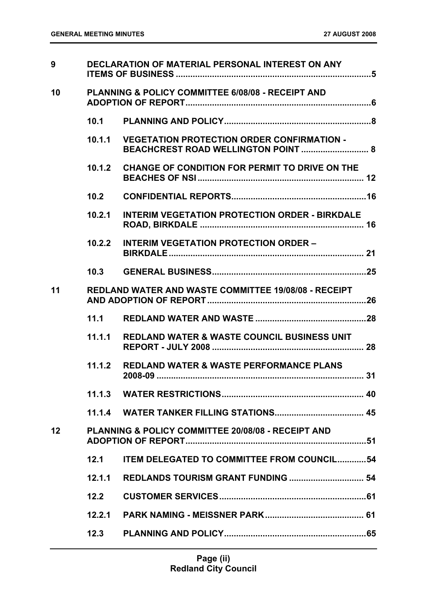| 9               |        | DECLARATION OF MATERIAL PERSONAL INTEREST ON ANY              |
|-----------------|--------|---------------------------------------------------------------|
| 10              |        | <b>PLANNING &amp; POLICY COMMITTEE 6/08/08 - RECEIPT AND</b>  |
|                 |        |                                                               |
|                 | 10.1.1 | <b>VEGETATION PROTECTION ORDER CONFIRMATION -</b>             |
|                 | 10.1.2 | <b>CHANGE OF CONDITION FOR PERMIT TO DRIVE ON THE</b>         |
|                 | 10.2   |                                                               |
|                 | 10.2.1 | <b>INTERIM VEGETATION PROTECTION ORDER - BIRKDALE</b>         |
|                 | 10.2.2 | <b>INTERIM VEGETATION PROTECTION ORDER -</b>                  |
|                 | 10.3   |                                                               |
| 11              |        | <b>REDLAND WATER AND WASTE COMMITTEE 19/08/08 - RECEIPT</b>   |
|                 | 11.1   |                                                               |
|                 | 11.1.1 | <b>REDLAND WATER &amp; WASTE COUNCIL BUSINESS UNIT</b>        |
|                 | 11.1.2 | <b>REDLAND WATER &amp; WASTE PERFORMANCE PLANS</b>            |
|                 |        |                                                               |
|                 |        |                                                               |
| 12 <sub>2</sub> |        | <b>PLANNING &amp; POLICY COMMITTEE 20/08/08 - RECEIPT AND</b> |
|                 | 12.1   | <b>ITEM DELEGATED TO COMMITTEE FROM COUNCIL54</b>             |
|                 | 12.1.1 |                                                               |
|                 | 12.2   |                                                               |
|                 | 12.2.1 |                                                               |
|                 | 12.3   |                                                               |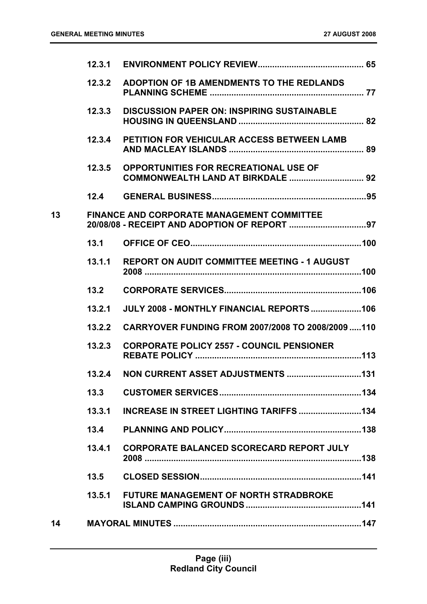|    | 12.3.1 |                                                     |  |
|----|--------|-----------------------------------------------------|--|
|    | 12.3.2 | ADOPTION OF 1B AMENDMENTS TO THE REDLANDS           |  |
|    | 12.3.3 | <b>DISCUSSION PAPER ON: INSPIRING SUSTAINABLE</b>   |  |
|    | 12.3.4 | PETITION FOR VEHICULAR ACCESS BETWEEN LAMB          |  |
|    | 12.3.5 | <b>OPPORTUNITIES FOR RECREATIONAL USE OF</b>        |  |
|    | 12.4   |                                                     |  |
| 13 |        | <b>FINANCE AND CORPORATE MANAGEMENT COMMITTEE</b>   |  |
|    | 13.1   |                                                     |  |
|    | 13.1.1 | <b>REPORT ON AUDIT COMMITTEE MEETING - 1 AUGUST</b> |  |
|    | 13.2   |                                                     |  |
|    | 13.2.1 | JULY 2008 - MONTHLY FINANCIAL REPORTS 106           |  |
|    | 13.2.2 | CARRYOVER FUNDING FROM 2007/2008 TO 2008/2009  110  |  |
|    | 13.2.3 | <b>CORPORATE POLICY 2557 - COUNCIL PENSIONER</b>    |  |
|    | 13.2.4 |                                                     |  |
|    | 13.3   |                                                     |  |
|    | 13.3.1 | <b>INCREASE IN STREET LIGHTING TARIFFS 134</b>      |  |
|    | 13.4   |                                                     |  |
|    | 13.4.1 | <b>CORPORATE BALANCED SCORECARD REPORT JULY</b>     |  |
|    | 13.5   |                                                     |  |
|    | 13.5.1 | <b>FUTURE MANAGEMENT OF NORTH STRADBROKE</b>        |  |
| 14 |        |                                                     |  |
|    |        |                                                     |  |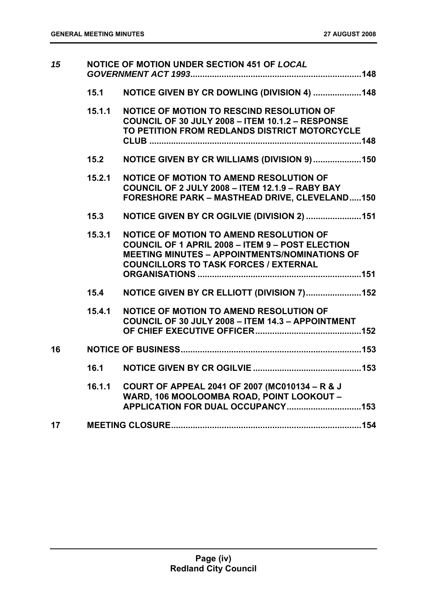| 15 | NOTICE OF MOTION UNDER SECTION 451 OF LOCAL |                                                                                                                                                                                                                   |
|----|---------------------------------------------|-------------------------------------------------------------------------------------------------------------------------------------------------------------------------------------------------------------------|
|    | 15.1                                        | NOTICE GIVEN BY CR DOWLING (DIVISION 4) 148                                                                                                                                                                       |
|    | 15.1.1                                      | NOTICE OF MOTION TO RESCIND RESOLUTION OF<br>COUNCIL OF 30 JULY 2008 - ITEM 10.1.2 - RESPONSE<br>TO PETITION FROM REDLANDS DISTRICT MOTORCYCLE                                                                    |
|    | 15.2                                        | NOTICE GIVEN BY CR WILLIAMS (DIVISION 9)150                                                                                                                                                                       |
|    | 15.2.1                                      | NOTICE OF MOTION TO AMEND RESOLUTION OF<br>COUNCIL OF 2 JULY 2008 - ITEM 12.1.9 - RABY BAY<br><b>FORESHORE PARK - MASTHEAD DRIVE, CLEVELAND150</b>                                                                |
|    | 15.3                                        | NOTICE GIVEN BY CR OGILVIE (DIVISION 2)  151                                                                                                                                                                      |
|    | 15.3.1                                      | <b>NOTICE OF MOTION TO AMEND RESOLUTION OF</b><br><b>COUNCIL OF 1 APRIL 2008 - ITEM 9 - POST ELECTION</b><br><b>MEETING MINUTES - APPOINTMENTS/NOMINATIONS OF</b><br><b>COUNCILLORS TO TASK FORCES / EXTERNAL</b> |
|    | 15.4                                        | NOTICE GIVEN BY CR ELLIOTT (DIVISION 7)152                                                                                                                                                                        |
|    | 15.4.1                                      | NOTICE OF MOTION TO AMEND RESOLUTION OF<br><b>COUNCIL OF 30 JULY 2008 - ITEM 14.3 - APPOINTMENT</b>                                                                                                               |
| 16 |                                             |                                                                                                                                                                                                                   |
|    | 16.1                                        |                                                                                                                                                                                                                   |
|    | 16.1.1                                      | COURT OF APPEAL 2041 OF 2007 (MC010134 - R & J<br>WARD, 106 MOOLOOMBA ROAD, POINT LOOKOUT -                                                                                                                       |
| 17 |                                             |                                                                                                                                                                                                                   |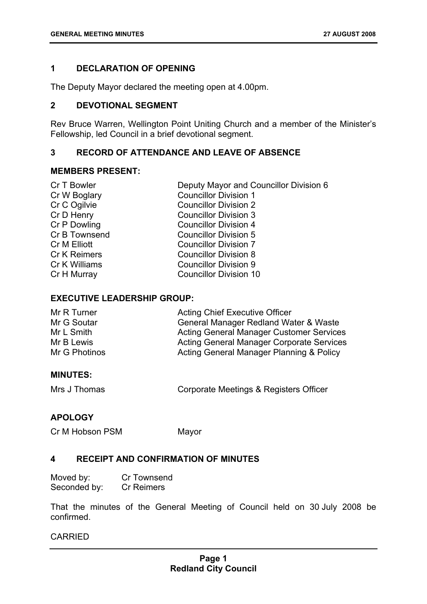#### **1 DECLARATION OF OPENING**

The Deputy Mayor declared the meeting open at 4.00pm.

#### **2 DEVOTIONAL SEGMENT**

Rev Bruce Warren, Wellington Point Uniting Church and a member of the Minister's Fellowship, led Council in a brief devotional segment.

#### **3 RECORD OF ATTENDANCE AND LEAVE OF ABSENCE**

#### **MEMBERS PRESENT:**

| Cr T Bowler         | Deputy Mayor and Councillor Division 6 |
|---------------------|----------------------------------------|
| Cr W Boglary        | <b>Councillor Division 1</b>           |
| Cr C Ogilvie        | <b>Councillor Division 2</b>           |
| Cr D Henry          | <b>Councillor Division 3</b>           |
| Cr P Dowling        | <b>Councillor Division 4</b>           |
| Cr B Townsend       | <b>Councillor Division 5</b>           |
| Cr M Elliott        | <b>Councillor Division 7</b>           |
| <b>Cr K Reimers</b> | <b>Councillor Division 8</b>           |
| Cr K Williams       | <b>Councillor Division 9</b>           |
| Cr H Murray         | <b>Councillor Division 10</b>          |
|                     |                                        |

#### **EXECUTIVE LEADERSHIP GROUP:**

| Mr R Turner   | <b>Acting Chief Executive Officer</b>            |
|---------------|--------------------------------------------------|
| Mr G Soutar   | General Manager Redland Water & Waste            |
| Mr L Smith    | <b>Acting General Manager Customer Services</b>  |
| Mr B Lewis    | <b>Acting General Manager Corporate Services</b> |
| Mr G Photinos | Acting General Manager Planning & Policy         |

#### **MINUTES:**

| Mrs J Thomas | Corporate Meetings & Registers Officer |
|--------------|----------------------------------------|
|--------------|----------------------------------------|

#### **APOLOGY**

Cr M Hobson PSM Mayor

#### **4 RECEIPT AND CONFIRMATION OF MINUTES**

| Moved by:    | Cr Townsend       |
|--------------|-------------------|
| Seconded by: | <b>Cr Reimers</b> |

That the minutes of the General Meeting of Council held on 30 July 2008 be confirmed.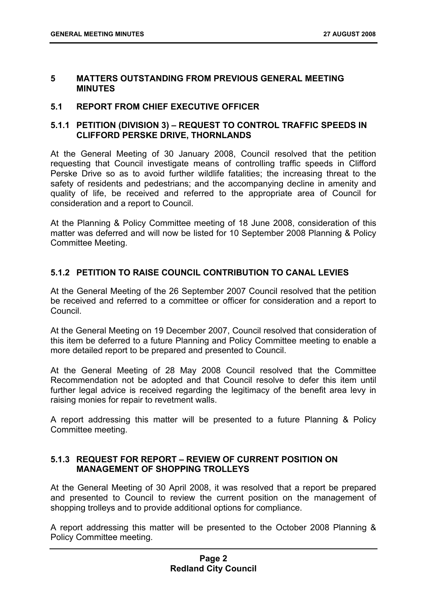#### **5 MATTERS OUTSTANDING FROM PREVIOUS GENERAL MEETING MINUTES**

#### **5.1 REPORT FROM CHIEF EXECUTIVE OFFICER**

#### **5.1.1 PETITION (DIVISION 3) – REQUEST TO CONTROL TRAFFIC SPEEDS IN CLIFFORD PERSKE DRIVE, THORNLANDS**

At the General Meeting of 30 January 2008, Council resolved that the petition requesting that Council investigate means of controlling traffic speeds in Clifford Perske Drive so as to avoid further wildlife fatalities; the increasing threat to the safety of residents and pedestrians; and the accompanying decline in amenity and quality of life, be received and referred to the appropriate area of Council for consideration and a report to Council.

At the Planning & Policy Committee meeting of 18 June 2008, consideration of this matter was deferred and will now be listed for 10 September 2008 Planning & Policy Committee Meeting.

#### **5.1.2 PETITION TO RAISE COUNCIL CONTRIBUTION TO CANAL LEVIES**

At the General Meeting of the 26 September 2007 Council resolved that the petition be received and referred to a committee or officer for consideration and a report to Council.

At the General Meeting on 19 December 2007, Council resolved that consideration of this item be deferred to a future Planning and Policy Committee meeting to enable a more detailed report to be prepared and presented to Council.

At the General Meeting of 28 May 2008 Council resolved that the Committee Recommendation not be adopted and that Council resolve to defer this item until further legal advice is received regarding the legitimacy of the benefit area levy in raising monies for repair to revetment walls.

A report addressing this matter will be presented to a future Planning & Policy Committee meeting.

#### **5.1.3 REQUEST FOR REPORT – REVIEW OF CURRENT POSITION ON MANAGEMENT OF SHOPPING TROLLEYS**

At the General Meeting of 30 April 2008, it was resolved that a report be prepared and presented to Council to review the current position on the management of shopping trolleys and to provide additional options for compliance.

A report addressing this matter will be presented to the October 2008 Planning & Policy Committee meeting.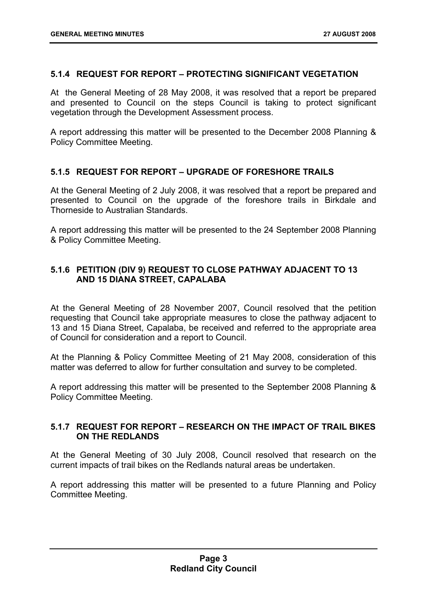#### **5.1.4 REQUEST FOR REPORT – PROTECTING SIGNIFICANT VEGETATION**

At the General Meeting of 28 May 2008, it was resolved that a report be prepared and presented to Council on the steps Council is taking to protect significant vegetation through the Development Assessment process.

A report addressing this matter will be presented to the December 2008 Planning & Policy Committee Meeting.

#### **5.1.5 REQUEST FOR REPORT – UPGRADE OF FORESHORE TRAILS**

At the General Meeting of 2 July 2008, it was resolved that a report be prepared and presented to Council on the upgrade of the foreshore trails in Birkdale and Thorneside to Australian Standards.

A report addressing this matter will be presented to the 24 September 2008 Planning & Policy Committee Meeting.

#### **5.1.6 PETITION (DIV 9) REQUEST TO CLOSE PATHWAY ADJACENT TO 13 AND 15 DIANA STREET, CAPALABA**

At the General Meeting of 28 November 2007, Council resolved that the petition requesting that Council take appropriate measures to close the pathway adjacent to 13 and 15 Diana Street, Capalaba, be received and referred to the appropriate area of Council for consideration and a report to Council.

At the Planning & Policy Committee Meeting of 21 May 2008, consideration of this matter was deferred to allow for further consultation and survey to be completed.

A report addressing this matter will be presented to the September 2008 Planning & Policy Committee Meeting.

#### **5.1.7 REQUEST FOR REPORT – RESEARCH ON THE IMPACT OF TRAIL BIKES ON THE REDLANDS**

At the General Meeting of 30 July 2008, Council resolved that research on the current impacts of trail bikes on the Redlands natural areas be undertaken.

A report addressing this matter will be presented to a future Planning and Policy Committee Meeting.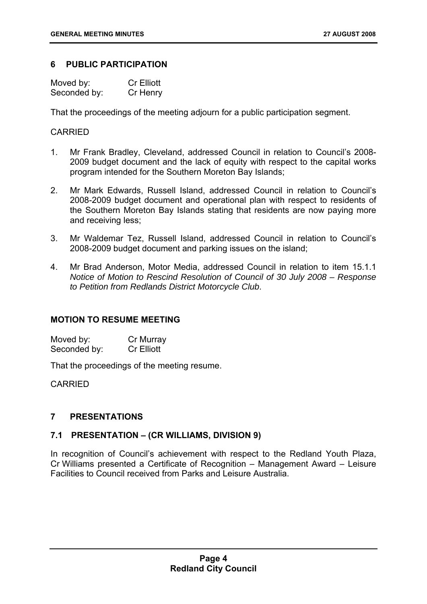#### **6 PUBLIC PARTICIPATION**

| Moved by:    | <b>Cr Elliott</b> |
|--------------|-------------------|
| Seconded by: | Cr Henry          |

That the proceedings of the meeting adjourn for a public participation segment.

#### CARRIED

- 1. Mr Frank Bradley, Cleveland, addressed Council in relation to Council's 2008- 2009 budget document and the lack of equity with respect to the capital works program intended for the Southern Moreton Bay Islands;
- 2. Mr Mark Edwards, Russell Island, addressed Council in relation to Council's 2008-2009 budget document and operational plan with respect to residents of the Southern Moreton Bay Islands stating that residents are now paying more and receiving less;
- 3. Mr Waldemar Tez, Russell Island, addressed Council in relation to Council's 2008-2009 budget document and parking issues on the island;
- 4. Mr Brad Anderson, Motor Media, addressed Council in relation to item 15.1.1 *Notice of Motion to Rescind Resolution of Council of 30 July 2008 – Response to Petition from Redlands District Motorcycle Club*.

#### **MOTION TO RESUME MEETING**

Moved by: Cr Murray<br>
Seconded by: Cr Elliott Seconded by:

That the proceedings of the meeting resume.

CARRIED

#### **7 PRESENTATIONS**

#### **7.1 PRESENTATION – (CR WILLIAMS, DIVISION 9)**

In recognition of Council's achievement with respect to the Redland Youth Plaza, Cr Williams presented a Certificate of Recognition – Management Award – Leisure Facilities to Council received from Parks and Leisure Australia.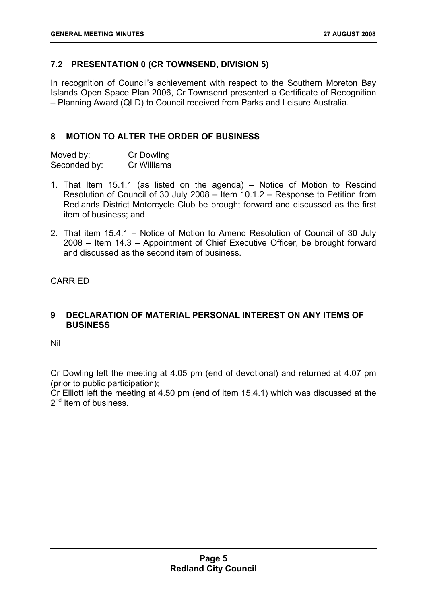#### **7.2 PRESENTATION 0 (CR TOWNSEND, DIVISION 5)**

In recognition of Council's achievement with respect to the Southern Moreton Bay Islands Open Space Plan 2006, Cr Townsend presented a Certificate of Recognition – Planning Award (QLD) to Council received from Parks and Leisure Australia.

#### **8 MOTION TO ALTER THE ORDER OF BUSINESS**

| Moved by:    | Cr Dowling  |
|--------------|-------------|
| Seconded by: | Cr Williams |

- 1. That Item 15.1.1 (as listed on the agenda) Notice of Motion to Rescind Resolution of Council of 30 July 2008 – Item 10.1.2 – Response to Petition from Redlands District Motorcycle Club be brought forward and discussed as the first item of business; and
- 2. That item 15.4.1 Notice of Motion to Amend Resolution of Council of 30 July 2008 – Item 14.3 – Appointment of Chief Executive Officer, be brought forward and discussed as the second item of business.

CARRIED

#### **9 DECLARATION OF MATERIAL PERSONAL INTEREST ON ANY ITEMS OF BUSINESS**

Nil

Cr Dowling left the meeting at 4.05 pm (end of devotional) and returned at 4.07 pm (prior to public participation);

Cr Elliott left the meeting at 4.50 pm (end of item 15.4.1) which was discussed at the 2<sup>nd</sup> item of business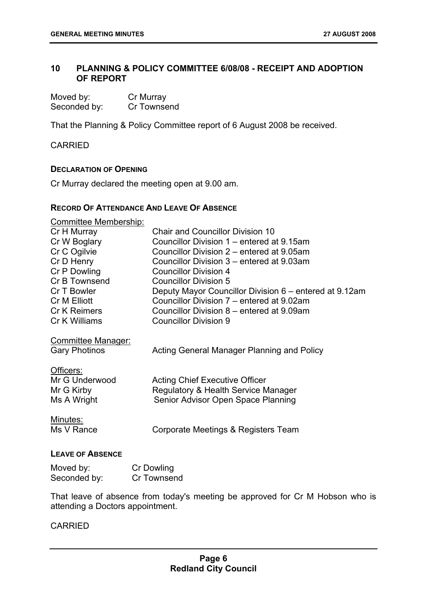#### **10 PLANNING & POLICY COMMITTEE 6/08/08 - RECEIPT AND ADOPTION OF REPORT**

| Moved by:    | Cr Murray   |
|--------------|-------------|
| Seconded by: | Cr Townsend |

That the Planning & Policy Committee report of 6 August 2008 be received.

CARRIED

#### **DECLARATION OF OPENING**

Cr Murray declared the meeting open at 9.00 am.

#### **RECORD OF ATTENDANCE AND LEAVE OF ABSENCE**

| <b>Committee Membership:</b>                      |                                                        |
|---------------------------------------------------|--------------------------------------------------------|
| Cr H Murray                                       | <b>Chair and Councillor Division 10</b>                |
| Cr W Boglary                                      | Councillor Division 1 – entered at 9.15am              |
| Cr C Ogilvie                                      | Councillor Division 2 – entered at 9.05am              |
| Cr D Henry                                        | Councillor Division 3 – entered at 9.03am              |
| Cr P Dowling                                      | <b>Councillor Division 4</b>                           |
| Cr B Townsend                                     | <b>Councillor Division 5</b>                           |
| Cr T Bowler                                       | Deputy Mayor Councillor Division 6 – entered at 9.12am |
| Cr M Elliott                                      | Councillor Division 7 – entered at 9.02am              |
| Cr K Reimers                                      | Councillor Division 8 – entered at 9.09am              |
| Cr K Williams                                     | <b>Councillor Division 9</b>                           |
| <b>Committee Manager:</b><br><b>Gary Photinos</b> | Acting General Manager Planning and Policy             |
| Officers:                                         |                                                        |
| Mr G Underwood                                    | <b>Acting Chief Executive Officer</b>                  |
| Mr G Kirby                                        | Regulatory & Health Service Manager                    |
| Ms A Wright                                       | Senior Advisor Open Space Planning                     |
|                                                   |                                                        |
| Minutes:                                          |                                                        |
| Ms V Rance                                        | Corporate Meetings & Registers Team                    |
|                                                   |                                                        |
|                                                   |                                                        |

#### **LEAVE OF ABSENCE**

| Moved by:    | Cr Dowling  |
|--------------|-------------|
| Seconded by: | Cr Townsend |

That leave of absence from today's meeting be approved for Cr M Hobson who is attending a Doctors appointment.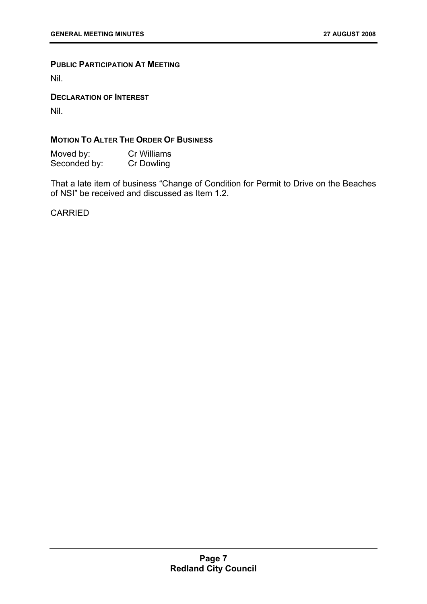#### **PUBLIC PARTICIPATION AT MEETING**

Nil.

**DECLARATION OF INTEREST**

Nil.

#### **MOTION TO ALTER THE ORDER OF BUSINESS**

Moved by: Cr Williams Seconded by: Cr Dowling

That a late item of business "Change of Condition for Permit to Drive on the Beaches of NSI" be received and discussed as Item 1.2.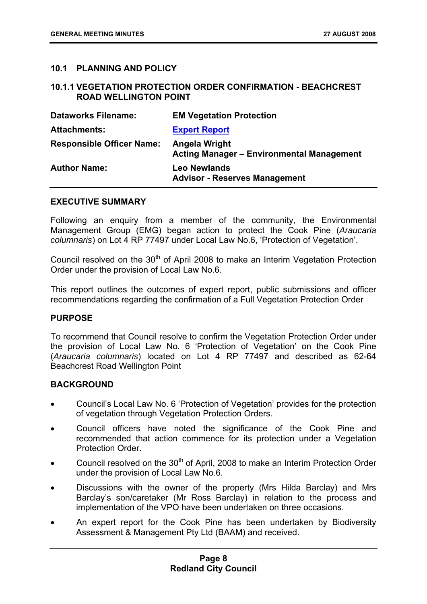#### **10.1 PLANNING AND POLICY**

#### **10.1.1 VEGETATION PROTECTION ORDER CONFIRMATION - BEACHCREST ROAD WELLINGTON POINT**

| <b>Dataworks Filename:</b>       | <b>EM Vegetation Protection</b>                                   |
|----------------------------------|-------------------------------------------------------------------|
| <b>Attachments:</b>              | <b>Expert Report</b>                                              |
| <b>Responsible Officer Name:</b> | Angela Wright<br><b>Acting Manager - Environmental Management</b> |
| <b>Author Name:</b>              | <b>Leo Newlands</b><br><b>Advisor - Reserves Management</b>       |

#### **EXECUTIVE SUMMARY**

Following an enquiry from a member of the community, the Environmental Management Group (EMG) began action to protect the Cook Pine (*Araucaria columnaris*) on Lot 4 RP 77497 under Local Law No.6, 'Protection of Vegetation'.

Council resolved on the 30<sup>th</sup> of April 2008 to make an Interim Vegetation Protection Order under the provision of Local Law No.6.

This report outlines the outcomes of expert report, public submissions and officer recommendations regarding the confirmation of a Full Vegetation Protection Order

#### **PURPOSE**

To recommend that Council resolve to confirm the Vegetation Protection Order under the provision of Local Law No. 6 'Protection of Vegetation' on the Cook Pine (*Araucaria columnaris*) located on Lot 4 RP 77497 and described as 62-64 Beachcrest Road Wellington Point

#### **BACKGROUND**

- Council's Local Law No. 6 'Protection of Vegetation' provides for the protection of vegetation through Vegetation Protection Orders.
- Council officers have noted the significance of the Cook Pine and recommended that action commence for its protection under a Vegetation Protection Order.
- Council resolved on the 30<sup>th</sup> of April, 2008 to make an Interim Protection Order under the provision of Local Law No.6.
- Discussions with the owner of the property (Mrs Hilda Barclay) and Mrs Barclay's son/caretaker (Mr Ross Barclay) in relation to the process and implementation of the VPO have been undertaken on three occasions.
- An expert report for the Cook Pine has been undertaken by Biodiversity Assessment & Management Pty Ltd (BAAM) and received.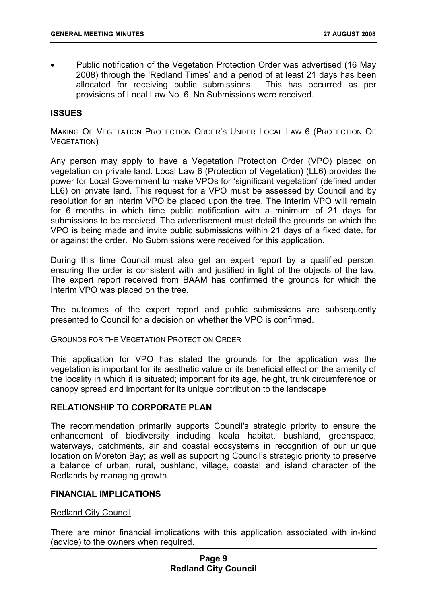• Public notification of the Vegetation Protection Order was advertised (16 May 2008) through the 'Redland Times' and a period of at least 21 days has been allocated for receiving public submissions. This has occurred as per provisions of Local Law No. 6. No Submissions were received.

#### **ISSUES**

MAKING OF VEGETATION PROTECTION ORDER'S UNDER LOCAL LAW 6 (PROTECTION OF VEGETATION)

Any person may apply to have a Vegetation Protection Order (VPO) placed on vegetation on private land. Local Law 6 (Protection of Vegetation) (LL6) provides the power for Local Government to make VPOs for 'significant vegetation' (defined under LL6) on private land. This request for a VPO must be assessed by Council and by resolution for an interim VPO be placed upon the tree. The Interim VPO will remain for 6 months in which time public notification with a minimum of 21 days for submissions to be received. The advertisement must detail the grounds on which the VPO is being made and invite public submissions within 21 days of a fixed date, for or against the order. No Submissions were received for this application.

During this time Council must also get an expert report by a qualified person, ensuring the order is consistent with and justified in light of the objects of the law. The expert report received from BAAM has confirmed the grounds for which the Interim VPO was placed on the tree.

The outcomes of the expert report and public submissions are subsequently presented to Council for a decision on whether the VPO is confirmed.

GROUNDS FOR THE VEGETATION PROTECTION ORDER

This application for VPO has stated the grounds for the application was the vegetation is important for its aesthetic value or its beneficial effect on the amenity of the locality in which it is situated; important for its age, height, trunk circumference or canopy spread and important for its unique contribution to the landscape

#### **RELATIONSHIP TO CORPORATE PLAN**

The recommendation primarily supports Council's strategic priority to ensure the enhancement of biodiversity including koala habitat, bushland, greenspace, waterways, catchments, air and coastal ecosystems in recognition of our unique location on Moreton Bay; as well as supporting Council's strategic priority to preserve a balance of urban, rural, bushland, village, coastal and island character of the Redlands by managing growth.

#### **FINANCIAL IMPLICATIONS**

#### Redland City Council

There are minor financial implications with this application associated with in-kind (advice) to the owners when required.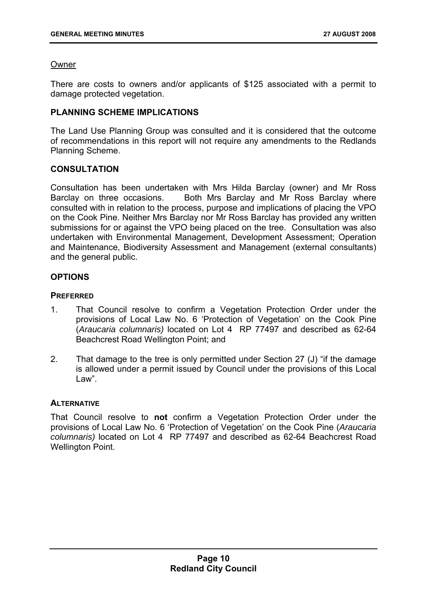#### Owner

There are costs to owners and/or applicants of \$125 associated with a permit to damage protected vegetation.

#### **PLANNING SCHEME IMPLICATIONS**

The Land Use Planning Group was consulted and it is considered that the outcome of recommendations in this report will not require any amendments to the Redlands Planning Scheme.

#### **CONSULTATION**

Consultation has been undertaken with Mrs Hilda Barclay (owner) and Mr Ross Barclay on three occasions. Both Mrs Barclay and Mr Ross Barclay where consulted with in relation to the process, purpose and implications of placing the VPO on the Cook Pine. Neither Mrs Barclay nor Mr Ross Barclay has provided any written submissions for or against the VPO being placed on the tree. Consultation was also undertaken with Environmental Management, Development Assessment; Operation and Maintenance, Biodiversity Assessment and Management (external consultants) and the general public.

#### **OPTIONS**

#### **PREFERRED**

- 1. That Council resolve to confirm a Vegetation Protection Order under the provisions of Local Law No. 6 'Protection of Vegetation' on the Cook Pine (*Araucaria columnaris)* located on Lot 4 RP 77497 and described as 62-64 Beachcrest Road Wellington Point; and
- 2. That damage to the tree is only permitted under Section 27 (J) "if the damage is allowed under a permit issued by Council under the provisions of this Local Law".

#### **ALTERNATIVE**

That Council resolve to **not** confirm a Vegetation Protection Order under the provisions of Local Law No. 6 'Protection of Vegetation' on the Cook Pine (*Araucaria columnaris)* located on Lot 4 RP 77497 and described as 62-64 Beachcrest Road Wellington Point.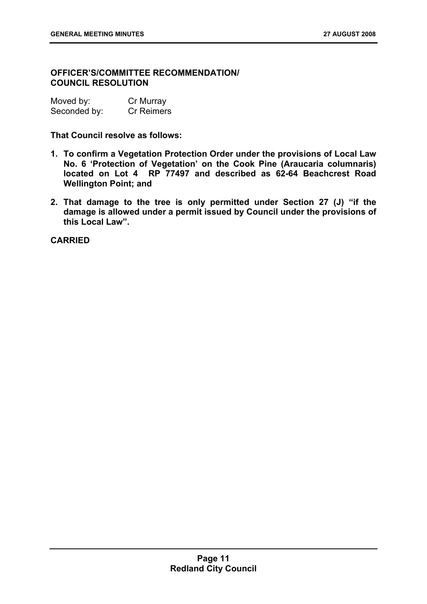#### **OFFICER'S/COMMITTEE RECOMMENDATION/ COUNCIL RESOLUTION**

| Moved by:    | Cr Murray         |
|--------------|-------------------|
| Seconded by: | <b>Cr Reimers</b> |

**That Council resolve as follows:** 

- **1. To confirm a Vegetation Protection Order under the provisions of Local Law No. 6 'Protection of Vegetation' on the Cook Pine (Araucaria columnaris) located on Lot 4 RP 77497 and described as 62-64 Beachcrest Road Wellington Point; and**
- **2. That damage to the tree is only permitted under Section 27 (J) "if the damage is allowed under a permit issued by Council under the provisions of this Local Law".**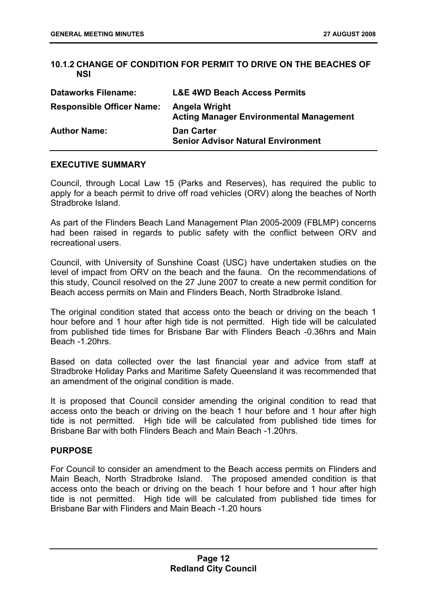#### **10.1.2 CHANGE OF CONDITION FOR PERMIT TO DRIVE ON THE BEACHES OF NSI**

| <b>Dataworks Filename:</b>       | <b>L&amp;E 4WD Beach Access Permits</b>                         |
|----------------------------------|-----------------------------------------------------------------|
| <b>Responsible Officer Name:</b> | Angela Wright<br><b>Acting Manager Environmental Management</b> |
| <b>Author Name:</b>              | <b>Dan Carter</b><br><b>Senior Advisor Natural Environment</b>  |

#### **EXECUTIVE SUMMARY**

Council, through Local Law 15 (Parks and Reserves), has required the public to apply for a beach permit to drive off road vehicles (ORV) along the beaches of North Stradbroke Island.

As part of the Flinders Beach Land Management Plan 2005-2009 (FBLMP) concerns had been raised in regards to public safety with the conflict between ORV and recreational users.

Council, with University of Sunshine Coast (USC) have undertaken studies on the level of impact from ORV on the beach and the fauna. On the recommendations of this study, Council resolved on the 27 June 2007 to create a new permit condition for Beach access permits on Main and Flinders Beach, North Stradbroke Island.

The original condition stated that access onto the beach or driving on the beach 1 hour before and 1 hour after high tide is not permitted. High tide will be calculated from published tide times for Brisbane Bar with Flinders Beach -0.36hrs and Main Beach -1.20hrs.

Based on data collected over the last financial year and advice from staff at Stradbroke Holiday Parks and Maritime Safety Queensland it was recommended that an amendment of the original condition is made.

It is proposed that Council consider amending the original condition to read that access onto the beach or driving on the beach 1 hour before and 1 hour after high tide is not permitted. High tide will be calculated from published tide times for Brisbane Bar with both Flinders Beach and Main Beach -1.20hrs.

#### **PURPOSE**

For Council to consider an amendment to the Beach access permits on Flinders and Main Beach, North Stradbroke Island. The proposed amended condition is that access onto the beach or driving on the beach 1 hour before and 1 hour after high tide is not permitted. High tide will be calculated from published tide times for Brisbane Bar with Flinders and Main Beach -1.20 hours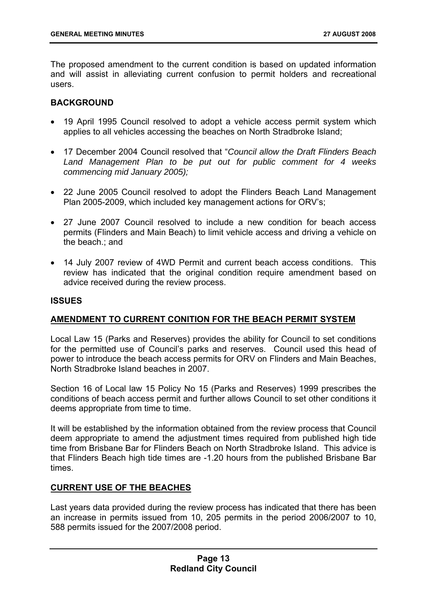The proposed amendment to the current condition is based on updated information and will assist in alleviating current confusion to permit holders and recreational users.

#### **BACKGROUND**

- 19 April 1995 Council resolved to adopt a vehicle access permit system which applies to all vehicles accessing the beaches on North Stradbroke Island;
- 17 December 2004 Council resolved that "*Council allow the Draft Flinders Beach Land Management Plan to be put out for public comment for 4 weeks commencing mid January 2005);*
- 22 June 2005 Council resolved to adopt the Flinders Beach Land Management Plan 2005-2009, which included key management actions for ORV's;
- 27 June 2007 Council resolved to include a new condition for beach access permits (Flinders and Main Beach) to limit vehicle access and driving a vehicle on the beach.; and
- 14 July 2007 review of 4WD Permit and current beach access conditions. This review has indicated that the original condition require amendment based on advice received during the review process.

#### **ISSUES**

#### **AMENDMENT TO CURRENT CONITION FOR THE BEACH PERMIT SYSTEM**

Local Law 15 (Parks and Reserves) provides the ability for Council to set conditions for the permitted use of Council's parks and reserves. Council used this head of power to introduce the beach access permits for ORV on Flinders and Main Beaches, North Stradbroke Island beaches in 2007.

Section 16 of Local law 15 Policy No 15 (Parks and Reserves) 1999 prescribes the conditions of beach access permit and further allows Council to set other conditions it deems appropriate from time to time.

It will be established by the information obtained from the review process that Council deem appropriate to amend the adjustment times required from published high tide time from Brisbane Bar for Flinders Beach on North Stradbroke Island. This advice is that Flinders Beach high tide times are -1.20 hours from the published Brisbane Bar times.

#### **CURRENT USE OF THE BEACHES**

Last years data provided during the review process has indicated that there has been an increase in permits issued from 10, 205 permits in the period 2006/2007 to 10, 588 permits issued for the 2007/2008 period.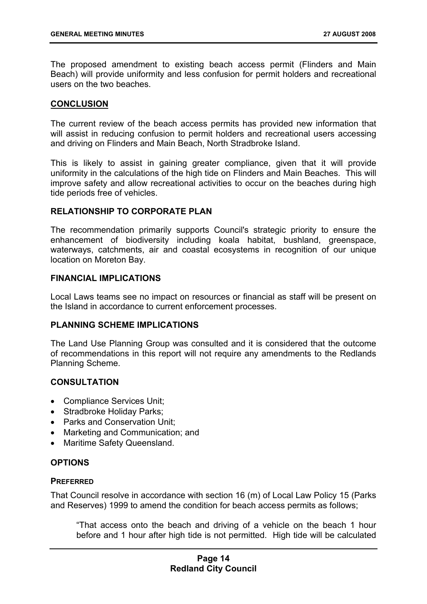The proposed amendment to existing beach access permit (Flinders and Main Beach) will provide uniformity and less confusion for permit holders and recreational users on the two beaches.

#### **CONCLUSION**

The current review of the beach access permits has provided new information that will assist in reducing confusion to permit holders and recreational users accessing and driving on Flinders and Main Beach, North Stradbroke Island.

This is likely to assist in gaining greater compliance, given that it will provide uniformity in the calculations of the high tide on Flinders and Main Beaches. This will improve safety and allow recreational activities to occur on the beaches during high tide periods free of vehicles.

#### **RELATIONSHIP TO CORPORATE PLAN**

The recommendation primarily supports Council's strategic priority to ensure the enhancement of biodiversity including koala habitat, bushland, greenspace, waterways, catchments, air and coastal ecosystems in recognition of our unique location on Moreton Bay.

#### **FINANCIAL IMPLICATIONS**

Local Laws teams see no impact on resources or financial as staff will be present on the Island in accordance to current enforcement processes.

#### **PI ANNING SCHEME IMPLICATIONS**

The Land Use Planning Group was consulted and it is considered that the outcome of recommendations in this report will not require any amendments to the Redlands Planning Scheme.

#### **CONSULTATION**

- Compliance Services Unit;
- Stradbroke Holiday Parks;
- Parks and Conservation Unit:
- Marketing and Communication; and
- Maritime Safety Queensland.

#### **OPTIONS**

#### **PREFERRED**

That Council resolve in accordance with section 16 (m) of Local Law Policy 15 (Parks and Reserves) 1999 to amend the condition for beach access permits as follows;

"That access onto the beach and driving of a vehicle on the beach 1 hour before and 1 hour after high tide is not permitted. High tide will be calculated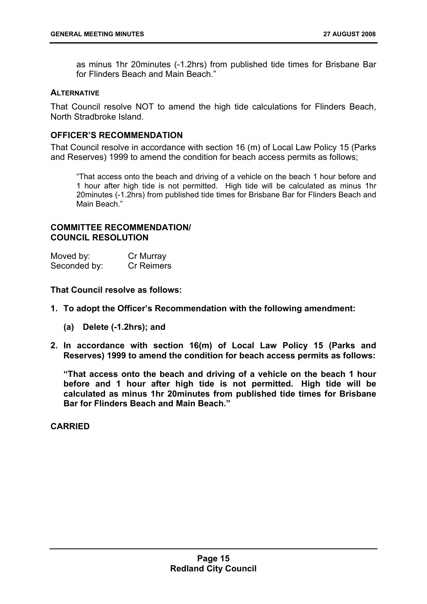as minus 1hr 20minutes (-1.2hrs) from published tide times for Brisbane Bar for Flinders Beach and Main Beach."

#### **ALTERNATIVE**

That Council resolve NOT to amend the high tide calculations for Flinders Beach, North Stradbroke Island.

#### **OFFICER'S RECOMMENDATION**

That Council resolve in accordance with section 16 (m) of Local Law Policy 15 (Parks and Reserves) 1999 to amend the condition for beach access permits as follows;

"That access onto the beach and driving of a vehicle on the beach 1 hour before and 1 hour after high tide is not permitted. High tide will be calculated as minus 1hr 20minutes (-1.2hrs) from published tide times for Brisbane Bar for Flinders Beach and Main Beach."

#### **COMMITTEE RECOMMENDATION/ COUNCIL RESOLUTION**

| Moved by:    | Cr Murray  |
|--------------|------------|
| Seconded by: | Cr Reimers |

**That Council resolve as follows:** 

- **1. To adopt the Officer's Recommendation with the following amendment:** 
	- **(a) Delete (-1.2hrs); and**
- **2. In accordance with section 16(m) of Local Law Policy 15 (Parks and Reserves) 1999 to amend the condition for beach access permits as follows:**

**"That access onto the beach and driving of a vehicle on the beach 1 hour before and 1 hour after high tide is not permitted. High tide will be calculated as minus 1hr 20minutes from published tide times for Brisbane Bar for Flinders Beach and Main Beach."**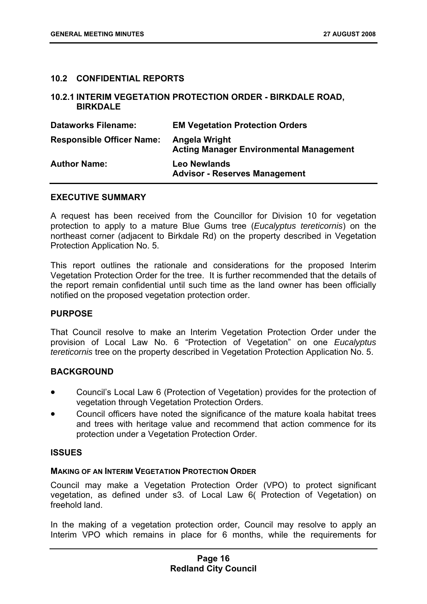#### **10.2 CONFIDENTIAL REPORTS**

#### **10.2.1 INTERIM VEGETATION PROTECTION ORDER - BIRKDALE ROAD, BIRKDALE**

| <b>Dataworks Filename:</b>       | <b>EM Vegetation Protection Orders</b>                          |
|----------------------------------|-----------------------------------------------------------------|
| <b>Responsible Officer Name:</b> | Angela Wright<br><b>Acting Manager Environmental Management</b> |
| <b>Author Name:</b>              | <b>Leo Newlands</b><br><b>Advisor - Reserves Management</b>     |

#### **EXECUTIVE SUMMARY**

A request has been received from the Councillor for Division 10 for vegetation protection to apply to a mature Blue Gums tree (*Eucalyptus tereticornis*) on the northeast corner (adjacent to Birkdale Rd) on the property described in Vegetation Protection Application No. 5.

This report outlines the rationale and considerations for the proposed Interim Vegetation Protection Order for the tree. It is further recommended that the details of the report remain confidential until such time as the land owner has been officially notified on the proposed vegetation protection order.

#### **PURPOSE**

That Council resolve to make an Interim Vegetation Protection Order under the provision of Local Law No. 6 "Protection of Vegetation" on one *Eucalyptus tereticornis* tree on the property described in Vegetation Protection Application No. 5.

#### **BACKGROUND**

- Council's Local Law 6 (Protection of Vegetation) provides for the protection of vegetation through Vegetation Protection Orders.
- Council officers have noted the significance of the mature koala habitat trees and trees with heritage value and recommend that action commence for its protection under a Vegetation Protection Order.

#### **ISSUES**

#### **MAKING OF AN INTERIM VEGETATION PROTECTION ORDER**

Council may make a Vegetation Protection Order (VPO) to protect significant vegetation, as defined under s3. of Local Law 6( Protection of Vegetation) on freehold land.

In the making of a vegetation protection order, Council may resolve to apply an Interim VPO which remains in place for 6 months, while the requirements for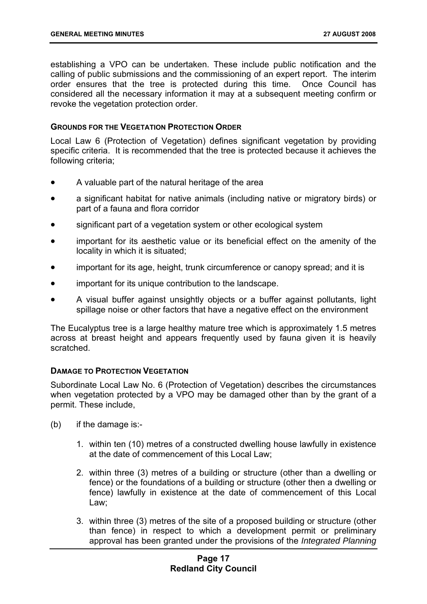establishing a VPO can be undertaken. These include public notification and the calling of public submissions and the commissioning of an expert report. The interim order ensures that the tree is protected during this time. Once Council has considered all the necessary information it may at a subsequent meeting confirm or revoke the vegetation protection order.

#### **GROUNDS FOR THE VEGETATION PROTECTION ORDER**

Local Law 6 (Protection of Vegetation) defines significant vegetation by providing specific criteria. It is recommended that the tree is protected because it achieves the following criteria;

- A valuable part of the natural heritage of the area
- a significant habitat for native animals (including native or migratory birds) or part of a fauna and flora corridor
- significant part of a vegetation system or other ecological system
- important for its aesthetic value or its beneficial effect on the amenity of the locality in which it is situated;
- important for its age, height, trunk circumference or canopy spread; and it is
- important for its unique contribution to the landscape.
- A visual buffer against unsightly objects or a buffer against pollutants, light spillage noise or other factors that have a negative effect on the environment

The Eucalyptus tree is a large healthy mature tree which is approximately 1.5 metres across at breast height and appears frequently used by fauna given it is heavily scratched.

#### **DAMAGE TO PROTECTION VEGETATION**

Subordinate Local Law No. 6 (Protection of Vegetation) describes the circumstances when vegetation protected by a VPO may be damaged other than by the grant of a permit. These include,

- (b) if the damage is:-
	- 1. within ten (10) metres of a constructed dwelling house lawfully in existence at the date of commencement of this Local Law;
	- 2. within three (3) metres of a building or structure (other than a dwelling or fence) or the foundations of a building or structure (other then a dwelling or fence) lawfully in existence at the date of commencement of this Local Law;
	- 3. within three (3) metres of the site of a proposed building or structure (other than fence) in respect to which a development permit or preliminary approval has been granted under the provisions of the *Integrated Planning*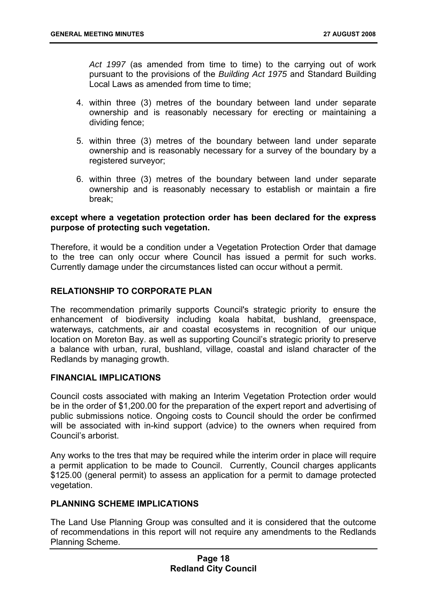*Act 1997* (as amended from time to time) to the carrying out of work pursuant to the provisions of the *Building Act 1975* and Standard Building Local Laws as amended from time to time:

- 4. within three (3) metres of the boundary between land under separate ownership and is reasonably necessary for erecting or maintaining a dividing fence;
- 5. within three (3) metres of the boundary between land under separate ownership and is reasonably necessary for a survey of the boundary by a registered surveyor;
- 6. within three (3) metres of the boundary between land under separate ownership and is reasonably necessary to establish or maintain a fire break;

#### **except where a vegetation protection order has been declared for the express purpose of protecting such vegetation.**

Therefore, it would be a condition under a Vegetation Protection Order that damage to the tree can only occur where Council has issued a permit for such works. Currently damage under the circumstances listed can occur without a permit.

#### **RELATIONSHIP TO CORPORATE PLAN**

The recommendation primarily supports Council's strategic priority to ensure the enhancement of biodiversity including koala habitat, bushland, greenspace, waterways, catchments, air and coastal ecosystems in recognition of our unique location on Moreton Bay. as well as supporting Council's strategic priority to preserve a balance with urban, rural, bushland, village, coastal and island character of the Redlands by managing growth.

#### **FINANCIAL IMPLICATIONS**

Council costs associated with making an Interim Vegetation Protection order would be in the order of \$1,200.00 for the preparation of the expert report and advertising of public submissions notice. Ongoing costs to Council should the order be confirmed will be associated with in-kind support (advice) to the owners when required from Council's arborist.

Any works to the tres that may be required while the interim order in place will require a permit application to be made to Council. Currently, Council charges applicants \$125.00 (general permit) to assess an application for a permit to damage protected vegetation.

#### **PLANNING SCHEME IMPLICATIONS**

The Land Use Planning Group was consulted and it is considered that the outcome of recommendations in this report will not require any amendments to the Redlands Planning Scheme.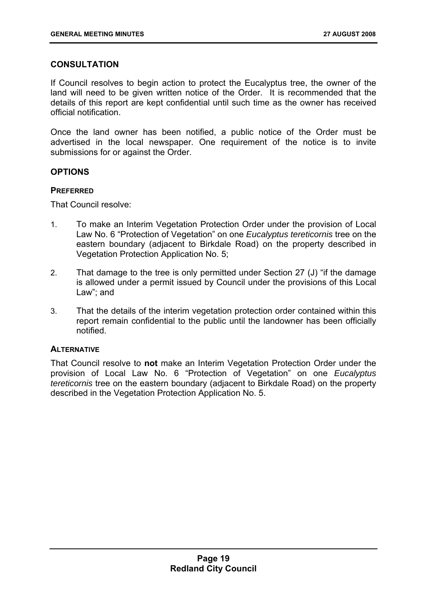#### **CONSULTATION**

If Council resolves to begin action to protect the Eucalyptus tree, the owner of the land will need to be given written notice of the Order. It is recommended that the details of this report are kept confidential until such time as the owner has received official notification.

Once the land owner has been notified, a public notice of the Order must be advertised in the local newspaper. One requirement of the notice is to invite submissions for or against the Order.

#### **OPTIONS**

#### **PREFERRED**

That Council resolve:

- 1. To make an Interim Vegetation Protection Order under the provision of Local Law No. 6 "Protection of Vegetation" on one *Eucalyptus tereticornis* tree on the eastern boundary (adjacent to Birkdale Road) on the property described in Vegetation Protection Application No. 5;
- 2. That damage to the tree is only permitted under Section 27 (J) "if the damage is allowed under a permit issued by Council under the provisions of this Local Law"; and
- 3. That the details of the interim vegetation protection order contained within this report remain confidential to the public until the landowner has been officially notified.

#### **ALTERNATIVE**

That Council resolve to **not** make an Interim Vegetation Protection Order under the provision of Local Law No. 6 "Protection of Vegetation" on one *Eucalyptus tereticornis* tree on the eastern boundary (adjacent to Birkdale Road) on the property described in the Vegetation Protection Application No. 5.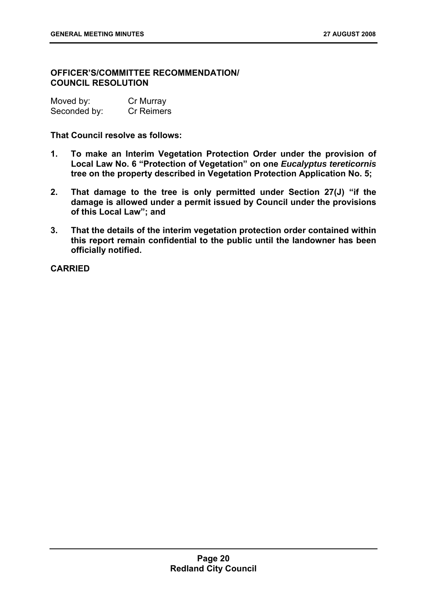#### **OFFICER'S/COMMITTEE RECOMMENDATION/ COUNCIL RESOLUTION**

| Moved by:    | Cr Murray  |
|--------------|------------|
| Seconded by: | Cr Reimers |

**That Council resolve as follows:** 

- **1. To make an Interim Vegetation Protection Order under the provision of Local Law No. 6 "Protection of Vegetation" on one** *Eucalyptus tereticornis* **tree on the property described in Vegetation Protection Application No. 5;**
- **2. That damage to the tree is only permitted under Section 27(J) "if the damage is allowed under a permit issued by Council under the provisions of this Local Law"; and**
- **3. That the details of the interim vegetation protection order contained within this report remain confidential to the public until the landowner has been officially notified.**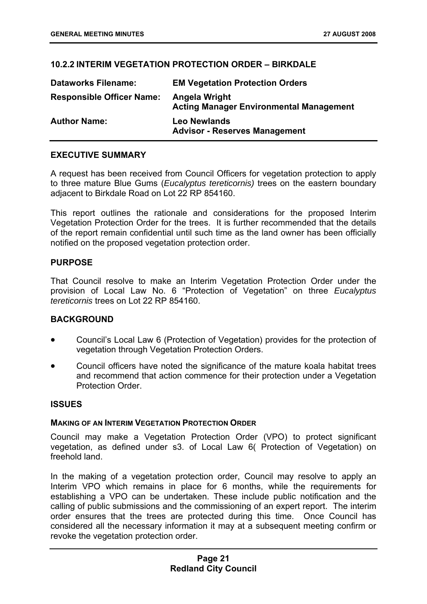#### **10.2.2 INTERIM VEGETATION PROTECTION ORDER – BIRKDALE**

| <b>Dataworks Filename:</b>       | <b>EM Vegetation Protection Orders</b>                          |
|----------------------------------|-----------------------------------------------------------------|
| <b>Responsible Officer Name:</b> | Angela Wright<br><b>Acting Manager Environmental Management</b> |
| <b>Author Name:</b>              | <b>Leo Newlands</b><br><b>Advisor - Reserves Management</b>     |

#### **EXECUTIVE SUMMARY**

A request has been received from Council Officers for vegetation protection to apply to three mature Blue Gums (*Eucalyptus tereticornis)* trees on the eastern boundary adjacent to Birkdale Road on Lot 22 RP 854160.

This report outlines the rationale and considerations for the proposed Interim Vegetation Protection Order for the trees. It is further recommended that the details of the report remain confidential until such time as the land owner has been officially notified on the proposed vegetation protection order.

#### **PURPOSE**

That Council resolve to make an Interim Vegetation Protection Order under the provision of Local Law No. 6 "Protection of Vegetation" on three *Eucalyptus tereticornis* trees on Lot 22 RP 854160.

#### **BACKGROUND**

- Council's Local Law 6 (Protection of Vegetation) provides for the protection of vegetation through Vegetation Protection Orders.
- Council officers have noted the significance of the mature koala habitat trees and recommend that action commence for their protection under a Vegetation Protection Order.

#### **ISSUES**

#### **MAKING OF AN INTERIM VEGETATION PROTECTION ORDER**

Council may make a Vegetation Protection Order (VPO) to protect significant vegetation, as defined under s3. of Local Law 6( Protection of Vegetation) on freehold land.

In the making of a vegetation protection order, Council may resolve to apply an Interim VPO which remains in place for 6 months, while the requirements for establishing a VPO can be undertaken. These include public notification and the calling of public submissions and the commissioning of an expert report. The interim order ensures that the trees are protected during this time. Once Council has considered all the necessary information it may at a subsequent meeting confirm or revoke the vegetation protection order.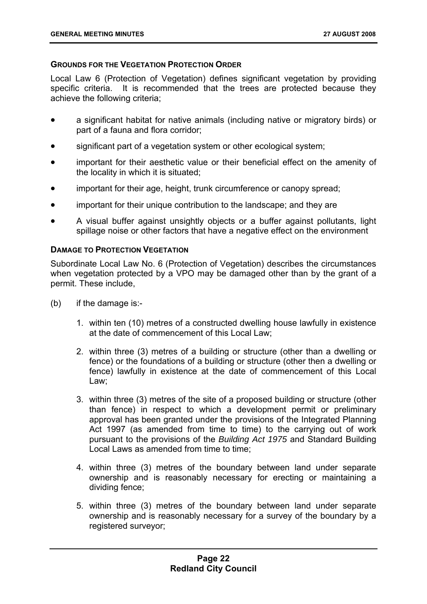#### **GROUNDS FOR THE VEGETATION PROTECTION ORDER**

Local Law 6 (Protection of Vegetation) defines significant vegetation by providing specific criteria. It is recommended that the trees are protected because they achieve the following criteria;

- a significant habitat for native animals (including native or migratory birds) or part of a fauna and flora corridor;
- significant part of a vegetation system or other ecological system;
- important for their aesthetic value or their beneficial effect on the amenity of the locality in which it is situated;
- important for their age, height, trunk circumference or canopy spread;
- important for their unique contribution to the landscape; and they are
- A visual buffer against unsightly objects or a buffer against pollutants, light spillage noise or other factors that have a negative effect on the environment

#### **DAMAGE TO PROTECTION VEGETATION**

Subordinate Local Law No. 6 (Protection of Vegetation) describes the circumstances when vegetation protected by a VPO may be damaged other than by the grant of a permit. These include,

- (b) if the damage is:-
	- 1. within ten (10) metres of a constructed dwelling house lawfully in existence at the date of commencement of this Local Law;
	- 2. within three (3) metres of a building or structure (other than a dwelling or fence) or the foundations of a building or structure (other then a dwelling or fence) lawfully in existence at the date of commencement of this Local Law;
	- 3. within three (3) metres of the site of a proposed building or structure (other than fence) in respect to which a development permit or preliminary approval has been granted under the provisions of the Integrated Planning Act 1997 (as amended from time to time) to the carrying out of work pursuant to the provisions of the *Building Act 1975* and Standard Building Local Laws as amended from time to time:
	- 4. within three (3) metres of the boundary between land under separate ownership and is reasonably necessary for erecting or maintaining a dividing fence;
	- 5. within three (3) metres of the boundary between land under separate ownership and is reasonably necessary for a survey of the boundary by a registered surveyor;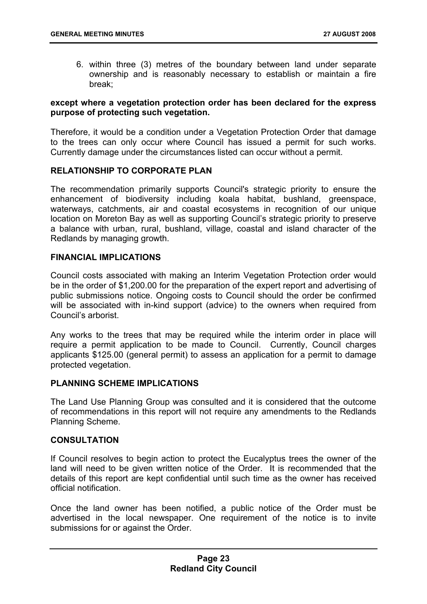6. within three (3) metres of the boundary between land under separate ownership and is reasonably necessary to establish or maintain a fire break;

#### **except where a vegetation protection order has been declared for the express purpose of protecting such vegetation.**

Therefore, it would be a condition under a Vegetation Protection Order that damage to the trees can only occur where Council has issued a permit for such works. Currently damage under the circumstances listed can occur without a permit.

#### **RELATIONSHIP TO CORPORATE PLAN**

The recommendation primarily supports Council's strategic priority to ensure the enhancement of biodiversity including koala habitat, bushland, greenspace, waterways, catchments, air and coastal ecosystems in recognition of our unique location on Moreton Bay as well as supporting Council's strategic priority to preserve a balance with urban, rural, bushland, village, coastal and island character of the Redlands by managing growth.

#### **FINANCIAL IMPLICATIONS**

Council costs associated with making an Interim Vegetation Protection order would be in the order of \$1,200.00 for the preparation of the expert report and advertising of public submissions notice. Ongoing costs to Council should the order be confirmed will be associated with in-kind support (advice) to the owners when required from Council's arborist.

Any works to the trees that may be required while the interim order in place will require a permit application to be made to Council. Currently, Council charges applicants \$125.00 (general permit) to assess an application for a permit to damage protected vegetation.

#### **PLANNING SCHEME IMPLICATIONS**

The Land Use Planning Group was consulted and it is considered that the outcome of recommendations in this report will not require any amendments to the Redlands Planning Scheme.

#### **CONSULTATION**

If Council resolves to begin action to protect the Eucalyptus trees the owner of the land will need to be given written notice of the Order. It is recommended that the details of this report are kept confidential until such time as the owner has received official notification.

Once the land owner has been notified, a public notice of the Order must be advertised in the local newspaper. One requirement of the notice is to invite submissions for or against the Order.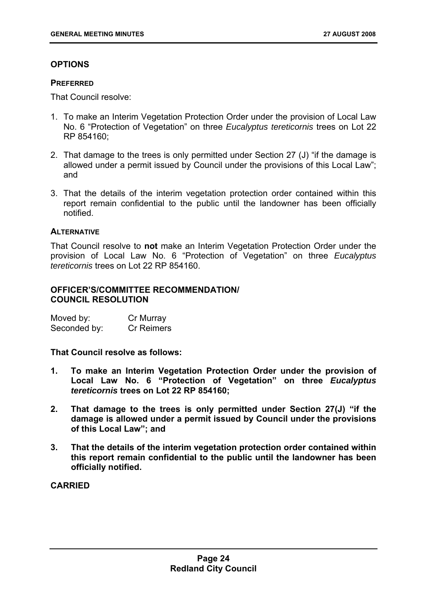#### **OPTIONS**

#### **PREFERRED**

That Council resolve:

- 1. To make an Interim Vegetation Protection Order under the provision of Local Law No. 6 "Protection of Vegetation" on three *Eucalyptus tereticornis* trees on Lot 22 RP 854160;
- 2. That damage to the trees is only permitted under Section 27 (J) "if the damage is allowed under a permit issued by Council under the provisions of this Local Law"; and
- 3. That the details of the interim vegetation protection order contained within this report remain confidential to the public until the landowner has been officially notified.

#### **ALTERNATIVE**

That Council resolve to **not** make an Interim Vegetation Protection Order under the provision of Local Law No. 6 "Protection of Vegetation" on three *Eucalyptus tereticornis* trees on Lot 22 RP 854160.

#### **OFFICER'S/COMMITTEE RECOMMENDATION/ COUNCIL RESOLUTION**

| Moved by:    | Cr Murray         |
|--------------|-------------------|
| Seconded by: | <b>Cr Reimers</b> |

**That Council resolve as follows:** 

- **1. To make an Interim Vegetation Protection Order under the provision of Local Law No. 6 "Protection of Vegetation" on three** *Eucalyptus tereticornis* **trees on Lot 22 RP 854160;**
- **2. That damage to the trees is only permitted under Section 27(J) "if the damage is allowed under a permit issued by Council under the provisions of this Local Law"; and**
- **3. That the details of the interim vegetation protection order contained within this report remain confidential to the public until the landowner has been officially notified.**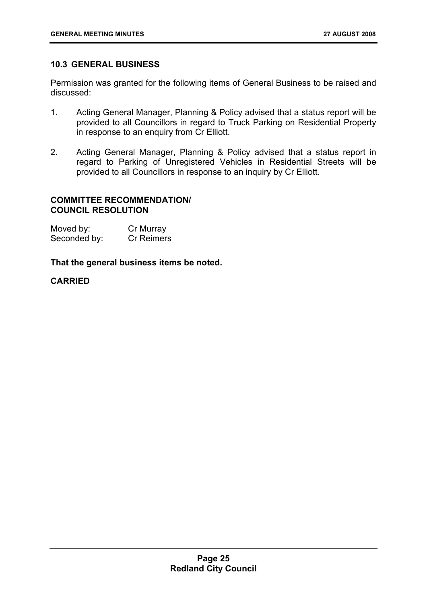#### **10.3 GENERAL BUSINESS**

Permission was granted for the following items of General Business to be raised and discussed:

- 1. Acting General Manager, Planning & Policy advised that a status report will be provided to all Councillors in regard to Truck Parking on Residential Property in response to an enquiry from Cr Elliott.
- 2. Acting General Manager, Planning & Policy advised that a status report in regard to Parking of Unregistered Vehicles in Residential Streets will be provided to all Councillors in response to an inquiry by Cr Elliott.

#### **COMMITTEE RECOMMENDATION/ COUNCIL RESOLUTION**

| Moved by:    | Cr Murray  |
|--------------|------------|
| Seconded by: | Cr Reimers |

#### **That the general business items be noted.**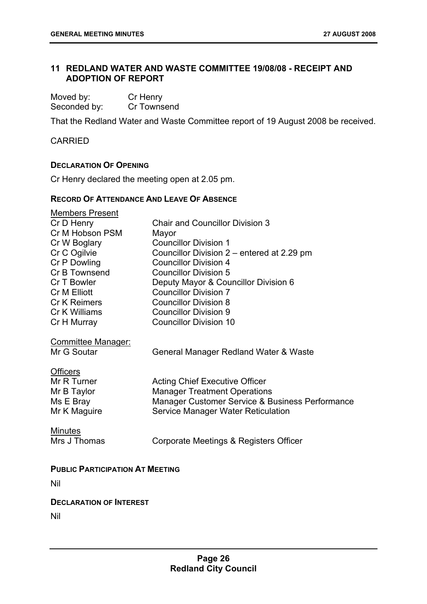#### **11 REDLAND WATER AND WASTE COMMITTEE 19/08/08 - RECEIPT AND ADOPTION OF REPORT**

| Moved by:    | Cr Henry    |
|--------------|-------------|
| Seconded by: | Cr Townsend |

That the Redland Water and Waste Committee report of 19 August 2008 be received.

**CARRIED** 

#### **DECLARATION OF OPENING**

Cr Henry declared the meeting open at 2.05 pm.

#### **RECORD OF ATTENDANCE AND LEAVE OF ABSENCE**

| Members Present                        |                                                 |
|----------------------------------------|-------------------------------------------------|
| Cr D Henry                             | <b>Chair and Councillor Division 3</b>          |
| Cr M Hobson PSM                        | Mayor                                           |
| Cr W Boglary                           | <b>Councillor Division 1</b>                    |
| Cr C Ogilvie                           | Councillor Division 2 – entered at 2.29 pm      |
| Cr P Dowling                           | <b>Councillor Division 4</b>                    |
| Cr B Townsend                          | <b>Councillor Division 5</b>                    |
| Cr T Bowler                            | Deputy Mayor & Councillor Division 6            |
| Cr M Elliott                           | <b>Councillor Division 7</b>                    |
| <b>Cr K Reimers</b>                    | <b>Councillor Division 8</b>                    |
| Cr K Williams                          | <b>Councillor Division 9</b>                    |
| Cr H Murray                            | <b>Councillor Division 10</b>                   |
| Committee Manager:<br>Mr G Soutar      | General Manager Redland Water & Waste           |
| <b>Officers</b>                        |                                                 |
| Mr R Turner                            | <b>Acting Chief Executive Officer</b>           |
| Mr B Taylor                            | <b>Manager Treatment Operations</b>             |
| Ms E Bray                              | Manager Customer Service & Business Performance |
| Mr K Maguire                           | Service Manager Water Reticulation              |
| <b>Minutes</b>                         |                                                 |
| Mrs J Thomas                           | Corporate Meetings & Registers Officer          |
|                                        |                                                 |
| <b>PUBLIC PARTICIPATION AT MEETING</b> |                                                 |
| Nil                                    |                                                 |

#### **DECLARATION OF INTEREST**

Nil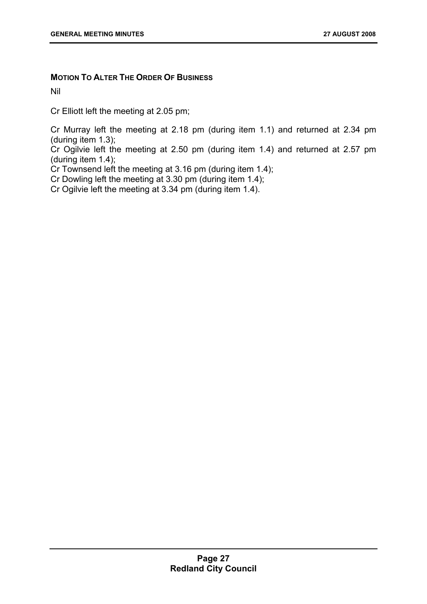#### **MOTION TO ALTER THE ORDER OF BUSINESS**

Nil

Cr Elliott left the meeting at 2.05 pm;

Cr Murray left the meeting at 2.18 pm (during item 1.1) and returned at 2.34 pm (during item 1.3);

Cr Ogilvie left the meeting at 2.50 pm (during item 1.4) and returned at 2.57 pm (during item 1.4);

Cr Townsend left the meeting at 3.16 pm (during item 1.4);

Cr Dowling left the meeting at  $3.30$  pm (during item 1.4);

Cr Ogilvie left the meeting at 3.34 pm (during item 1.4).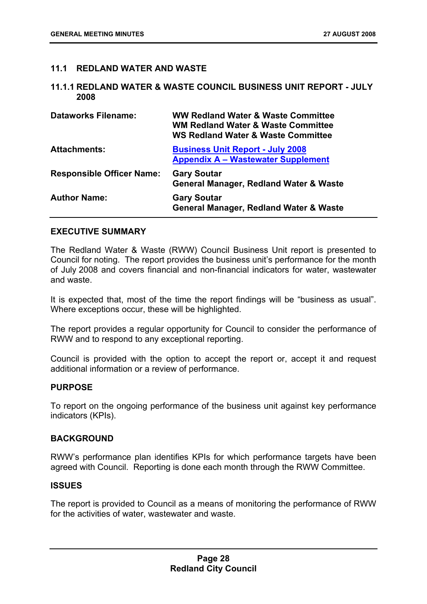#### **11.1 REDLAND WATER AND WASTE**

#### **11.1.1 REDLAND WATER & WASTE COUNCIL BUSINESS UNIT REPORT - JULY 2008**

| <b>Dataworks Filename:</b>       | WW Redland Water & Waste Committee<br><b>WM Redland Water &amp; Waste Committee</b><br><b>WS Redland Water &amp; Waste Committee</b> |
|----------------------------------|--------------------------------------------------------------------------------------------------------------------------------------|
| <b>Attachments:</b>              | <b>Business Unit Report - July 2008</b><br><b>Appendix A – Wastewater Supplement</b>                                                 |
| <b>Responsible Officer Name:</b> | <b>Gary Soutar</b><br><b>General Manager, Redland Water &amp; Waste</b>                                                              |
| <b>Author Name:</b>              | <b>Gary Soutar</b><br><b>General Manager, Redland Water &amp; Waste</b>                                                              |

#### **EXECUTIVE SUMMARY**

The Redland Water & Waste (RWW) Council Business Unit report is presented to Council for noting. The report provides the business unit's performance for the month of July 2008 and covers financial and non-financial indicators for water, wastewater and waste.

It is expected that, most of the time the report findings will be "business as usual". Where exceptions occur, these will be highlighted.

The report provides a regular opportunity for Council to consider the performance of RWW and to respond to any exceptional reporting.

Council is provided with the option to accept the report or, accept it and request additional information or a review of performance.

#### **PURPOSE**

To report on the ongoing performance of the business unit against key performance indicators (KPIs).

#### **BACKGROUND**

RWW's performance plan identifies KPIs for which performance targets have been agreed with Council. Reporting is done each month through the RWW Committee.

#### **ISSUES**

The report is provided to Council as a means of monitoring the performance of RWW for the activities of water, wastewater and waste.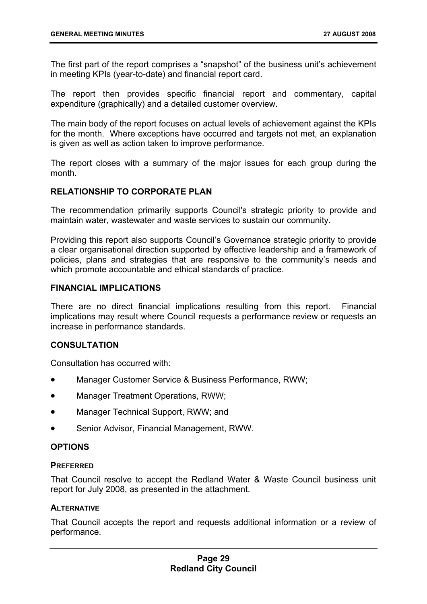The first part of the report comprises a "snapshot" of the business unit's achievement in meeting KPIs (year-to-date) and financial report card.

The report then provides specific financial report and commentary, capital expenditure (graphically) and a detailed customer overview.

The main body of the report focuses on actual levels of achievement against the KPIs for the month. Where exceptions have occurred and targets not met, an explanation is given as well as action taken to improve performance.

The report closes with a summary of the major issues for each group during the month.

#### **RELATIONSHIP TO CORPORATE PLAN**

The recommendation primarily supports Council's strategic priority to provide and maintain water, wastewater and waste services to sustain our community.

Providing this report also supports Council's Governance strategic priority to provide a clear organisational direction supported by effective leadership and a framework of policies, plans and strategies that are responsive to the community's needs and which promote accountable and ethical standards of practice.

#### **FINANCIAL IMPLICATIONS**

There are no direct financial implications resulting from this report. Financial implications may result where Council requests a performance review or requests an increase in performance standards.

#### **CONSULTATION**

Consultation has occurred with:

- Manager Customer Service & Business Performance, RWW;
- Manager Treatment Operations, RWW;
- Manager Technical Support, RWW; and
- Senior Advisor, Financial Management, RWW.

#### **OPTIONS**

#### **PREFERRED**

That Council resolve to accept the Redland Water & Waste Council business unit report for July 2008, as presented in the attachment.

#### **ALTERNATIVE**

That Council accepts the report and requests additional information or a review of performance.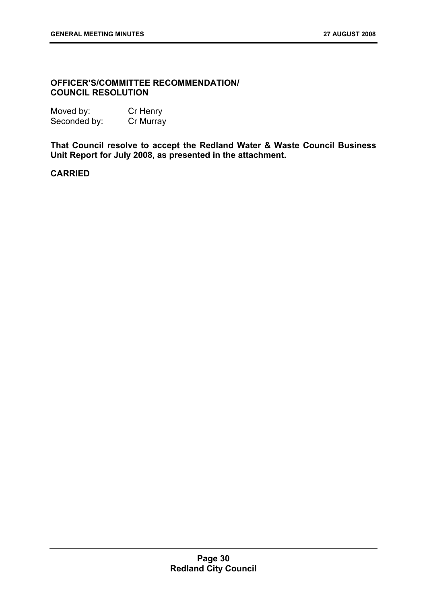#### **OFFICER'S/COMMITTEE RECOMMENDATION/ COUNCIL RESOLUTION**

| Moved by:    | Cr Henry  |
|--------------|-----------|
| Seconded by: | Cr Murray |

**That Council resolve to accept the Redland Water & Waste Council Business Unit Report for July 2008, as presented in the attachment.**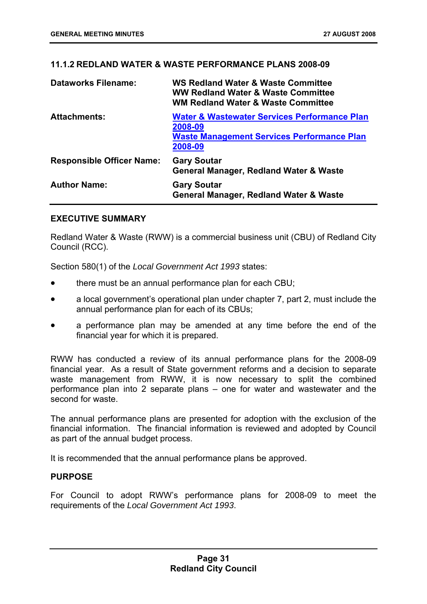#### **11.1.2 REDLAND WATER & WASTE PERFORMANCE PLANS 2008-09**

| <b>Dataworks Filename:</b>       | <b>WS Redland Water &amp; Waste Committee</b><br><b>WW Redland Water &amp; Waste Committee</b><br><b>WM Redland Water &amp; Waste Committee</b> |
|----------------------------------|-------------------------------------------------------------------------------------------------------------------------------------------------|
| <b>Attachments:</b>              | <b>Water &amp; Wastewater Services Performance Plan</b><br>2008-09<br><b>Waste Management Services Performance Plan</b><br>2008-09              |
| <b>Responsible Officer Name:</b> | <b>Gary Soutar</b><br><b>General Manager, Redland Water &amp; Waste</b>                                                                         |
| <b>Author Name:</b>              | <b>Gary Soutar</b><br>General Manager, Redland Water & Waste                                                                                    |

#### **EXECUTIVE SUMMARY**

Redland Water & Waste (RWW) is a commercial business unit (CBU) of Redland City Council (RCC).

Section 580(1) of the *Local Government Act 1993* states:

- there must be an annual performance plan for each CBU;
- a local government's operational plan under chapter 7, part 2, must include the annual performance plan for each of its CBUs;
- a performance plan may be amended at any time before the end of the financial year for which it is prepared.

RWW has conducted a review of its annual performance plans for the 2008-09 financial year. As a result of State government reforms and a decision to separate waste management from RWW, it is now necessary to split the combined performance plan into 2 separate plans – one for water and wastewater and the second for waste.

The annual performance plans are presented for adoption with the exclusion of the financial information. The financial information is reviewed and adopted by Council as part of the annual budget process.

It is recommended that the annual performance plans be approved.

#### **PURPOSE**

For Council to adopt RWW's performance plans for 2008-09 to meet the requirements of the *Local Government Act 1993*.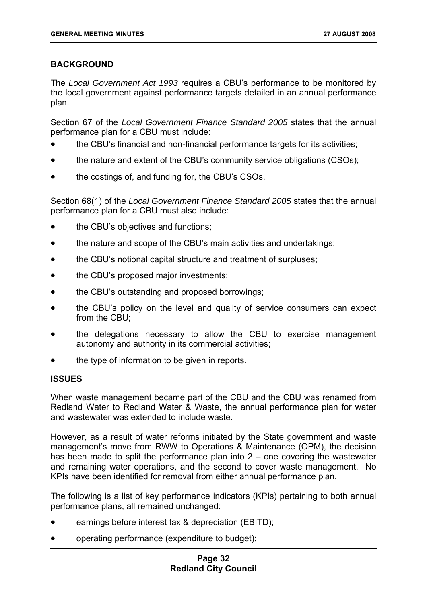# **BACKGROUND**

The *Local Government Act 1993* requires a CBU's performance to be monitored by the local government against performance targets detailed in an annual performance plan.

Section 67 of the *Local Government Finance Standard 2005* states that the annual performance plan for a CBU must include:

- the CBU's financial and non-financial performance targets for its activities;
- the nature and extent of the CBU's community service obligations (CSOs);
- the costings of, and funding for, the CBU's CSOs.

Section 68(1) of the *Local Government Finance Standard 2005* states that the annual performance plan for a CBU must also include:

- the CBU's objectives and functions:
- the nature and scope of the CBU's main activities and undertakings;
- the CBU's notional capital structure and treatment of surpluses;
- the CBU's proposed major investments;
- the CBU's outstanding and proposed borrowings;
- the CBU's policy on the level and quality of service consumers can expect from the CBU;
- the delegations necessary to allow the CBU to exercise management autonomy and authority in its commercial activities;
- the type of information to be given in reports.

# **ISSUES**

When waste management became part of the CBU and the CBU was renamed from Redland Water to Redland Water & Waste, the annual performance plan for water and wastewater was extended to include waste.

However, as a result of water reforms initiated by the State government and waste management's move from RWW to Operations & Maintenance (OPM), the decision has been made to split the performance plan into 2 – one covering the wastewater and remaining water operations, and the second to cover waste management. No KPIs have been identified for removal from either annual performance plan.

The following is a list of key performance indicators (KPIs) pertaining to both annual performance plans, all remained unchanged:

- earnings before interest tax & depreciation (EBITD);
- operating performance (expenditure to budget);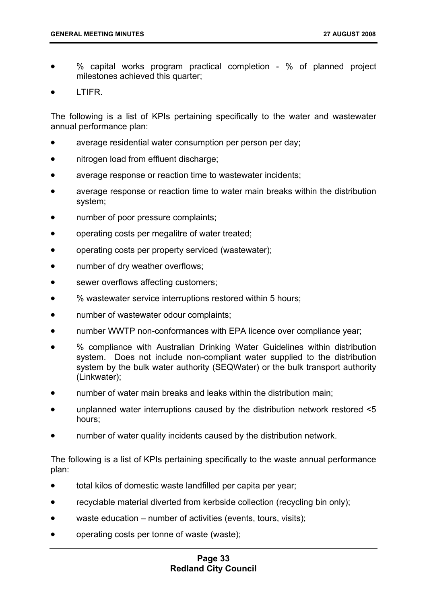- % capital works program practical completion % of planned project milestones achieved this quarter;
- LTIFR.

The following is a list of KPIs pertaining specifically to the water and wastewater annual performance plan:

- average residential water consumption per person per day;
- nitrogen load from effluent discharge;
- average response or reaction time to wastewater incidents;
- average response or reaction time to water main breaks within the distribution system;
- number of poor pressure complaints;
- operating costs per megalitre of water treated;
- operating costs per property serviced (wastewater);
- number of dry weather overflows;
- sewer overflows affecting customers;
- % wastewater service interruptions restored within 5 hours;
- number of wastewater odour complaints;
- number WWTP non-conformances with EPA licence over compliance year;
- % compliance with Australian Drinking Water Guidelines within distribution system. Does not include non-compliant water supplied to the distribution system by the bulk water authority (SEQWater) or the bulk transport authority (Linkwater);
- number of water main breaks and leaks within the distribution main;
- unplanned water interruptions caused by the distribution network restored <5 hours;
- number of water quality incidents caused by the distribution network.

The following is a list of KPIs pertaining specifically to the waste annual performance plan:

- total kilos of domestic waste landfilled per capita per year;
- recyclable material diverted from kerbside collection (recycling bin only);
- waste education number of activities (events, tours, visits);
- operating costs per tonne of waste (waste);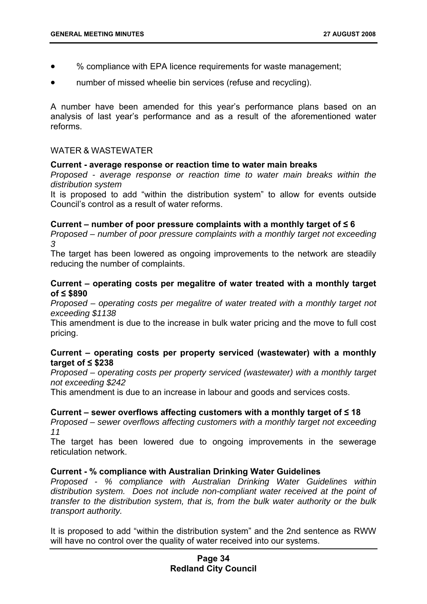- % compliance with EPA licence requirements for waste management;
- number of missed wheelie bin services (refuse and recycling).

A number have been amended for this year's performance plans based on an analysis of last year's performance and as a result of the aforementioned water reforms.

#### WATER & WASTEWATER

#### **Current - average response or reaction time to water main breaks**

*Proposed - average response or reaction time to water main breaks within the distribution system*

It is proposed to add "within the distribution system" to allow for events outside Council's control as a result of water reforms.

#### **Current – number of poor pressure complaints with a monthly target of ≤ 6**

*Proposed – number of poor pressure complaints with a monthly target not exceeding 3*

The target has been lowered as ongoing improvements to the network are steadily reducing the number of complaints.

#### **Current – operating costs per megalitre of water treated with a monthly target of ≤ \$890**

*Proposed – operating costs per megalitre of water treated with a monthly target not exceeding \$1138*

This amendment is due to the increase in bulk water pricing and the move to full cost pricing.

#### **Current – operating costs per property serviced (wastewater) with a monthly target of ≤ \$238**

*Proposed – operating costs per property serviced (wastewater) with a monthly target not exceeding \$242*

This amendment is due to an increase in labour and goods and services costs.

#### **Current – sewer overflows affecting customers with a monthly target of ≤ 18**

*Proposed – sewer overflows affecting customers with a monthly target not exceeding 11*

The target has been lowered due to ongoing improvements in the sewerage reticulation network.

#### **Current - % compliance with Australian Drinking Water Guidelines**

*Proposed - % compliance with Australian Drinking Water Guidelines within distribution system. Does not include non-compliant water received at the point of transfer to the distribution system, that is, from the bulk water authority or the bulk transport authority.* 

It is proposed to add "within the distribution system" and the 2nd sentence as RWW will have no control over the quality of water received into our systems.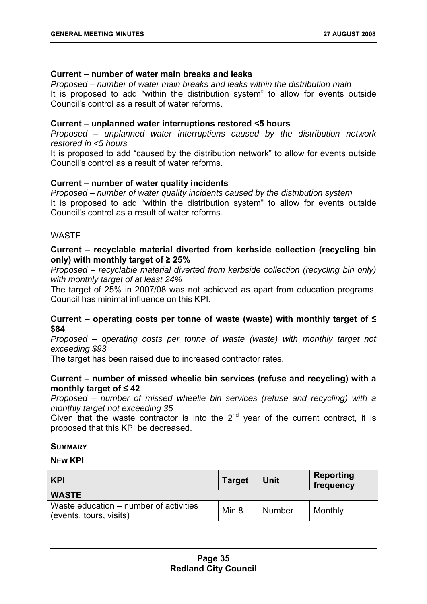#### **Current – number of water main breaks and leaks**

*Proposed – number of water main breaks and leaks within the distribution main* It is proposed to add "within the distribution system" to allow for events outside Council's control as a result of water reforms.

#### **Current – unplanned water interruptions restored <5 hours**

*Proposed – unplanned water interruptions caused by the distribution network restored in <5 hours*

It is proposed to add "caused by the distribution network" to allow for events outside Council's control as a result of water reforms.

#### **Current – number of water quality incidents**

*Proposed – number of water quality incidents caused by the distribution system* It is proposed to add "within the distribution system" to allow for events outside Council's control as a result of water reforms.

#### WASTE

### **Current – recyclable material diverted from kerbside collection (recycling bin only) with monthly target of ≥ 25%**

*Proposed – recyclable material diverted from kerbside collection (recycling bin only) with monthly target of at least 24%*

The target of 25% in 2007/08 was not achieved as apart from education programs, Council has minimal influence on this KPI.

# **Current – operating costs per tonne of waste (waste) with monthly target of ≤ \$84**

*Proposed – operating costs per tonne of waste (waste) with monthly target not exceeding \$93*

The target has been raised due to increased contractor rates.

#### **Current – number of missed wheelie bin services (refuse and recycling) with a monthly target of ≤ 42**

*Proposed – number of missed wheelie bin services (refuse and recycling) with a monthly target not exceeding 35*

Given that the waste contractor is into the  $2<sup>nd</sup>$  year of the current contract, it is proposed that this KPI be decreased.

#### **SUMMARY**

#### **NEW KPI**

| <b>KPI</b>                                                        | <b>Target</b> | Unit   | Reporting<br>frequency |
|-------------------------------------------------------------------|---------------|--------|------------------------|
| <b>WASTE</b>                                                      |               |        |                        |
| Waste education – number of activities<br>(events, tours, visits) | Min 8         | Number | Monthly                |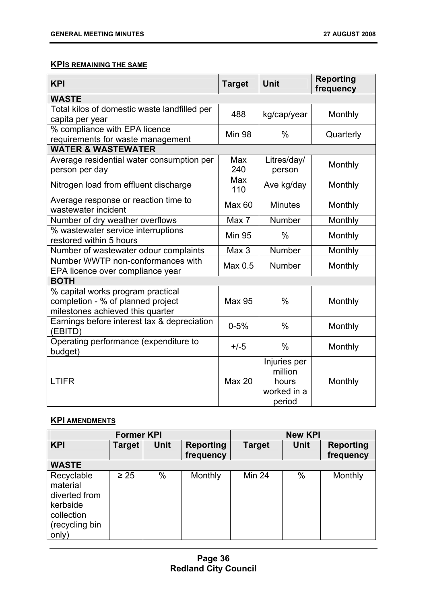# **KPIS REMAINING THE SAME**

| <b>KPI</b>                                                                                                 | <b>Target</b> | <b>Unit</b>                                               | <b>Reporting</b><br>frequency |
|------------------------------------------------------------------------------------------------------------|---------------|-----------------------------------------------------------|-------------------------------|
| <b>WASTE</b>                                                                                               |               |                                                           |                               |
| Total kilos of domestic waste landfilled per<br>capita per year                                            | 488           | kg/cap/year                                               | Monthly                       |
| % compliance with EPA licence<br>requirements for waste management                                         | <b>Min 98</b> | $\%$                                                      | Quarterly                     |
| <b>WATER &amp; WASTEWATER</b>                                                                              |               |                                                           |                               |
| Average residential water consumption per<br>person per day                                                | Max<br>240    | Litres/day/<br>person                                     | Monthly                       |
| Nitrogen load from effluent discharge                                                                      | Max<br>110    | Ave kg/day                                                | Monthly                       |
| Average response or reaction time to<br>wastewater incident                                                | Max 60        | <b>Minutes</b>                                            | Monthly                       |
| Number of dry weather overflows                                                                            | Max 7         | Number                                                    | Monthly                       |
| % wastewater service interruptions<br>restored within 5 hours                                              | <b>Min 95</b> | $\%$                                                      | Monthly                       |
| Number of wastewater odour complaints                                                                      | Max 3         | <b>Number</b>                                             | Monthly                       |
| Number WWTP non-conformances with<br>EPA licence over compliance year                                      | Max 0.5       | Number                                                    | Monthly                       |
| <b>BOTH</b>                                                                                                |               |                                                           |                               |
| % capital works program practical<br>completion - % of planned project<br>milestones achieved this quarter | <b>Max 95</b> | $\frac{0}{0}$                                             | Monthly                       |
| Earnings before interest tax & depreciation<br>(EBITD)                                                     | $0 - 5%$      | $\frac{0}{0}$                                             | Monthly                       |
| Operating performance (expenditure to<br>budget)                                                           | $+/-5$        | $\frac{0}{0}$                                             | Monthly                       |
| <b>LTIFR</b>                                                                                               | <b>Max 20</b> | Injuries per<br>million<br>hours<br>worked in a<br>period | Monthly                       |

# **KPI AMENDMENTS**

|                                                                                              | <b>Former KPI</b> |      |                               |               | <b>New KPI</b> |                               |
|----------------------------------------------------------------------------------------------|-------------------|------|-------------------------------|---------------|----------------|-------------------------------|
| <b>KPI</b>                                                                                   | <b>Target</b>     | Unit | <b>Reporting</b><br>frequency | <b>Target</b> | <b>Unit</b>    | <b>Reporting</b><br>frequency |
| <b>WASTE</b>                                                                                 |                   |      |                               |               |                |                               |
| Recyclable<br>material<br>diverted from<br>kerbside<br>collection<br>(recycling bin<br>only) | $\geq 25$         | $\%$ | Monthly                       | <b>Min 24</b> | $\%$           | Monthly                       |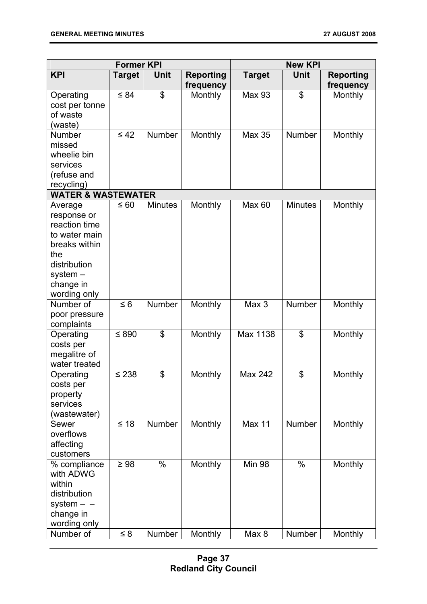| <b>Former KPI</b>                                                                                                                           |                       |                |                               | <b>New KPI</b>         |                |                               |
|---------------------------------------------------------------------------------------------------------------------------------------------|-----------------------|----------------|-------------------------------|------------------------|----------------|-------------------------------|
| <b>KPI</b>                                                                                                                                  | <b>Target</b>         | Unit           | <b>Reporting</b><br>frequency | <b>Target</b>          | Unit           | <b>Reporting</b><br>frequency |
| Operating<br>cost per tonne<br>of waste<br>(waste)                                                                                          | $\leq 84$             | \$             | Monthly                       | <b>Max 93</b>          | \$             | Monthly                       |
| <b>Number</b><br>missed<br>wheelie bin<br>services<br>(refuse and<br>recycling)                                                             | $\leq 42$             | <b>Number</b>  | Monthly                       | <b>Max 35</b>          | <b>Number</b>  | Monthly                       |
| <b>WATER &amp; WASTEWATER</b>                                                                                                               |                       |                |                               |                        |                |                               |
| Average<br>response or<br>reaction time<br>to water main<br>breaks within<br>the<br>distribution<br>$system -$<br>change in<br>wording only | ≤ 60                  | <b>Minutes</b> | Monthly                       | <b>Max 60</b>          | <b>Minutes</b> | Monthly                       |
| Number of<br>poor pressure<br>complaints                                                                                                    | $\leq 6$              | <b>Number</b>  | Monthly                       | Max 3                  | Number         | Monthly                       |
| Operating<br>costs per<br>megalitre of<br>water treated                                                                                     | $≤ 890$               | \$             | Monthly                       | Max 1138               | \$             | Monthly                       |
| Operating<br>costs per<br>property<br>services<br>(wastewater)                                                                              | $\leq 238$            | \$             | Monthly                       | <b>Max 242</b>         | \$             | Monthly                       |
| Sewer<br>overflows<br>affecting<br>customers                                                                                                | $\leq 18$             | <b>Number</b>  | Monthly                       | <b>Max 11</b>          | Number         | Monthly                       |
| % compliance<br>with ADWG<br>within<br>distribution<br>system $ -$<br>change in<br>wording only<br>Number of                                | $\geq 98$<br>$\leq 8$ | $\%$<br>Number | Monthly<br>Monthly            | <b>Min 98</b><br>Max 8 | $\%$<br>Number | Monthly<br>Monthly            |
|                                                                                                                                             |                       |                |                               |                        |                |                               |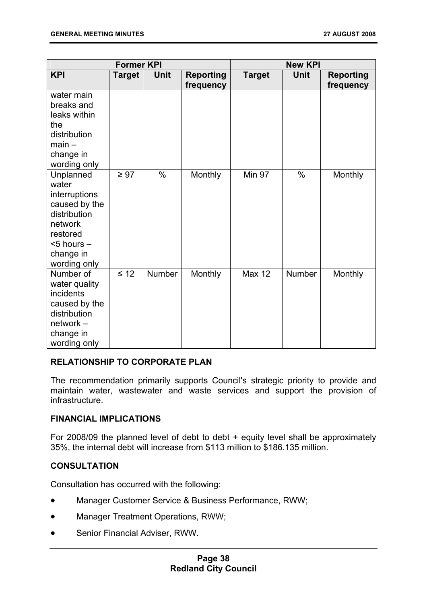| <b>Former KPI</b>                                                                                                                           |               | <b>New KPI</b> |                               |               |               |                               |
|---------------------------------------------------------------------------------------------------------------------------------------------|---------------|----------------|-------------------------------|---------------|---------------|-------------------------------|
| <b>KPI</b>                                                                                                                                  | <b>Target</b> | Unit           | <b>Reporting</b><br>frequency | <b>Target</b> | <b>Unit</b>   | <b>Reporting</b><br>frequency |
| water main<br>breaks and<br>leaks within<br>the<br>distribution<br>$main -$<br>change in<br>wording only                                    |               |                |                               |               |               |                               |
| Unplanned<br>water<br>interruptions<br>caused by the<br>distribution<br>network<br>restored<br>$<$ 5 hours $-$<br>change in<br>wording only | $\geq 97$     | $\%$           | Monthly                       | <b>Min 97</b> | $\frac{0}{0}$ | Monthly                       |
| Number of<br>water quality<br><i>incidents</i><br>caused by the<br>distribution<br>network -<br>change in<br>wording only                   | $\leq 12$     | <b>Number</b>  | Monthly                       | <b>Max 12</b> | Number        | Monthly                       |

# **RELATIONSHIP TO CORPORATE PLAN**

The recommendation primarily supports Council's strategic priority to provide and maintain water, wastewater and waste services and support the provision of infrastructure.

#### **FINANCIAL IMPLICATIONS**

For 2008/09 the planned level of debt to debt + equity level shall be approximately 35%, the internal debt will increase from \$113 million to \$186.135 million.

# **CONSULTATION**

Consultation has occurred with the following:

- Manager Customer Service & Business Performance, RWW;
- Manager Treatment Operations, RWW;
- Senior Financial Adviser, RWW.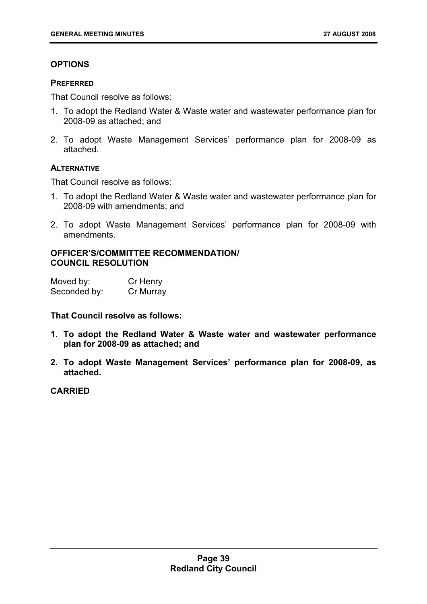# **OPTIONS**

#### **PREFERRED**

That Council resolve as follows:

- 1. To adopt the Redland Water & Waste water and wastewater performance plan for 2008-09 as attached; and
- 2. To adopt Waste Management Services' performance plan for 2008-09 as attached.

#### **ALTERNATIVE**

That Council resolve as follows:

- 1. To adopt the Redland Water & Waste water and wastewater performance plan for 2008-09 with amendments; and
- 2. To adopt Waste Management Services' performance plan for 2008-09 with amendments.

# **OFFICER'S/COMMITTEE RECOMMENDATION/ COUNCIL RESOLUTION**

| Moved by:    | Cr Henry  |
|--------------|-----------|
| Seconded by: | Cr Murray |

**That Council resolve as follows:** 

- **1. To adopt the Redland Water & Waste water and wastewater performance plan for 2008-09 as attached; and**
- **2. To adopt Waste Management Services' performance plan for 2008-09, as attached.**

# **CARRIED**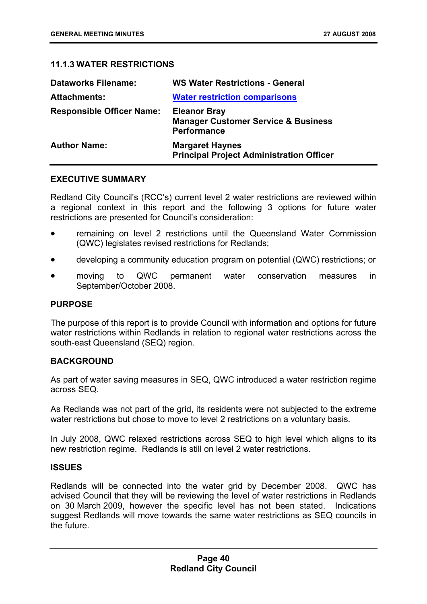# **11.1.3 WATER RESTRICTIONS**

| <b>Dataworks Filename:</b>       | <b>WS Water Restrictions - General</b>                                                      |
|----------------------------------|---------------------------------------------------------------------------------------------|
| <b>Attachments:</b>              | <b>Water restriction comparisons</b>                                                        |
| <b>Responsible Officer Name:</b> | <b>Eleanor Bray</b><br><b>Manager Customer Service &amp; Business</b><br><b>Performance</b> |
| <b>Author Name:</b>              | <b>Margaret Haynes</b><br><b>Principal Project Administration Officer</b>                   |

# **EXECUTIVE SUMMARY**

Redland City Council's (RCC's) current level 2 water restrictions are reviewed within a regional context in this report and the following 3 options for future water restrictions are presented for Council's consideration:

- remaining on level 2 restrictions until the Queensland Water Commission (QWC) legislates revised restrictions for Redlands;
- developing a community education program on potential (QWC) restrictions; or
- moving to QWC permanent water conservation measures in September/October 2008.

# **PURPOSE**

The purpose of this report is to provide Council with information and options for future water restrictions within Redlands in relation to regional water restrictions across the south-east Queensland (SEQ) region.

#### **BACKGROUND**

As part of water saving measures in SEQ, QWC introduced a water restriction regime across SEQ.

As Redlands was not part of the grid, its residents were not subjected to the extreme water restrictions but chose to move to level 2 restrictions on a voluntary basis.

In July 2008, QWC relaxed restrictions across SEQ to high level which aligns to its new restriction regime. Redlands is still on level 2 water restrictions.

#### **ISSUES**

Redlands will be connected into the water grid by December 2008. QWC has advised Council that they will be reviewing the level of water restrictions in Redlands on 30 March 2009, however the specific level has not been stated. Indications suggest Redlands will move towards the same water restrictions as SEQ councils in the future.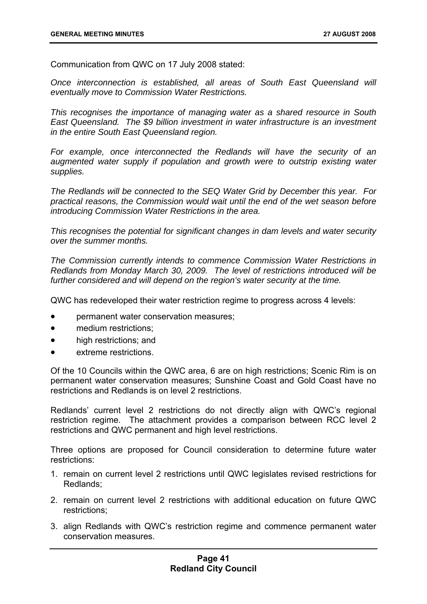Communication from QWC on 17 July 2008 stated:

*Once interconnection is established, all areas of South East Queensland will eventually move to Commission Water Restrictions.* 

*This recognises the importance of managing water as a shared resource in South East Queensland. The \$9 billion investment in water infrastructure is an investment in the entire South East Queensland region.* 

*For example, once interconnected the Redlands will have the security of an augmented water supply if population and growth were to outstrip existing water supplies.* 

*The Redlands will be connected to the SEQ Water Grid by December this year. For practical reasons, the Commission would wait until the end of the wet season before introducing Commission Water Restrictions in the area.* 

*This recognises the potential for significant changes in dam levels and water security over the summer months.* 

*The Commission currently intends to commence Commission Water Restrictions in Redlands from Monday March 30, 2009. The level of restrictions introduced will be further considered and will depend on the region's water security at the time.* 

QWC has redeveloped their water restriction regime to progress across 4 levels:

- permanent water conservation measures;
- medium restrictions:
- high restrictions; and
- extreme restrictions.

Of the 10 Councils within the QWC area, 6 are on high restrictions; Scenic Rim is on permanent water conservation measures; Sunshine Coast and Gold Coast have no restrictions and Redlands is on level 2 restrictions.

Redlands' current level 2 restrictions do not directly align with QWC's regional restriction regime. The attachment provides a comparison between RCC level 2 restrictions and QWC permanent and high level restrictions.

Three options are proposed for Council consideration to determine future water restrictions:

- 1. remain on current level 2 restrictions until QWC legislates revised restrictions for Redlands;
- 2. remain on current level 2 restrictions with additional education on future QWC restrictions;
- 3. align Redlands with QWC's restriction regime and commence permanent water conservation measures.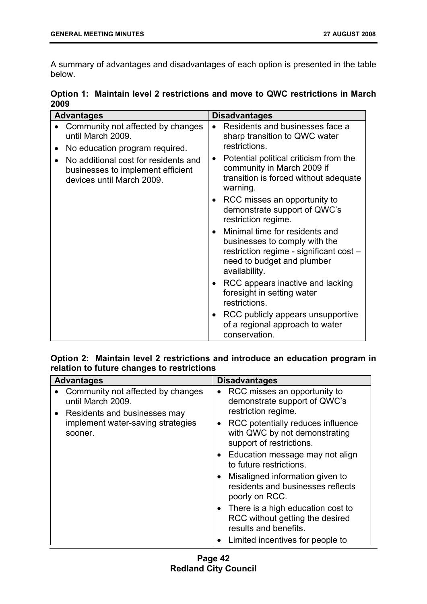A summary of advantages and disadvantages of each option is presented in the table below.

**Option 1: Maintain level 2 restrictions and move to QWC restrictions in March 2009** 

| <b>Advantages</b>                                                                                                   | <b>Disadvantages</b>                                                                                                                                                                                                |
|---------------------------------------------------------------------------------------------------------------------|---------------------------------------------------------------------------------------------------------------------------------------------------------------------------------------------------------------------|
| Community not affected by changes<br>until March 2009.<br>No education program required.<br>$\bullet$               | Residents and businesses face a<br>$\bullet$<br>sharp transition to QWC water<br>restrictions.                                                                                                                      |
| No additional cost for residents and<br>$\bullet$<br>businesses to implement efficient<br>devices until March 2009. | Potential political criticism from the<br>$\bullet$<br>community in March 2009 if<br>transition is forced without adequate<br>warning.<br>RCC misses an opportunity to<br>$\bullet$<br>demonstrate support of QWC's |
|                                                                                                                     | restriction regime.                                                                                                                                                                                                 |
|                                                                                                                     | Minimal time for residents and<br>$\bullet$<br>businesses to comply with the<br>restriction regime - significant cost -<br>need to budget and plumber<br>availability.                                              |
|                                                                                                                     | RCC appears inactive and lacking<br>$\bullet$<br>foresight in setting water<br>restrictions.                                                                                                                        |
|                                                                                                                     | RCC publicly appears unsupportive<br>$\bullet$<br>of a regional approach to water<br>conservation.                                                                                                                  |

# **Option 2: Maintain level 2 restrictions and introduce an education program in relation to future changes to restrictions**

|           | <b>Advantages</b>                                                                                                                      | <b>Disadvantages</b>                                                                                                                                                                                                                                                            |
|-----------|----------------------------------------------------------------------------------------------------------------------------------------|---------------------------------------------------------------------------------------------------------------------------------------------------------------------------------------------------------------------------------------------------------------------------------|
| $\bullet$ | Community not affected by changes<br>until March 2009.<br>Residents and businesses may<br>implement water-saving strategies<br>sooner. | RCC misses an opportunity to<br>$\bullet$<br>demonstrate support of QWC's<br>restriction regime.<br>RCC potentially reduces influence<br>$\bullet$<br>with QWC by not demonstrating<br>support of restrictions.<br>• Education message may not align<br>to future restrictions. |
|           |                                                                                                                                        | Misaligned information given to<br>$\bullet$<br>residents and businesses reflects<br>poorly on RCC.                                                                                                                                                                             |
|           |                                                                                                                                        | • There is a high education cost to<br>RCC without getting the desired<br>results and benefits.                                                                                                                                                                                 |
|           |                                                                                                                                        | Limited incentives for people to                                                                                                                                                                                                                                                |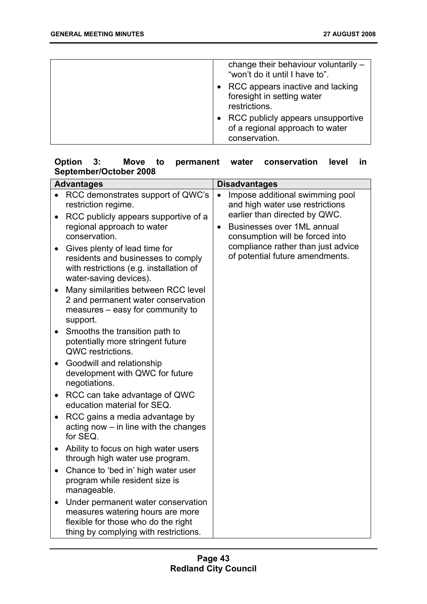| change their behaviour voluntarily -<br>"won't do it until I have to".                  |
|-----------------------------------------------------------------------------------------|
| • RCC appears inactive and lacking<br>foresight in setting water<br>restrictions.       |
| • RCC publicly appears unsupportive<br>of a regional approach to water<br>conservation. |

# **Option 3: Move to permanent water conservation level in September/October 2008**

|                        | <b>Advantages</b>                                                                                                                                      | <b>Disadvantages</b>                                                                                                                              |  |
|------------------------|--------------------------------------------------------------------------------------------------------------------------------------------------------|---------------------------------------------------------------------------------------------------------------------------------------------------|--|
|                        | RCC demonstrates support of QWC's<br>restriction regime.                                                                                               | Impose additional swimming pool<br>and high water use restrictions                                                                                |  |
| $\bullet$<br>$\bullet$ | RCC publicly appears supportive of a<br>regional approach to water<br>conservation.<br>Gives plenty of lead time for                                   | earlier than directed by QWC.<br>Businesses over 1ML annual<br>$\bullet$<br>consumption will be forced into<br>compliance rather than just advice |  |
|                        | residents and businesses to comply<br>with restrictions (e.g. installation of<br>water-saving devices).                                                | of potential future amendments.                                                                                                                   |  |
| $\bullet$              | Many similarities between RCC level<br>2 and permanent water conservation<br>measures - easy for community to<br>support.                              |                                                                                                                                                   |  |
| $\bullet$              | Smooths the transition path to<br>potentially more stringent future<br>QWC restrictions.                                                               |                                                                                                                                                   |  |
| $\bullet$              | Goodwill and relationship<br>development with QWC for future<br>negotiations.                                                                          |                                                                                                                                                   |  |
| $\bullet$              | RCC can take advantage of QWC<br>education material for SEQ.                                                                                           |                                                                                                                                                   |  |
|                        | RCC gains a media advantage by<br>acting now $-$ in line with the changes<br>for SEQ.                                                                  |                                                                                                                                                   |  |
| $\bullet$              | Ability to focus on high water users<br>through high water use program.                                                                                |                                                                                                                                                   |  |
| $\bullet$              | Chance to 'bed in' high water user<br>program while resident size is<br>manageable.                                                                    |                                                                                                                                                   |  |
| $\bullet$              | Under permanent water conservation<br>measures watering hours are more<br>flexible for those who do the right<br>thing by complying with restrictions. |                                                                                                                                                   |  |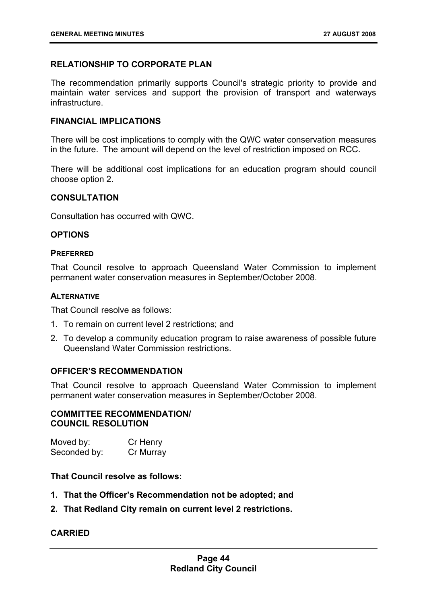# **RELATIONSHIP TO CORPORATE PLAN**

The recommendation primarily supports Council's strategic priority to provide and maintain water services and support the provision of transport and waterways infrastructure.

# **FINANCIAL IMPLICATIONS**

There will be cost implications to comply with the QWC water conservation measures in the future. The amount will depend on the level of restriction imposed on RCC.

There will be additional cost implications for an education program should council choose option 2.

# **CONSULTATION**

Consultation has occurred with QWC.

# **OPTIONS**

#### **PREFERRED**

That Council resolve to approach Queensland Water Commission to implement permanent water conservation measures in September/October 2008.

# **ALTERNATIVE**

That Council resolve as follows:

- 1. To remain on current level 2 restrictions; and
- 2. To develop a community education program to raise awareness of possible future Queensland Water Commission restrictions.

# **OFFICER'S RECOMMENDATION**

That Council resolve to approach Queensland Water Commission to implement permanent water conservation measures in September/October 2008.

#### **COMMITTEE RECOMMENDATION/ COUNCIL RESOLUTION**

| Moved by:    | Cr Henry  |
|--------------|-----------|
| Seconded by: | Cr Murray |

# **That Council resolve as follows:**

- **1. That the Officer's Recommendation not be adopted; and**
- **2. That Redland City remain on current level 2 restrictions.**

# **CARRIED**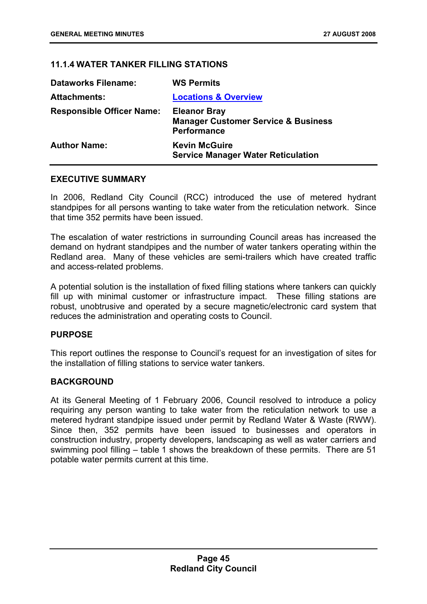# **11.1.4 WATER TANKER FILLING STATIONS**

| <b>Dataworks Filename:</b>       | <b>WS Permits</b>                                                                           |
|----------------------------------|---------------------------------------------------------------------------------------------|
| <b>Attachments:</b>              | <b>Locations &amp; Overview</b>                                                             |
| <b>Responsible Officer Name:</b> | <b>Eleanor Bray</b><br><b>Manager Customer Service &amp; Business</b><br><b>Performance</b> |
| <b>Author Name:</b>              | <b>Kevin McGuire</b><br><b>Service Manager Water Reticulation</b>                           |

#### **EXECUTIVE SUMMARY**

In 2006, Redland City Council (RCC) introduced the use of metered hydrant standpipes for all persons wanting to take water from the reticulation network. Since that time 352 permits have been issued.

The escalation of water restrictions in surrounding Council areas has increased the demand on hydrant standpipes and the number of water tankers operating within the Redland area. Many of these vehicles are semi-trailers which have created traffic and access-related problems.

A potential solution is the installation of fixed filling stations where tankers can quickly fill up with minimal customer or infrastructure impact. These filling stations are robust, unobtrusive and operated by a secure magnetic/electronic card system that reduces the administration and operating costs to Council.

#### **PURPOSE**

This report outlines the response to Council's request for an investigation of sites for the installation of filling stations to service water tankers.

# **BACKGROUND**

At its General Meeting of 1 February 2006, Council resolved to introduce a policy requiring any person wanting to take water from the reticulation network to use a metered hydrant standpipe issued under permit by Redland Water & Waste (RWW). Since then, 352 permits have been issued to businesses and operators in construction industry, property developers, landscaping as well as water carriers and swimming pool filling – table 1 shows the breakdown of these permits. There are 51 potable water permits current at this time.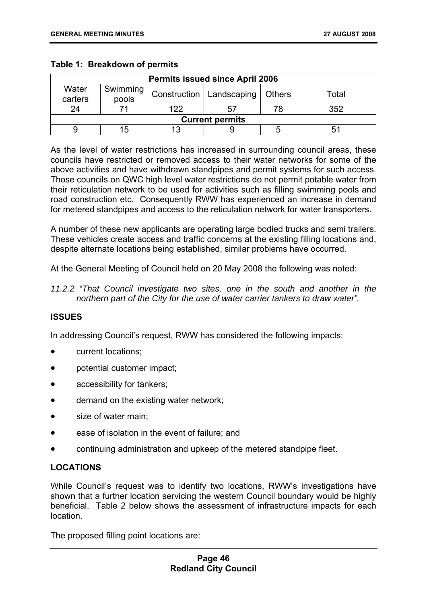| <b>Permits issued since April 2006</b> |                                                                      |     |  |  |     |
|----------------------------------------|----------------------------------------------------------------------|-----|--|--|-----|
| Water<br>carters                       | Swimming<br>Construction   Landscaping<br>  Others<br>Total<br>pools |     |  |  |     |
| 24                                     |                                                                      | 122 |  |  | ふらつ |
| <b>Current permits</b>                 |                                                                      |     |  |  |     |
|                                        |                                                                      |     |  |  |     |

### **Table 1: Breakdown of permits**

As the level of water restrictions has increased in surrounding council areas, these councils have restricted or removed access to their water networks for some of the above activities and have withdrawn standpipes and permit systems for such access. Those councils on QWC high level water restrictions do not permit potable water from their reticulation network to be used for activities such as filling swimming pools and road construction etc. Consequently RWW has experienced an increase in demand for metered standpipes and access to the reticulation network for water transporters.

A number of these new applicants are operating large bodied trucks and semi trailers. These vehicles create access and traffic concerns at the existing filling locations and, despite alternate locations being established, similar problems have occurred.

At the General Meeting of Council held on 20 May 2008 the following was noted:

# **ISSUES**

In addressing Council's request, RWW has considered the following impacts:

- current locations;
- potential customer impact;
- accessibility for tankers;
- demand on the existing water network;
- size of water main:
- ease of isolation in the event of failure; and
- continuing administration and upkeep of the metered standpipe fleet.

# **LOCATIONS**

While Council's request was to identify two locations, RWW's investigations have shown that a further location servicing the western Council boundary would be highly beneficial. Table 2 below shows the assessment of infrastructure impacts for each location.

The proposed filling point locations are:

*<sup>11.2.2 &</sup>quot;That Council investigate two sites, one in the south and another in the northern part of the City for the use of water carrier tankers to draw water".*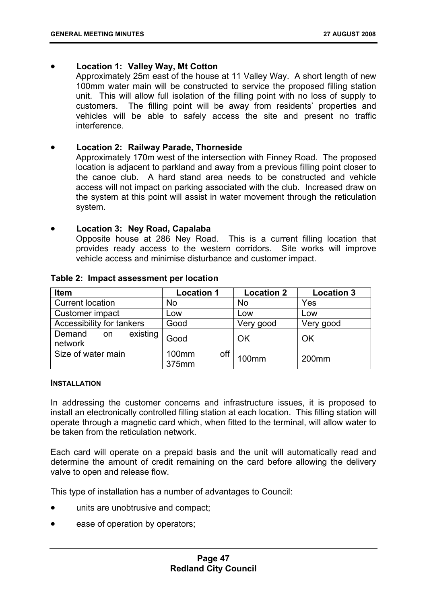# • **Location 1: Valley Way, Mt Cotton**

Approximately 25m east of the house at 11 Valley Way. A short length of new 100mm water main will be constructed to service the proposed filling station unit. This will allow full isolation of the filling point with no loss of supply to customers. The filling point will be away from residents' properties and vehicles will be able to safely access the site and present no traffic interference.

# • **Location 2: Railway Parade, Thorneside**

Approximately 170m west of the intersection with Finney Road. The proposed location is adjacent to parkland and away from a previous filling point closer to the canoe club. A hard stand area needs to be constructed and vehicle access will not impact on parking associated with the club. Increased draw on the system at this point will assist in water movement through the reticulation system.

#### • **Location 3: Ney Road, Capalaba**

Opposite house at 286 Ney Road. This is a current filling location that provides ready access to the western corridors. Site works will improve vehicle access and minimise disturbance and customer impact.

| <b>Item</b>                         | <b>Location 1</b>     | <b>Location 2</b> | <b>Location 3</b> |
|-------------------------------------|-----------------------|-------------------|-------------------|
| <b>Current location</b>             | <b>No</b>             | <b>No</b>         | Yes               |
| Customer impact                     | Low                   | Low               | Low               |
| Accessibility for tankers           | Good                  | Very good         | Very good         |
| existing<br>Demand<br>on<br>network | Good                  | OK                | OK                |
| Size of water main                  | off<br>100mm<br>375mm | 100 <sub>mm</sub> | 200mm             |

#### **Table 2: Impact assessment per location**

#### **INSTALLATION**

In addressing the customer concerns and infrastructure issues, it is proposed to install an electronically controlled filling station at each location. This filling station will operate through a magnetic card which, when fitted to the terminal, will allow water to be taken from the reticulation network.

Each card will operate on a prepaid basis and the unit will automatically read and determine the amount of credit remaining on the card before allowing the delivery valve to open and release flow.

This type of installation has a number of advantages to Council:

- units are unobtrusive and compact;
- ease of operation by operators;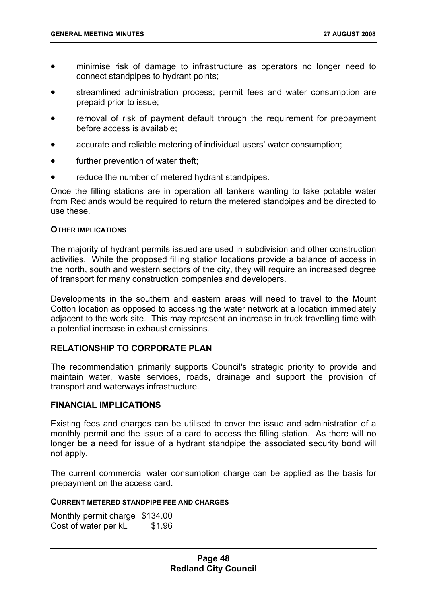- minimise risk of damage to infrastructure as operators no longer need to connect standpipes to hydrant points;
- streamlined administration process; permit fees and water consumption are prepaid prior to issue;
- removal of risk of payment default through the requirement for prepayment before access is available;
- accurate and reliable metering of individual users' water consumption;
- further prevention of water theft;
- reduce the number of metered hydrant standpipes.

Once the filling stations are in operation all tankers wanting to take potable water from Redlands would be required to return the metered standpipes and be directed to use these.

#### **OTHER IMPLICATIONS**

The majority of hydrant permits issued are used in subdivision and other construction activities. While the proposed filling station locations provide a balance of access in the north, south and western sectors of the city, they will require an increased degree of transport for many construction companies and developers.

Developments in the southern and eastern areas will need to travel to the Mount Cotton location as opposed to accessing the water network at a location immediately adjacent to the work site. This may represent an increase in truck travelling time with a potential increase in exhaust emissions.

# **RELATIONSHIP TO CORPORATE PLAN**

The recommendation primarily supports Council's strategic priority to provide and maintain water, waste services, roads, drainage and support the provision of transport and waterways infrastructure.

#### **FINANCIAL IMPLICATIONS**

Existing fees and charges can be utilised to cover the issue and administration of a monthly permit and the issue of a card to access the filling station. As there will no longer be a need for issue of a hydrant standpipe the associated security bond will not apply.

The current commercial water consumption charge can be applied as the basis for prepayment on the access card.

#### **CURRENT METERED STANDPIPE FEE AND CHARGES**

Monthly permit charge \$134.00 Cost of water per kL \$1.96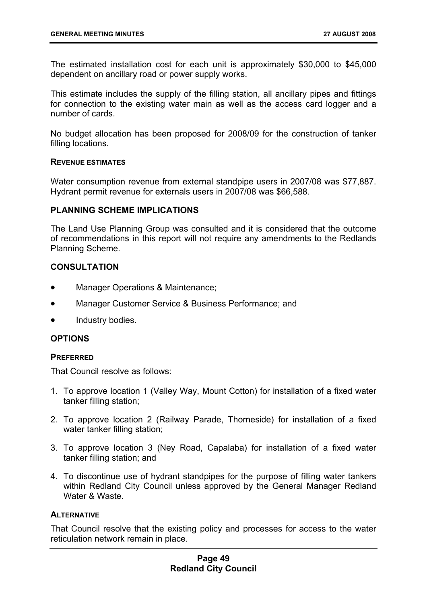The estimated installation cost for each unit is approximately \$30,000 to \$45,000 dependent on ancillary road or power supply works.

This estimate includes the supply of the filling station, all ancillary pipes and fittings for connection to the existing water main as well as the access card logger and a number of cards.

No budget allocation has been proposed for 2008/09 for the construction of tanker filling locations.

#### **REVENUE ESTIMATES**

Water consumption revenue from external standpipe users in 2007/08 was \$77,887. Hydrant permit revenue for externals users in 2007/08 was \$66,588.

#### **PLANNING SCHEME IMPLICATIONS**

The Land Use Planning Group was consulted and it is considered that the outcome of recommendations in this report will not require any amendments to the Redlands Planning Scheme.

# **CONSULTATION**

- Manager Operations & Maintenance;
- Manager Customer Service & Business Performance; and
- Industry bodies.

# **OPTIONS**

#### **PREFERRED**

That Council resolve as follows:

- 1. To approve location 1 (Valley Way, Mount Cotton) for installation of a fixed water tanker filling station;
- 2. To approve location 2 (Railway Parade, Thorneside) for installation of a fixed water tanker filling station;
- 3. To approve location 3 (Ney Road, Capalaba) for installation of a fixed water tanker filling station; and
- 4. To discontinue use of hydrant standpipes for the purpose of filling water tankers within Redland City Council unless approved by the General Manager Redland Water & Waste.

# **ALTERNATIVE**

That Council resolve that the existing policy and processes for access to the water reticulation network remain in place.

### **Page 49 Redland City Council**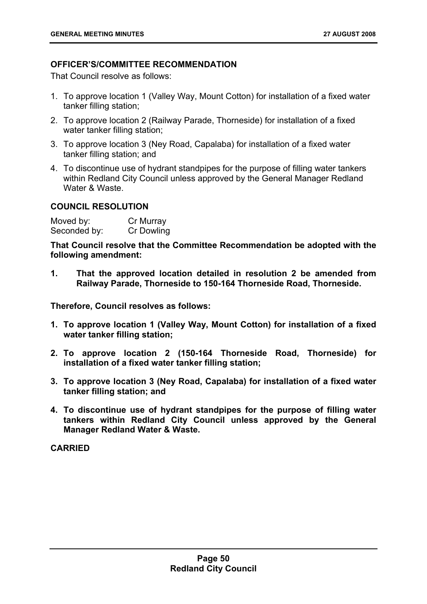# **OFFICER'S/COMMITTEE RECOMMENDATION**

That Council resolve as follows:

- 1. To approve location 1 (Valley Way, Mount Cotton) for installation of a fixed water tanker filling station;
- 2. To approve location 2 (Railway Parade, Thorneside) for installation of a fixed water tanker filling station:
- 3. To approve location 3 (Ney Road, Capalaba) for installation of a fixed water tanker filling station; and
- 4. To discontinue use of hydrant standpipes for the purpose of filling water tankers within Redland City Council unless approved by the General Manager Redland Water & Waste.

# **COUNCIL RESOLUTION**

Moved by: Cr Murray Seconded by: Cr Dowling

**That Council resolve that the Committee Recommendation be adopted with the following amendment:** 

**1. That the approved location detailed in resolution 2 be amended from Railway Parade, Thorneside to 150-164 Thorneside Road, Thorneside.** 

**Therefore, Council resolves as follows:** 

- **1. To approve location 1 (Valley Way, Mount Cotton) for installation of a fixed water tanker filling station;**
- **2. To approve location 2 (150-164 Thorneside Road, Thorneside) for installation of a fixed water tanker filling station;**
- **3. To approve location 3 (Ney Road, Capalaba) for installation of a fixed water tanker filling station; and**
- **4. To discontinue use of hydrant standpipes for the purpose of filling water tankers within Redland City Council unless approved by the General Manager Redland Water & Waste.**

**CARRIED**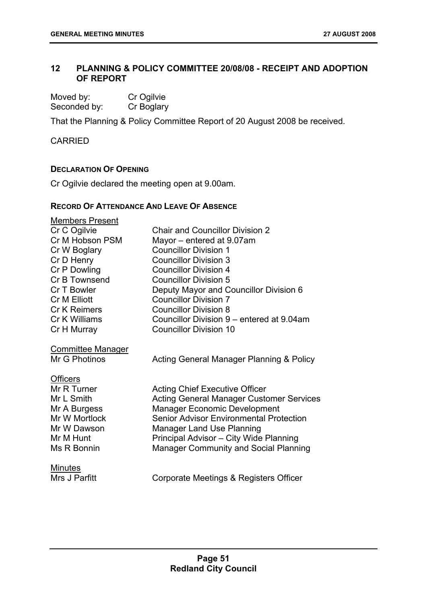# **12 PLANNING & POLICY COMMITTEE 20/08/08 - RECEIPT AND ADOPTION OF REPORT**

| Moved by:    | Cr Ogilvie |
|--------------|------------|
| Seconded by: | Cr Boglary |

That the Planning & Policy Committee Report of 20 August 2008 be received.

**CARRIED** 

# **DECLARATION OF OPENING**

Cr Ogilvie declared the meeting open at 9.00am.

#### **RECORD OF ATTENDANCE AND LEAVE OF ABSENCE**

| <b>Members Present</b>   |                                                 |
|--------------------------|-------------------------------------------------|
| Cr C Ogilvie             | <b>Chair and Councillor Division 2</b>          |
| Cr M Hobson PSM          | Mayor - entered at 9.07am                       |
| Cr W Boglary             | <b>Councillor Division 1</b>                    |
| Cr D Henry               | <b>Councillor Division 3</b>                    |
| Cr P Dowling             | <b>Councillor Division 4</b>                    |
| Cr B Townsend            | <b>Councillor Division 5</b>                    |
| Cr T Bowler              | Deputy Mayor and Councillor Division 6          |
| Cr M Elliott             | <b>Councillor Division 7</b>                    |
| <b>Cr K Reimers</b>      | <b>Councillor Division 8</b>                    |
| Cr K Williams            | Councillor Division 9 – entered at 9.04am       |
| Cr H Murray              | <b>Councillor Division 10</b>                   |
| <b>Committee Manager</b> |                                                 |
| Mr G Photinos            | Acting General Manager Planning & Policy        |
|                          |                                                 |
| <b>Officers</b>          |                                                 |
| Mr R Turner              | <b>Acting Chief Executive Officer</b>           |
| Mr L Smith               | <b>Acting General Manager Customer Services</b> |
| Mr A Burgess             | <b>Manager Economic Development</b>             |
| Mr W Mortlock            | <b>Senior Advisor Environmental Protection</b>  |
| Mr W Dawson              | <b>Manager Land Use Planning</b>                |
| Mr M Hunt                | Principal Advisor - City Wide Planning          |
| Ms R Bonnin              | <b>Manager Community and Social Planning</b>    |
|                          |                                                 |
| <b>Minutes</b>           |                                                 |
| Mrs J Parfitt            | Corporate Meetings & Registers Officer          |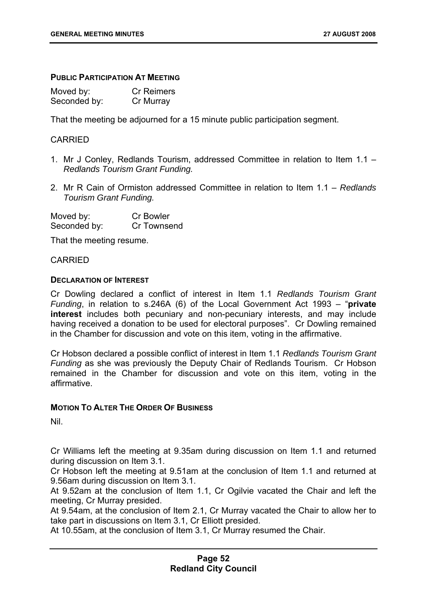#### **PUBLIC PARTICIPATION AT MEETING**

| Moved by:    | <b>Cr Reimers</b> |
|--------------|-------------------|
| Seconded by: | Cr Murray         |

That the meeting be adjourned for a 15 minute public participation segment.

#### CARRIED

- 1. Mr J Conley, Redlands Tourism, addressed Committee in relation to Item 1.1 *Redlands Tourism Grant Funding.*
- 2. Mr R Cain of Ormiston addressed Committee in relation to Item 1.1 *Redlands Tourism Grant Funding.*

| Moved by:    | <b>Cr Bowler</b> |
|--------------|------------------|
| Seconded by: | Cr Townsend      |

That the meeting resume.

#### CARRIED

#### **DECLARATION OF INTEREST**

Cr Dowling declared a conflict of interest in Item 1.1 *Redlands Tourism Grant Funding*, in relation to s.246A (6) of the Local Government Act 1993 – "**private interest** includes both pecuniary and non-pecuniary interests, and may include having received a donation to be used for electoral purposes". Cr Dowling remained in the Chamber for discussion and vote on this item, voting in the affirmative.

Cr Hobson declared a possible conflict of interest in Item 1.1 *Redlands Tourism Grant Funding* as she was previously the Deputy Chair of Redlands Tourism. Cr Hobson remained in the Chamber for discussion and vote on this item, voting in the affirmative.

#### **MOTION TO ALTER THE ORDER OF BUSINESS**

Nil.

Cr Williams left the meeting at 9.35am during discussion on Item 1.1 and returned during discussion on Item 3.1.

Cr Hobson left the meeting at 9.51am at the conclusion of Item 1.1 and returned at 9.56am during discussion on Item 3.1.

At 9.52am at the conclusion of Item 1.1, Cr Ogilvie vacated the Chair and left the meeting, Cr Murray presided.

At 9.54am, at the conclusion of Item 2.1, Cr Murray vacated the Chair to allow her to take part in discussions on Item 3.1, Cr Elliott presided.

At 10.55am, at the conclusion of Item 3.1, Cr Murray resumed the Chair.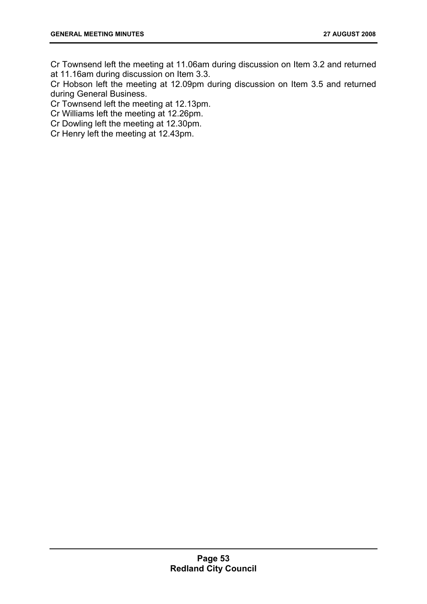Cr Townsend left the meeting at 11.06am during discussion on Item 3.2 and returned at 11.16am during discussion on Item 3.3.

Cr Hobson left the meeting at 12.09pm during discussion on Item 3.5 and returned during General Business.

Cr Townsend left the meeting at 12.13pm.

Cr Williams left the meeting at 12.26pm.

Cr Dowling left the meeting at 12.30pm.

Cr Henry left the meeting at 12.43pm.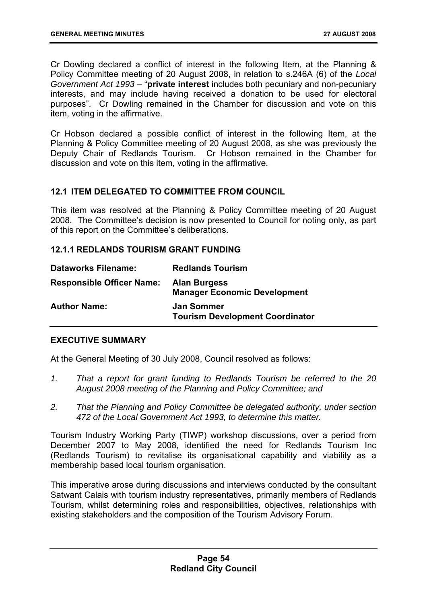Cr Dowling declared a conflict of interest in the following Item*,* at the Planning & Policy Committee meeting of 20 August 2008, in relation to s.246A (6) of the *Local Government Act 1993* – "**private interest** includes both pecuniary and non-pecuniary interests, and may include having received a donation to be used for electoral purposes". Cr Dowling remained in the Chamber for discussion and vote on this item, voting in the affirmative.

Cr Hobson declared a possible conflict of interest in the following Item, at the Planning & Policy Committee meeting of 20 August 2008, as she was previously the Deputy Chair of Redlands Tourism. Cr Hobson remained in the Chamber for discussion and vote on this item, voting in the affirmative.

# **12.1 ITEM DELEGATED TO COMMITTEE FROM COUNCIL**

This item was resolved at the Planning & Policy Committee meeting of 20 August 2008. The Committee's decision is now presented to Council for noting only, as part of this report on the Committee's deliberations.

# **12.1.1 REDLANDS TOURISM GRANT FUNDING**

| <b>Dataworks Filename:</b>       | <b>Redlands Tourism</b>                                     |
|----------------------------------|-------------------------------------------------------------|
| <b>Responsible Officer Name:</b> | <b>Alan Burgess</b><br><b>Manager Economic Development</b>  |
| <b>Author Name:</b>              | <b>Jan Sommer</b><br><b>Tourism Development Coordinator</b> |

#### **EXECUTIVE SUMMARY**

At the General Meeting of 30 July 2008, Council resolved as follows:

- *1. That a report for grant funding to Redlands Tourism be referred to the 20 August 2008 meeting of the Planning and Policy Committee; and*
- *2. That the Planning and Policy Committee be delegated authority, under section 472 of the Local Government Act 1993, to determine this matter.*

Tourism Industry Working Party (TIWP) workshop discussions, over a period from December 2007 to May 2008, identified the need for Redlands Tourism Inc (Redlands Tourism) to revitalise its organisational capability and viability as a membership based local tourism organisation.

This imperative arose during discussions and interviews conducted by the consultant Satwant Calais with tourism industry representatives, primarily members of Redlands Tourism, whilst determining roles and responsibilities, objectives, relationships with existing stakeholders and the composition of the Tourism Advisory Forum.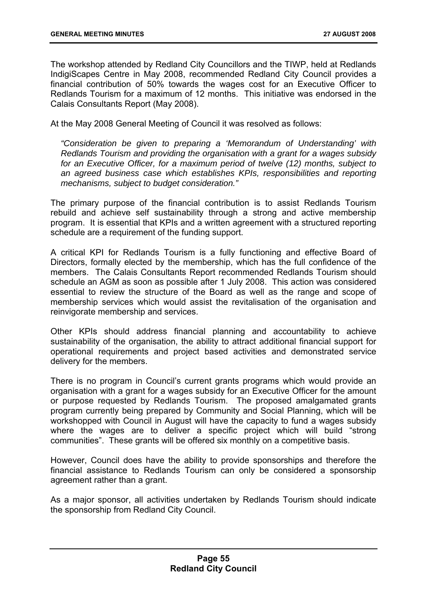The workshop attended by Redland City Councillors and the TIWP, held at Redlands IndigiScapes Centre in May 2008, recommended Redland City Council provides a financial contribution of 50% towards the wages cost for an Executive Officer to Redlands Tourism for a maximum of 12 months. This initiative was endorsed in the Calais Consultants Report (May 2008).

At the May 2008 General Meeting of Council it was resolved as follows:

*"Consideration be given to preparing a 'Memorandum of Understanding' with Redlands Tourism and providing the organisation with a grant for a wages subsidy*  for an Executive Officer, for a maximum period of twelve (12) months, subject to an agreed business case which establishes KPIs, responsibilities and reporting *mechanisms, subject to budget consideration."* 

The primary purpose of the financial contribution is to assist Redlands Tourism rebuild and achieve self sustainability through a strong and active membership program. It is essential that KPIs and a written agreement with a structured reporting schedule are a requirement of the funding support.

A critical KPI for Redlands Tourism is a fully functioning and effective Board of Directors, formally elected by the membership, which has the full confidence of the members. The Calais Consultants Report recommended Redlands Tourism should schedule an AGM as soon as possible after 1 July 2008. This action was considered essential to review the structure of the Board as well as the range and scope of membership services which would assist the revitalisation of the organisation and reinvigorate membership and services.

Other KPIs should address financial planning and accountability to achieve sustainability of the organisation, the ability to attract additional financial support for operational requirements and project based activities and demonstrated service delivery for the members.

There is no program in Council's current grants programs which would provide an organisation with a grant for a wages subsidy for an Executive Officer for the amount or purpose requested by Redlands Tourism. The proposed amalgamated grants program currently being prepared by Community and Social Planning, which will be workshopped with Council in August will have the capacity to fund a wages subsidy where the wages are to deliver a specific project which will build "strong" communities". These grants will be offered six monthly on a competitive basis.

However, Council does have the ability to provide sponsorships and therefore the financial assistance to Redlands Tourism can only be considered a sponsorship agreement rather than a grant.

As a major sponsor, all activities undertaken by Redlands Tourism should indicate the sponsorship from Redland City Council.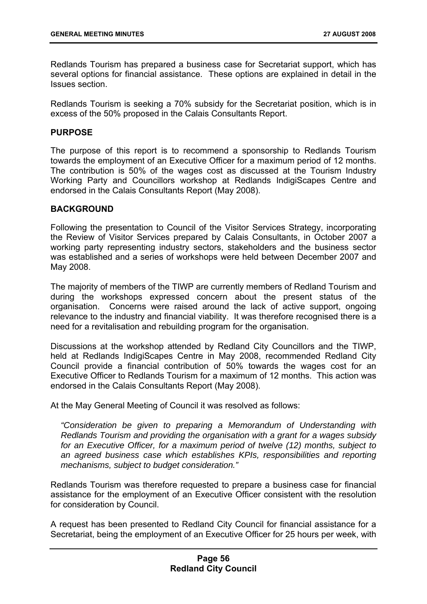Redlands Tourism has prepared a business case for Secretariat support, which has several options for financial assistance. These options are explained in detail in the Issues section.

Redlands Tourism is seeking a 70% subsidy for the Secretariat position, which is in excess of the 50% proposed in the Calais Consultants Report.

#### **PURPOSE**

The purpose of this report is to recommend a sponsorship to Redlands Tourism towards the employment of an Executive Officer for a maximum period of 12 months. The contribution is 50% of the wages cost as discussed at the Tourism Industry Working Party and Councillors workshop at Redlands IndigiScapes Centre and endorsed in the Calais Consultants Report (May 2008).

# **BACKGROUND**

Following the presentation to Council of the Visitor Services Strategy, incorporating the Review of Visitor Services prepared by Calais Consultants, in October 2007 a working party representing industry sectors, stakeholders and the business sector was established and a series of workshops were held between December 2007 and May 2008.

The majority of members of the TIWP are currently members of Redland Tourism and during the workshops expressed concern about the present status of the organisation. Concerns were raised around the lack of active support, ongoing relevance to the industry and financial viability. It was therefore recognised there is a need for a revitalisation and rebuilding program for the organisation.

Discussions at the workshop attended by Redland City Councillors and the TIWP, held at Redlands IndigiScapes Centre in May 2008, recommended Redland City Council provide a financial contribution of 50% towards the wages cost for an Executive Officer to Redlands Tourism for a maximum of 12 months. This action was endorsed in the Calais Consultants Report (May 2008).

At the May General Meeting of Council it was resolved as follows:

*"Consideration be given to preparing a Memorandum of Understanding with Redlands Tourism and providing the organisation with a grant for a wages subsidy*  for an Executive Officer, for a maximum period of twelve (12) months, subject to an agreed business case which establishes KPIs, responsibilities and reporting *mechanisms, subject to budget consideration."* 

Redlands Tourism was therefore requested to prepare a business case for financial assistance for the employment of an Executive Officer consistent with the resolution for consideration by Council.

A request has been presented to Redland City Council for financial assistance for a Secretariat, being the employment of an Executive Officer for 25 hours per week, with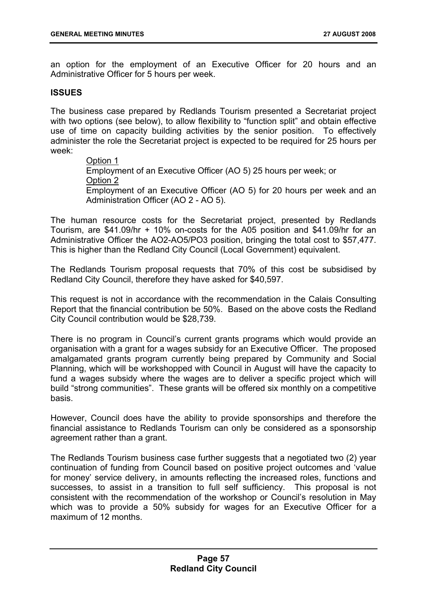an option for the employment of an Executive Officer for 20 hours and an Administrative Officer for 5 hours per week.

# **ISSUES**

The business case prepared by Redlands Tourism presented a Secretariat project with two options (see below), to allow flexibility to "function split" and obtain effective use of time on capacity building activities by the senior position. To effectively administer the role the Secretariat project is expected to be required for 25 hours per week:

> Option 1 Employment of an Executive Officer (AO 5) 25 hours per week; or Option 2 Employment of an Executive Officer (AO 5) for 20 hours per week and an Administration Officer (AO 2 - AO 5).

The human resource costs for the Secretariat project, presented by Redlands Tourism, are \$41.09/hr + 10% on-costs for the A05 position and \$41.09/hr for an Administrative Officer the AO2-AO5/PO3 position, bringing the total cost to \$57,477. This is higher than the Redland City Council (Local Government) equivalent.

The Redlands Tourism proposal requests that 70% of this cost be subsidised by Redland City Council, therefore they have asked for \$40,597.

This request is not in accordance with the recommendation in the Calais Consulting Report that the financial contribution be 50%. Based on the above costs the Redland City Council contribution would be \$28,739.

There is no program in Council's current grants programs which would provide an organisation with a grant for a wages subsidy for an Executive Officer. The proposed amalgamated grants program currently being prepared by Community and Social Planning, which will be workshopped with Council in August will have the capacity to fund a wages subsidy where the wages are to deliver a specific project which will build "strong communities". These grants will be offered six monthly on a competitive basis.

However, Council does have the ability to provide sponsorships and therefore the financial assistance to Redlands Tourism can only be considered as a sponsorship agreement rather than a grant.

The Redlands Tourism business case further suggests that a negotiated two (2) year continuation of funding from Council based on positive project outcomes and 'value for money' service delivery, in amounts reflecting the increased roles, functions and successes, to assist in a transition to full self sufficiency. This proposal is not consistent with the recommendation of the workshop or Council's resolution in May which was to provide a 50% subsidy for wages for an Executive Officer for a maximum of 12 months.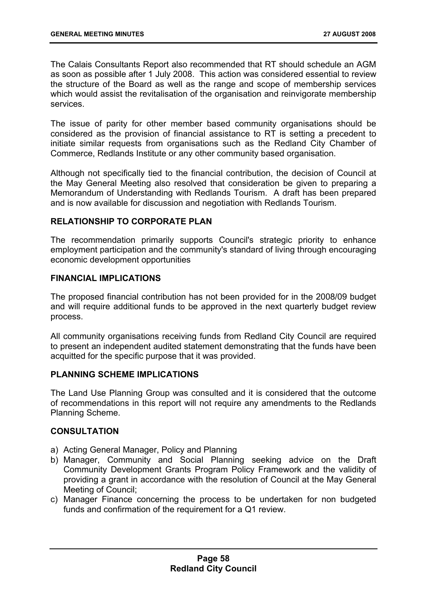The Calais Consultants Report also recommended that RT should schedule an AGM as soon as possible after 1 July 2008. This action was considered essential to review the structure of the Board as well as the range and scope of membership services which would assist the revitalisation of the organisation and reinvigorate membership services.

The issue of parity for other member based community organisations should be considered as the provision of financial assistance to RT is setting a precedent to initiate similar requests from organisations such as the Redland City Chamber of Commerce, Redlands Institute or any other community based organisation.

Although not specifically tied to the financial contribution, the decision of Council at the May General Meeting also resolved that consideration be given to preparing a Memorandum of Understanding with Redlands Tourism. A draft has been prepared and is now available for discussion and negotiation with Redlands Tourism.

# **RELATIONSHIP TO CORPORATE PLAN**

The recommendation primarily supports Council's strategic priority to enhance employment participation and the community's standard of living through encouraging economic development opportunities

# **FINANCIAL IMPLICATIONS**

The proposed financial contribution has not been provided for in the 2008/09 budget and will require additional funds to be approved in the next quarterly budget review process.

All community organisations receiving funds from Redland City Council are required to present an independent audited statement demonstrating that the funds have been acquitted for the specific purpose that it was provided.

# **PLANNING SCHEME IMPLICATIONS**

The Land Use Planning Group was consulted and it is considered that the outcome of recommendations in this report will not require any amendments to the Redlands Planning Scheme.

# **CONSULTATION**

- a) Acting General Manager, Policy and Planning
- b) Manager, Community and Social Planning seeking advice on the Draft Community Development Grants Program Policy Framework and the validity of providing a grant in accordance with the resolution of Council at the May General Meeting of Council;
- c) Manager Finance concerning the process to be undertaken for non budgeted funds and confirmation of the requirement for a Q1 review.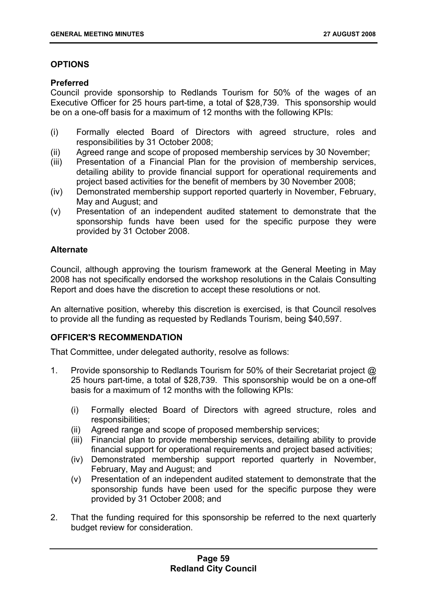# **OPTIONS**

# **Preferred**

Council provide sponsorship to Redlands Tourism for 50% of the wages of an Executive Officer for 25 hours part-time, a total of \$28,739. This sponsorship would be on a one-off basis for a maximum of 12 months with the following KPIs:

- (i) Formally elected Board of Directors with agreed structure, roles and responsibilities by 31 October 2008;
- (ii) Agreed range and scope of proposed membership services by 30 November;
- (iii) Presentation of a Financial Plan for the provision of membership services, detailing ability to provide financial support for operational requirements and project based activities for the benefit of members by 30 November 2008;
- (iv) Demonstrated membership support reported quarterly in November, February, May and August; and
- (v) Presentation of an independent audited statement to demonstrate that the sponsorship funds have been used for the specific purpose they were provided by 31 October 2008.

# **Alternate**

Council, although approving the tourism framework at the General Meeting in May 2008 has not specifically endorsed the workshop resolutions in the Calais Consulting Report and does have the discretion to accept these resolutions or not.

An alternative position, whereby this discretion is exercised, is that Council resolves to provide all the funding as requested by Redlands Tourism, being \$40,597.

# **OFFICER'S RECOMMENDATION**

That Committee, under delegated authority, resolve as follows:

- 1. Provide sponsorship to Redlands Tourism for 50% of their Secretariat project @ 25 hours part-time, a total of \$28,739. This sponsorship would be on a one-off basis for a maximum of 12 months with the following KPIs:
	- (i) Formally elected Board of Directors with agreed structure, roles and responsibilities;
	- (ii) Agreed range and scope of proposed membership services;
	- (iii) Financial plan to provide membership services, detailing ability to provide financial support for operational requirements and project based activities;
	- (iv) Demonstrated membership support reported quarterly in November, February, May and August; and
	- (v) Presentation of an independent audited statement to demonstrate that the sponsorship funds have been used for the specific purpose they were provided by 31 October 2008; and
- 2. That the funding required for this sponsorship be referred to the next quarterly budget review for consideration.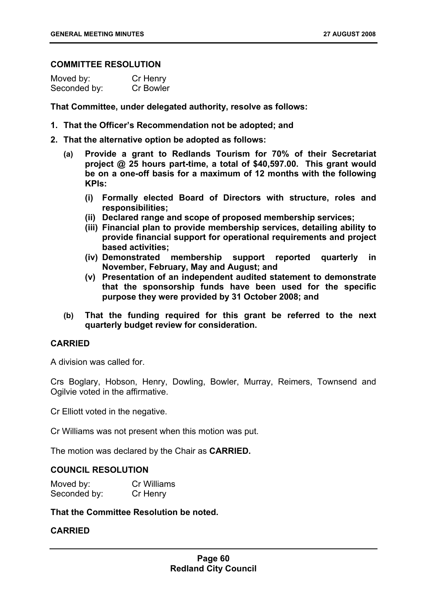#### **COMMITTEE RESOLUTION**

| Moved by:    | Cr Henry  |
|--------------|-----------|
| Seconded by: | Cr Bowler |

**That Committee, under delegated authority, resolve as follows:** 

- **1. That the Officer's Recommendation not be adopted; and**
- **2. That the alternative option be adopted as follows:** 
	- **(a) Provide a grant to Redlands Tourism for 70% of their Secretariat project @ 25 hours part-time, a total of \$40,597.00. This grant would be on a one-off basis for a maximum of 12 months with the following KPIs:** 
		- **(i) Formally elected Board of Directors with structure, roles and responsibilities;**
		- **(ii) Declared range and scope of proposed membership services;**
		- **(iii) Financial plan to provide membership services, detailing ability to provide financial support for operational requirements and project based activities;**
		- **(iv) Demonstrated membership support reported quarterly in November, February, May and August; and**
		- **(v) Presentation of an independent audited statement to demonstrate that the sponsorship funds have been used for the specific purpose they were provided by 31 October 2008; and**
	- **(b) That the funding required for this grant be referred to the next quarterly budget review for consideration.**

# **CARRIED**

A division was called for.

Crs Boglary, Hobson, Henry, Dowling, Bowler, Murray, Reimers, Townsend and Ogilvie voted in the affirmative.

Cr Elliott voted in the negative.

Cr Williams was not present when this motion was put.

The motion was declared by the Chair as **CARRIED.** 

### **COUNCIL RESOLUTION**

| Moved by:    | Cr Williams |
|--------------|-------------|
| Seconded by: | Cr Henry    |

**That the Committee Resolution be noted.** 

### **CARRIED**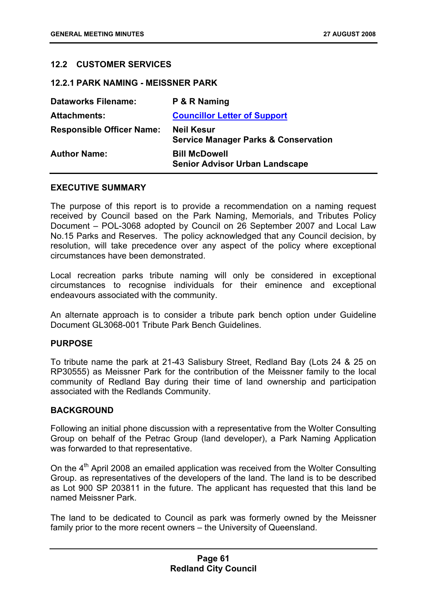# **12.2 CUSTOMER SERVICES**

#### **12.2.1 PARK NAMING - MEISSNER PARK**

| <b>Dataworks Filename:</b>       | P & R Naming                                                         |
|----------------------------------|----------------------------------------------------------------------|
| <b>Attachments:</b>              | <b>Councillor Letter of Support</b>                                  |
| <b>Responsible Officer Name:</b> | <b>Neil Kesur</b><br><b>Service Manager Parks &amp; Conservation</b> |
| <b>Author Name:</b>              | <b>Bill McDowell</b><br><b>Senior Advisor Urban Landscape</b>        |

#### **EXECUTIVE SUMMARY**

The purpose of this report is to provide a recommendation on a naming request received by Council based on the Park Naming, Memorials, and Tributes Policy Document – POL-3068 adopted by Council on 26 September 2007 and Local Law No.15 Parks and Reserves. The policy acknowledged that any Council decision, by resolution, will take precedence over any aspect of the policy where exceptional circumstances have been demonstrated.

Local recreation parks tribute naming will only be considered in exceptional circumstances to recognise individuals for their eminence and exceptional endeavours associated with the community.

An alternate approach is to consider a tribute park bench option under Guideline Document GL3068-001 Tribute Park Bench Guidelines.

#### **PURPOSE**

To tribute name the park at 21-43 Salisbury Street, Redland Bay (Lots 24 & 25 on RP30555) as Meissner Park for the contribution of the Meissner family to the local community of Redland Bay during their time of land ownership and participation associated with the Redlands Community.

# **BACKGROUND**

Following an initial phone discussion with a representative from the Wolter Consulting Group on behalf of the Petrac Group (land developer), a Park Naming Application was forwarded to that representative.

On the  $4<sup>th</sup>$  April 2008 an emailed application was received from the Wolter Consulting Group. as representatives of the developers of the land. The land is to be described as Lot 900 SP 203811 in the future. The applicant has requested that this land be named Meissner Park.

The land to be dedicated to Council as park was formerly owned by the Meissner family prior to the more recent owners – the University of Queensland.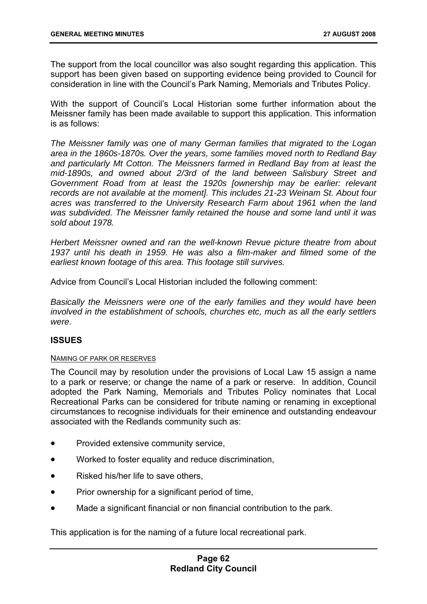The support from the local councillor was also sought regarding this application. This support has been given based on supporting evidence being provided to Council for consideration in line with the Council's Park Naming, Memorials and Tributes Policy.

With the support of Council's Local Historian some further information about the Meissner family has been made available to support this application. This information is as follows:

*The Meissner family was one of many German families that migrated to the Logan area in the 1860s-1870s. Over the years, some families moved north to Redland Bay and particularly Mt Cotton. The Meissners farmed in Redland Bay from at least the mid-1890s, and owned about 2/3rd of the land between Salisbury Street and Government Road from at least the 1920s [ownership may be earlier: relevant records are not available at the moment]. This includes 21-23 Weinam St. About four acres was transferred to the University Research Farm about 1961 when the land was subdivided. The Meissner family retained the house and some land until it was sold about 1978.* 

*Herbert Meissner owned and ran the well-known Revue picture theatre from about 1937 until his death in 1959. He was also a film-maker and filmed some of the earliest known footage of this area. This footage still survives.* 

Advice from Council's Local Historian included the following comment:

*Basically the Meissners were one of the early families and they would have been involved in the establishment of schools, churches etc, much as all the early settlers were.* 

#### **ISSUES**

#### NAMING OF PARK OR RESERVES

The Council may by resolution under the provisions of Local Law 15 assign a name to a park or reserve; or change the name of a park or reserve. In addition, Council adopted the Park Naming, Memorials and Tributes Policy nominates that Local Recreational Parks can be considered for tribute naming or renaming in exceptional circumstances to recognise individuals for their eminence and outstanding endeavour associated with the Redlands community such as:

- Provided extensive community service,
- Worked to foster equality and reduce discrimination,
- Risked his/her life to save others,
- Prior ownership for a significant period of time,
- Made a significant financial or non financial contribution to the park.

This application is for the naming of a future local recreational park.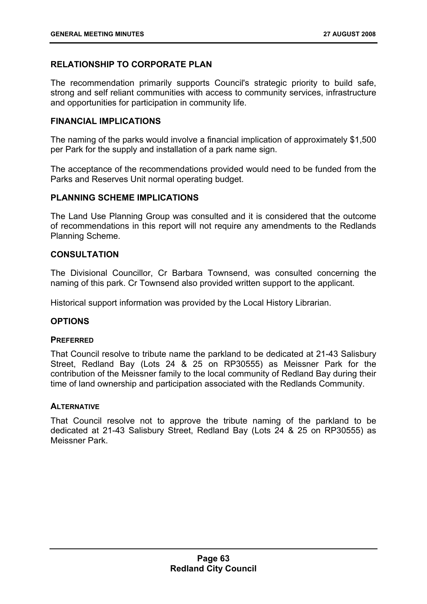# **RELATIONSHIP TO CORPORATE PLAN**

The recommendation primarily supports Council's strategic priority to build safe, strong and self reliant communities with access to community services, infrastructure and opportunities for participation in community life.

# **FINANCIAL IMPLICATIONS**

The naming of the parks would involve a financial implication of approximately \$1,500 per Park for the supply and installation of a park name sign.

The acceptance of the recommendations provided would need to be funded from the Parks and Reserves Unit normal operating budget.

# **PLANNING SCHEME IMPLICATIONS**

The Land Use Planning Group was consulted and it is considered that the outcome of recommendations in this report will not require any amendments to the Redlands Planning Scheme.

# **CONSULTATION**

The Divisional Councillor, Cr Barbara Townsend, was consulted concerning the naming of this park. Cr Townsend also provided written support to the applicant.

Historical support information was provided by the Local History Librarian.

# **OPTIONS**

#### **PREFERRED**

That Council resolve to tribute name the parkland to be dedicated at 21-43 Salisbury Street, Redland Bay (Lots 24 & 25 on RP30555) as Meissner Park for the contribution of the Meissner family to the local community of Redland Bay during their time of land ownership and participation associated with the Redlands Community.

#### **ALTERNATIVE**

That Council resolve not to approve the tribute naming of the parkland to be dedicated at 21-43 Salisbury Street, Redland Bay (Lots 24 & 25 on RP30555) as Meissner Park.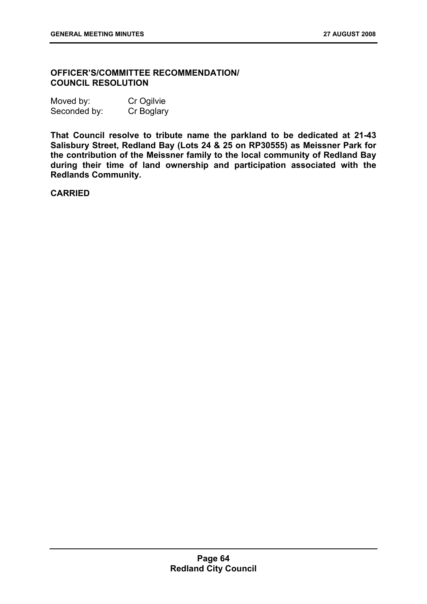# **OFFICER'S/COMMITTEE RECOMMENDATION/ COUNCIL RESOLUTION**

| Moved by:    | Cr Ogilvie |
|--------------|------------|
| Seconded by: | Cr Boglary |

**That Council resolve to tribute name the parkland to be dedicated at 21-43 Salisbury Street, Redland Bay (Lots 24 & 25 on RP30555) as Meissner Park for the contribution of the Meissner family to the local community of Redland Bay during their time of land ownership and participation associated with the Redlands Community.** 

**CARRIED**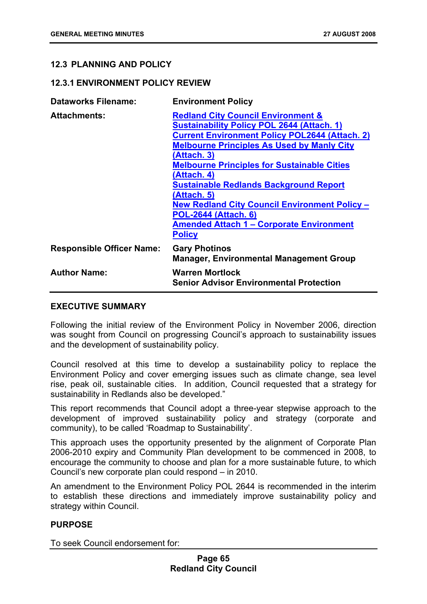# **12.3 PLANNING AND POLICY**

# **12.3.1 ENVIRONMENT POLICY REVIEW**

| <b>Dataworks Filename:</b>       | <b>Environment Policy</b>                                                                                                                                                                                                                                                                                                                                                                                                                                                                                                       |
|----------------------------------|---------------------------------------------------------------------------------------------------------------------------------------------------------------------------------------------------------------------------------------------------------------------------------------------------------------------------------------------------------------------------------------------------------------------------------------------------------------------------------------------------------------------------------|
| <b>Attachments:</b>              | <b>Redland City Council Environment &amp;</b><br><b>Sustainability Policy POL 2644 (Attach. 1)</b><br><b>Current Environment Policy POL2644 (Attach. 2)</b><br><b>Melbourne Principles As Used by Manly City</b><br>(Attach. 3)<br><b>Melbourne Principles for Sustainable Cities</b><br>(Attach. 4)<br><b>Sustainable Redlands Background Report</b><br>(Attach. 5)<br><b>New Redland City Council Environment Policy -</b><br><b>POL-2644 (Attach. 6)</b><br><b>Amended Attach 1 – Corporate Environment</b><br><b>Policy</b> |
| <b>Responsible Officer Name:</b> | <b>Gary Photinos</b><br><b>Manager, Environmental Management Group</b>                                                                                                                                                                                                                                                                                                                                                                                                                                                          |
| <b>Author Name:</b>              | <b>Warren Mortlock</b><br><b>Senior Advisor Environmental Protection</b>                                                                                                                                                                                                                                                                                                                                                                                                                                                        |

### **EXECUTIVE SUMMARY**

Following the initial review of the Environment Policy in November 2006, direction was sought from Council on progressing Council's approach to sustainability issues and the development of sustainability policy.

Council resolved at this time to develop a sustainability policy to replace the Environment Policy and cover emerging issues such as climate change, sea level rise, peak oil, sustainable cities. In addition, Council requested that a strategy for sustainability in Redlands also be developed."

This report recommends that Council adopt a three-year stepwise approach to the development of improved sustainability policy and strategy (corporate and community), to be called 'Roadmap to Sustainability'.

This approach uses the opportunity presented by the alignment of Corporate Plan 2006-2010 expiry and Community Plan development to be commenced in 2008, to encourage the community to choose and plan for a more sustainable future, to which Council's new corporate plan could respond – in 2010.

An amendment to the Environment Policy POL 2644 is recommended in the interim to establish these directions and immediately improve sustainability policy and strategy within Council.

# **PURPOSE**

To seek Council endorsement for: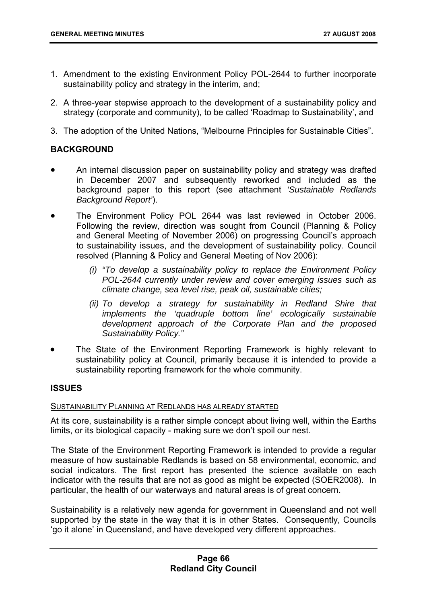- 1. Amendment to the existing Environment Policy POL-2644 to further incorporate sustainability policy and strategy in the interim, and;
- 2. A three-year stepwise approach to the development of a sustainability policy and strategy (corporate and community), to be called 'Roadmap to Sustainability', and
- 3. The adoption of the United Nations, "Melbourne Principles for Sustainable Cities".

# **BACKGROUND**

- An internal discussion paper on sustainability policy and strategy was drafted in December 2007 and subsequently reworked and included as the background paper to this report (see attachment *'Sustainable Redlands Background Report'*).
- The Environment Policy POL 2644 was last reviewed in October 2006. Following the review, direction was sought from Council (Planning & Policy and General Meeting of November 2006) on progressing Council's approach to sustainability issues, and the development of sustainability policy. Council resolved (Planning & Policy and General Meeting of Nov 2006):
	- *(i) "To develop a sustainability policy to replace the Environment Policy POL-2644 currently under review and cover emerging issues such as climate change, sea level rise, peak oil, sustainable cities;*
	- *(ii) To develop a strategy for sustainability in Redland Shire that implements the 'quadruple bottom line' ecologically sustainable development approach of the Corporate Plan and the proposed Sustainability Policy."*
- The State of the Environment Reporting Framework is highly relevant to sustainability policy at Council, primarily because it is intended to provide a sustainability reporting framework for the whole community.

#### **ISSUES**

# SUSTAINABILITY PLANNING AT REDLANDS HAS ALREADY STARTED

At its core, sustainability is a rather simple concept about living well, within the Earths limits, or its biological capacity - making sure we don't spoil our nest.

The State of the Environment Reporting Framework is intended to provide a regular measure of how sustainable Redlands is based on 58 environmental, economic, and social indicators. The first report has presented the science available on each indicator with the results that are not as good as might be expected (SOER2008). In particular, the health of our waterways and natural areas is of great concern.

Sustainability is a relatively new agenda for government in Queensland and not well supported by the state in the way that it is in other States. Consequently, Councils 'go it alone' in Queensland, and have developed very different approaches.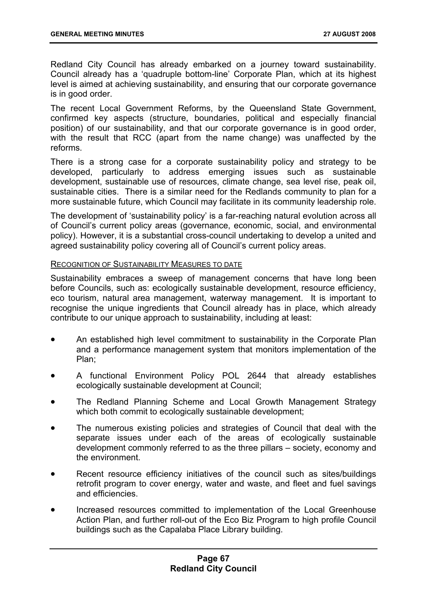Redland City Council has already embarked on a journey toward sustainability. Council already has a 'quadruple bottom-line' Corporate Plan, which at its highest level is aimed at achieving sustainability, and ensuring that our corporate governance is in good order.

The recent Local Government Reforms, by the Queensland State Government, confirmed key aspects (structure, boundaries, political and especially financial position) of our sustainability, and that our corporate governance is in good order, with the result that RCC (apart from the name change) was unaffected by the reforms.

There is a strong case for a corporate sustainability policy and strategy to be developed, particularly to address emerging issues such as sustainable development, sustainable use of resources, climate change, sea level rise, peak oil, sustainable cities. There is a similar need for the Redlands community to plan for a more sustainable future, which Council may facilitate in its community leadership role.

The development of 'sustainability policy' is a far-reaching natural evolution across all of Council's current policy areas (governance, economic, social, and environmental policy). However, it is a substantial cross-council undertaking to develop a united and agreed sustainability policy covering all of Council's current policy areas.

#### RECOGNITION OF SUSTAINABILITY MEASURES TO DATE

Sustainability embraces a sweep of management concerns that have long been before Councils, such as: ecologically sustainable development, resource efficiency, eco tourism, natural area management, waterway management. It is important to recognise the unique ingredients that Council already has in place, which already contribute to our unique approach to sustainability, including at least:

- An established high level commitment to sustainability in the Corporate Plan and a performance management system that monitors implementation of the Plan;
- A functional Environment Policy POL 2644 that already establishes ecologically sustainable development at Council;
- The Redland Planning Scheme and Local Growth Management Strategy which both commit to ecologically sustainable development;
- The numerous existing policies and strategies of Council that deal with the separate issues under each of the areas of ecologically sustainable development commonly referred to as the three pillars – society, economy and the environment.
- Recent resource efficiency initiatives of the council such as sites/buildings retrofit program to cover energy, water and waste, and fleet and fuel savings and efficiencies.
- Increased resources committed to implementation of the Local Greenhouse Action Plan, and further roll-out of the Eco Biz Program to high profile Council buildings such as the Capalaba Place Library building.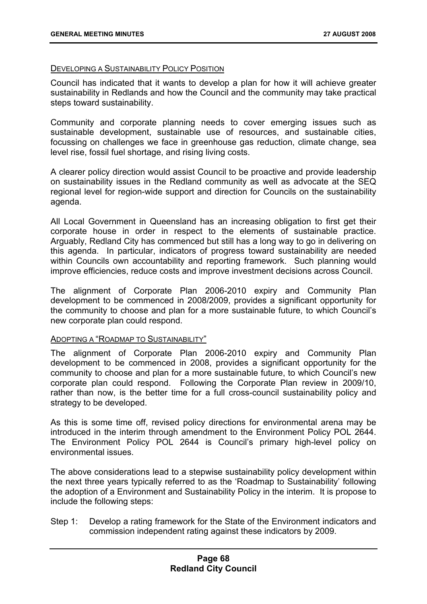## DEVELOPING A SUSTAINABILITY POLICY POSITION

Council has indicated that it wants to develop a plan for how it will achieve greater sustainability in Redlands and how the Council and the community may take practical steps toward sustainability.

Community and corporate planning needs to cover emerging issues such as sustainable development, sustainable use of resources, and sustainable cities, focussing on challenges we face in greenhouse gas reduction, climate change, sea level rise, fossil fuel shortage, and rising living costs.

A clearer policy direction would assist Council to be proactive and provide leadership on sustainability issues in the Redland community as well as advocate at the SEQ regional level for region-wide support and direction for Councils on the sustainability agenda.

All Local Government in Queensland has an increasing obligation to first get their corporate house in order in respect to the elements of sustainable practice. Arguably, Redland City has commenced but still has a long way to go in delivering on this agenda. In particular, indicators of progress toward sustainability are needed within Councils own accountability and reporting framework. Such planning would improve efficiencies, reduce costs and improve investment decisions across Council.

The alignment of Corporate Plan 2006-2010 expiry and Community Plan development to be commenced in 2008/2009, provides a significant opportunity for the community to choose and plan for a more sustainable future, to which Council's new corporate plan could respond.

### ADOPTING A "ROADMAP TO SUSTAINABILITY"

The alignment of Corporate Plan 2006-2010 expiry and Community Plan development to be commenced in 2008, provides a significant opportunity for the community to choose and plan for a more sustainable future, to which Council's new corporate plan could respond. Following the Corporate Plan review in 2009/10, rather than now, is the better time for a full cross-council sustainability policy and strategy to be developed.

As this is some time off, revised policy directions for environmental arena may be introduced in the interim through amendment to the Environment Policy POL 2644. The Environment Policy POL 2644 is Council's primary high-level policy on environmental issues.

The above considerations lead to a stepwise sustainability policy development within the next three years typically referred to as the 'Roadmap to Sustainability' following the adoption of a Environment and Sustainability Policy in the interim. It is propose to include the following steps:

Step 1: Develop a rating framework for the State of the Environment indicators and commission independent rating against these indicators by 2009.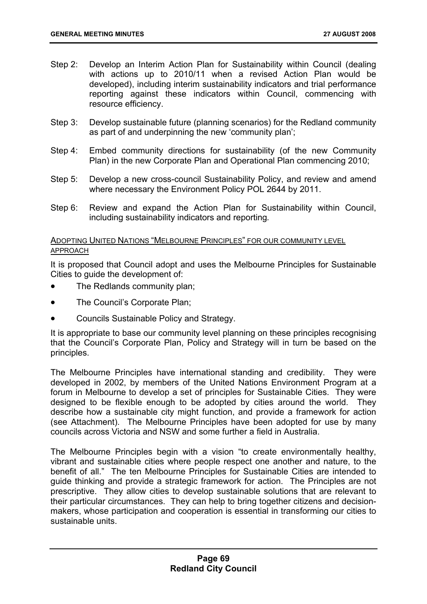- Step 2: Develop an Interim Action Plan for Sustainability within Council (dealing with actions up to 2010/11 when a revised Action Plan would be developed), including interim sustainability indicators and trial performance reporting against these indicators within Council, commencing with resource efficiency.
- Step 3: Develop sustainable future (planning scenarios) for the Redland community as part of and underpinning the new 'community plan';
- Step 4: Embed community directions for sustainability (of the new Community Plan) in the new Corporate Plan and Operational Plan commencing 2010;
- Step 5: Develop a new cross-council Sustainability Policy, and review and amend where necessary the Environment Policy POL 2644 by 2011.
- Step 6: Review and expand the Action Plan for Sustainability within Council, including sustainability indicators and reporting*.*

# ADOPTING UNITED NATIONS "MELBOURNE PRINCIPLES" FOR OUR COMMUNITY LEVEL APPROACH

It is proposed that Council adopt and uses the Melbourne Principles for Sustainable Cities to guide the development of:

- The Redlands community plan;
- The Council's Corporate Plan;
- Councils Sustainable Policy and Strategy.

It is appropriate to base our community level planning on these principles recognising that the Council's Corporate Plan, Policy and Strategy will in turn be based on the principles.

The Melbourne Principles have international standing and credibility. They were developed in 2002, by members of the United Nations Environment Program at a forum in Melbourne to develop a set of principles for Sustainable Cities. They were designed to be flexible enough to be adopted by cities around the world. They describe how a sustainable city might function, and provide a framework for action (see Attachment). The Melbourne Principles have been adopted for use by many councils across Victoria and NSW and some further a field in Australia.

The Melbourne Principles begin with a vision "to create environmentally healthy, vibrant and sustainable cities where people respect one another and nature, to the benefit of all." The ten Melbourne Principles for Sustainable Cities are intended to guide thinking and provide a strategic framework for action. The Principles are not prescriptive. They allow cities to develop sustainable solutions that are relevant to their particular circumstances. They can help to bring together citizens and decisionmakers, whose participation and cooperation is essential in transforming our cities to sustainable units.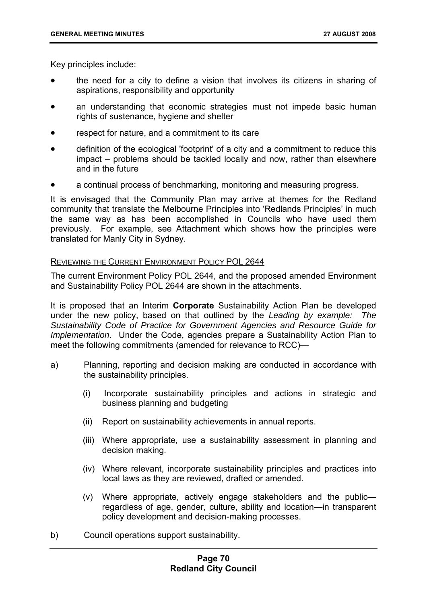Key principles include:

- the need for a city to define a vision that involves its citizens in sharing of aspirations, responsibility and opportunity
- an understanding that economic strategies must not impede basic human rights of sustenance, hygiene and shelter
- respect for nature, and a commitment to its care
- definition of the ecological 'footprint' of a city and a commitment to reduce this impact – problems should be tackled locally and now, rather than elsewhere and in the future
- a continual process of benchmarking, monitoring and measuring progress.

It is envisaged that the Community Plan may arrive at themes for the Redland community that translate the Melbourne Principles into 'Redlands Principles' in much the same way as has been accomplished in Councils who have used them previously. For example, see Attachment which shows how the principles were translated for Manly City in Sydney.

### REVIEWING THE CURRENT ENVIRONMENT POLICY POL 2644

The current Environment Policy POL 2644, and the proposed amended Environment and Sustainability Policy POL 2644 are shown in the attachments.

It is proposed that an Interim **Corporate** Sustainability Action Plan be developed under the new policy, based on that outlined by the *Leading by example: The Sustainability Code of Practice for Government Agencies and Resource Guide for Implementation*. Under the Code, agencies prepare a Sustainability Action Plan to meet the following commitments (amended for relevance to RCC)—

- a) Planning, reporting and decision making are conducted in accordance with the sustainability principles.
	- (i) Incorporate sustainability principles and actions in strategic and business planning and budgeting
	- (ii) Report on sustainability achievements in annual reports.
	- (iii) Where appropriate, use a sustainability assessment in planning and decision making.
	- (iv) Where relevant, incorporate sustainability principles and practices into local laws as they are reviewed, drafted or amended.
	- (v) Where appropriate, actively engage stakeholders and the public regardless of age, gender, culture, ability and location—in transparent policy development and decision-making processes.
- b) Council operations support sustainability.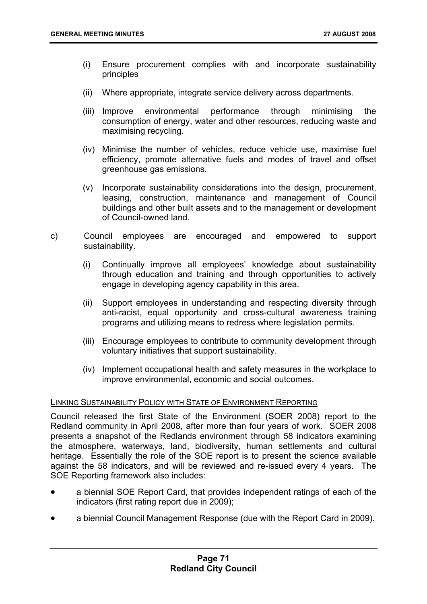- (i) Ensure procurement complies with and incorporate sustainability principles
- (ii) Where appropriate, integrate service delivery across departments.
- (iii) Improve environmental performance through minimising the consumption of energy, water and other resources, reducing waste and maximising recycling.
- (iv) Minimise the number of vehicles, reduce vehicle use, maximise fuel efficiency, promote alternative fuels and modes of travel and offset greenhouse gas emissions.
- (v) Incorporate sustainability considerations into the design, procurement, leasing, construction, maintenance and management of Council buildings and other built assets and to the management or development of Council-owned land.
- c) Council employees are encouraged and empowered to support sustainability.
	- (i) Continually improve all employees' knowledge about sustainability through education and training and through opportunities to actively engage in developing agency capability in this area.
	- (ii) Support employees in understanding and respecting diversity through anti-racist, equal opportunity and cross-cultural awareness training programs and utilizing means to redress where legislation permits.
	- (iii) Encourage employees to contribute to community development through voluntary initiatives that support sustainability.
	- (iv) Implement occupational health and safety measures in the workplace to improve environmental, economic and social outcomes.

### LINKING SUSTAINABILITY POLICY WITH STATE OF ENVIRONMENT REPORTING

Council released the first State of the Environment (SOER 2008) report to the Redland community in April 2008, after more than four years of work. SOER 2008 presents a snapshot of the Redlands environment through 58 indicators examining the atmosphere, waterways, land, biodiversity, human settlements and cultural heritage. Essentially the role of the SOE report is to present the science available against the 58 indicators, and will be reviewed and re-issued every 4 years. The SOE Reporting framework also includes:

- a biennial SOE Report Card, that provides independent ratings of each of the indicators (first rating report due in 2009);
- a biennial Council Management Response (due with the Report Card in 2009).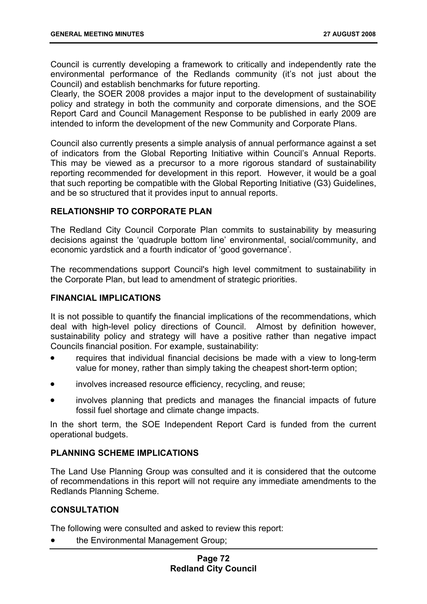Council is currently developing a framework to critically and independently rate the environmental performance of the Redlands community (it's not just about the Council) and establish benchmarks for future reporting.

Clearly, the SOER 2008 provides a major input to the development of sustainability policy and strategy in both the community and corporate dimensions, and the SOE Report Card and Council Management Response to be published in early 2009 are intended to inform the development of the new Community and Corporate Plans.

Council also currently presents a simple analysis of annual performance against a set of indicators from the Global Reporting Initiative within Council's Annual Reports. This may be viewed as a precursor to a more rigorous standard of sustainability reporting recommended for development in this report. However, it would be a goal that such reporting be compatible with the Global Reporting Initiative (G3) Guidelines, and be so structured that it provides input to annual reports.

# **RELATIONSHIP TO CORPORATE PLAN**

The Redland City Council Corporate Plan commits to sustainability by measuring decisions against the 'quadruple bottom line' environmental, social/community, and economic yardstick and a fourth indicator of 'good governance'.

The recommendations support Council's high level commitment to sustainability in the Corporate Plan, but lead to amendment of strategic priorities.

## **FINANCIAL IMPLICATIONS**

It is not possible to quantify the financial implications of the recommendations, which deal with high-level policy directions of Council. Almost by definition however, sustainability policy and strategy will have a positive rather than negative impact Councils financial position. For example, sustainability:

- requires that individual financial decisions be made with a view to long-term value for money, rather than simply taking the cheapest short-term option;
- involves increased resource efficiency, recycling, and reuse;
- involves planning that predicts and manages the financial impacts of future fossil fuel shortage and climate change impacts.

In the short term, the SOE Independent Report Card is funded from the current operational budgets.

# **PLANNING SCHEME IMPLICATIONS**

The Land Use Planning Group was consulted and it is considered that the outcome of recommendations in this report will not require any immediate amendments to the Redlands Planning Scheme.

# **CONSULTATION**

The following were consulted and asked to review this report:

• the Environmental Management Group;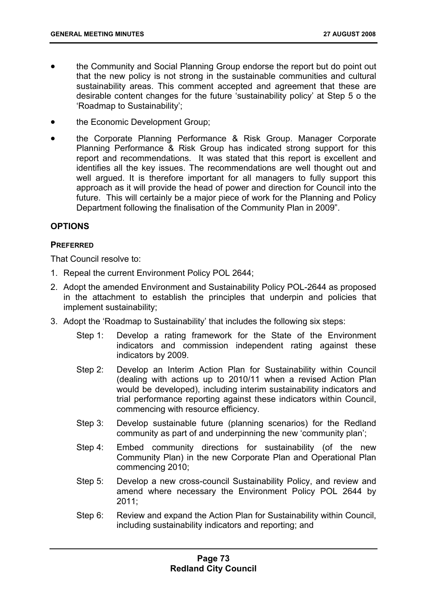- the Community and Social Planning Group endorse the report but do point out that the new policy is not strong in the sustainable communities and cultural sustainability areas. This comment accepted and agreement that these are desirable content changes for the future 'sustainability policy' at Step 5 o the 'Roadmap to Sustainability';
- the Economic Development Group;
- the Corporate Planning Performance & Risk Group. Manager Corporate Planning Performance & Risk Group has indicated strong support for this report and recommendations. It was stated that this report is excellent and identifies all the key issues. The recommendations are well thought out and well argued. It is therefore important for all managers to fully support this approach as it will provide the head of power and direction for Council into the future. This will certainly be a major piece of work for the Planning and Policy Department following the finalisation of the Community Plan in 2009".

## **OPTIONS**

### **PREFERRED**

That Council resolve to:

- 1. Repeal the current Environment Policy POL 2644;
- 2. Adopt the amended Environment and Sustainability Policy POL-2644 as proposed in the attachment to establish the principles that underpin and policies that implement sustainability;
- 3. Adopt the 'Roadmap to Sustainability' that includes the following six steps:
	- Step 1: Develop a rating framework for the State of the Environment indicators and commission independent rating against these indicators by 2009.
	- Step 2: Develop an Interim Action Plan for Sustainability within Council (dealing with actions up to 2010/11 when a revised Action Plan would be developed), including interim sustainability indicators and trial performance reporting against these indicators within Council, commencing with resource efficiency.
	- Step 3: Develop sustainable future (planning scenarios) for the Redland community as part of and underpinning the new 'community plan';
	- Step 4: Embed community directions for sustainability (of the new Community Plan) in the new Corporate Plan and Operational Plan commencing 2010;
	- Step 5: Develop a new cross-council Sustainability Policy, and review and amend where necessary the Environment Policy POL 2644 by 2011;
	- Step 6: Review and expand the Action Plan for Sustainability within Council, including sustainability indicators and reporting; and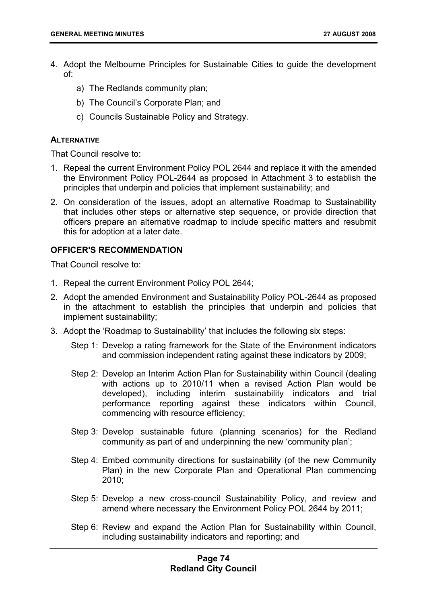- 4. Adopt the Melbourne Principles for Sustainable Cities to guide the development of:
	- a) The Redlands community plan;
	- b) The Council's Corporate Plan; and
	- c) Councils Sustainable Policy and Strategy.

## **ALTERNATIVE**

That Council resolve to:

- 1. Repeal the current Environment Policy POL 2644 and replace it with the amended the Environment Policy POL-2644 as proposed in Attachment 3 to establish the principles that underpin and policies that implement sustainability; and
- 2. On consideration of the issues, adopt an alternative Roadmap to Sustainability that includes other steps or alternative step sequence, or provide direction that officers prepare an alternative roadmap to include specific matters and resubmit this for adoption at a later date.

# **OFFICER'S RECOMMENDATION**

That Council resolve to:

- 1. Repeal the current Environment Policy POL 2644;
- 2. Adopt the amended Environment and Sustainability Policy POL-2644 as proposed in the attachment to establish the principles that underpin and policies that implement sustainability;
- 3. Adopt the 'Roadmap to Sustainability' that includes the following six steps:
	- Step 1: Develop a rating framework for the State of the Environment indicators and commission independent rating against these indicators by 2009;
	- Step 2: Develop an Interim Action Plan for Sustainability within Council (dealing with actions up to 2010/11 when a revised Action Plan would be developed), including interim sustainability indicators and trial performance reporting against these indicators within Council, commencing with resource efficiency;
	- Step 3: Develop sustainable future (planning scenarios) for the Redland community as part of and underpinning the new 'community plan';
	- Step 4: Embed community directions for sustainability (of the new Community Plan) in the new Corporate Plan and Operational Plan commencing 2010;
	- Step 5: Develop a new cross-council Sustainability Policy, and review and amend where necessary the Environment Policy POL 2644 by 2011;
	- Step 6: Review and expand the Action Plan for Sustainability within Council, including sustainability indicators and reporting; and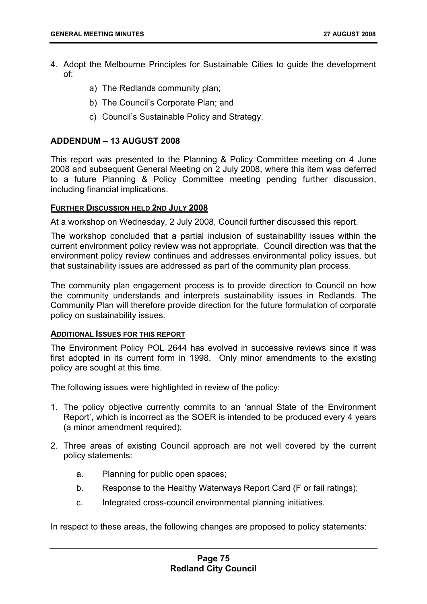- 4. Adopt the Melbourne Principles for Sustainable Cities to guide the development of:
	- a) The Redlands community plan;
	- b) The Council's Corporate Plan; and
	- c) Council's Sustainable Policy and Strategy.

## **ADDENDUM – 13 AUGUST 2008**

This report was presented to the Planning & Policy Committee meeting on 4 June 2008 and subsequent General Meeting on 2 July 2008, where this item was deferred to a future Planning & Policy Committee meeting pending further discussion, including financial implications.

### **FURTHER DISCUSSION HELD 2ND JULY 2008**

At a workshop on Wednesday, 2 July 2008, Council further discussed this report.

The workshop concluded that a partial inclusion of sustainability issues within the current environment policy review was not appropriate. Council direction was that the environment policy review continues and addresses environmental policy issues, but that sustainability issues are addressed as part of the community plan process.

The community plan engagement process is to provide direction to Council on how the community understands and interprets sustainability issues in Redlands. The Community Plan will therefore provide direction for the future formulation of corporate policy on sustainability issues.

### **ADDITIONAL ISSUES FOR THIS REPORT**

The Environment Policy POL 2644 has evolved in successive reviews since it was first adopted in its current form in 1998. Only minor amendments to the existing policy are sought at this time.

The following issues were highlighted in review of the policy:

- 1. The policy objective currently commits to an 'annual State of the Environment Report', which is incorrect as the SOER is intended to be produced every 4 years (a minor amendment required);
- 2. Three areas of existing Council approach are not well covered by the current policy statements:
	- a. Planning for public open spaces;
	- b. Response to the Healthy Waterways Report Card (F or fail ratings);
	- c. Integrated cross-council environmental planning initiatives.

In respect to these areas, the following changes are proposed to policy statements: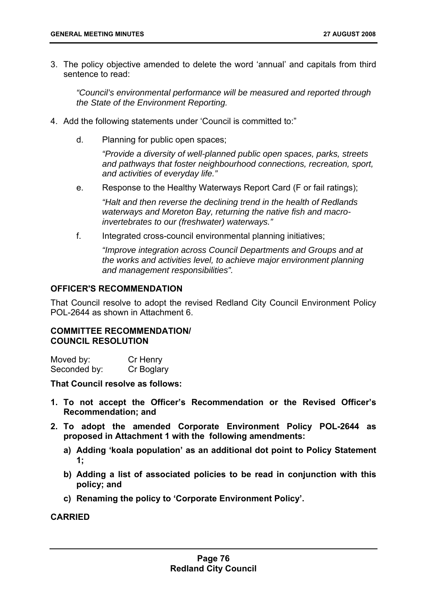3. The policy objective amended to delete the word 'annual' and capitals from third sentence to read:

*"Council's environmental performance will be measured and reported through the State of the Environment Reporting.* 

- 4. Add the following statements under 'Council is committed to:"
	- d. Planning for public open spaces;

*"Provide a diversity of well-planned public open spaces, parks, streets and pathways that foster neighbourhood connections, recreation, sport, and activities of everyday life."* 

e. Response to the Healthy Waterways Report Card (F or fail ratings);

*"Halt and then reverse the declining trend in the health of Redlands waterways and Moreton Bay, returning the native fish and macroinvertebrates to our (freshwater) waterways."* 

f. Integrated cross-council environmental planning initiatives;

*"Improve integration across Council Departments and Groups and at the works and activities level, to achieve major environment planning and management responsibilities".* 

# **OFFICER'S RECOMMENDATION**

That Council resolve to adopt the revised Redland City Council Environment Policy POL-2644 as shown in Attachment 6.

## **COMMITTEE RECOMMENDATION/ COUNCIL RESOLUTION**

| Moved by:    | Cr Henry   |
|--------------|------------|
| Seconded by: | Cr Boglary |

**That Council resolve as follows:** 

- **1. To not accept the Officer's Recommendation or the Revised Officer's Recommendation; and**
- **2. To adopt the amended Corporate Environment Policy POL-2644 as proposed in Attachment 1 with the following amendments:** 
	- **a) Adding 'koala population' as an additional dot point to Policy Statement 1;**
	- **b) Adding a list of associated policies to be read in conjunction with this policy; and**
	- **c) Renaming the policy to 'Corporate Environment Policy'.**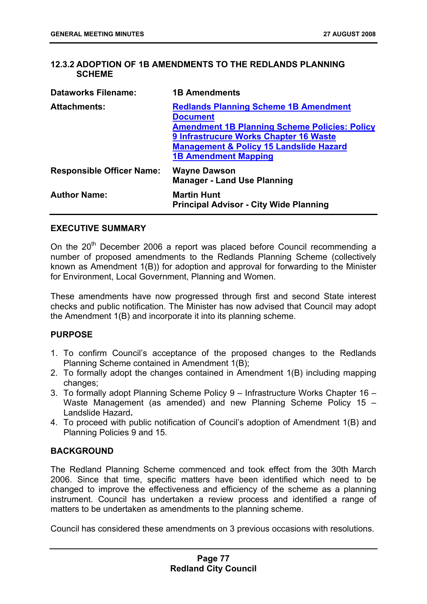# **12.3.2 ADOPTION OF 1B AMENDMENTS TO THE REDLANDS PLANNING SCHEME**

| <b>Dataworks Filename:</b>       | <b>1B Amendments</b>                                                                                                                                                                                                                                   |
|----------------------------------|--------------------------------------------------------------------------------------------------------------------------------------------------------------------------------------------------------------------------------------------------------|
| <b>Attachments:</b>              | <b>Redlands Planning Scheme 1B Amendment</b><br><b>Document</b><br><b>Amendment 1B Planning Scheme Policies: Policy</b><br>9 Infrastrucure Works Chapter 16 Waste<br><b>Management &amp; Policy 15 Landslide Hazard</b><br><b>1B Amendment Mapping</b> |
| <b>Responsible Officer Name:</b> | <b>Wayne Dawson</b><br><b>Manager - Land Use Planning</b>                                                                                                                                                                                              |
| <b>Author Name:</b>              | <b>Martin Hunt</b><br><b>Principal Advisor - City Wide Planning</b>                                                                                                                                                                                    |

## **EXECUTIVE SUMMARY**

On the 20<sup>th</sup> December 2006 a report was placed before Council recommending a number of proposed amendments to the Redlands Planning Scheme (collectively known as Amendment 1(B)) for adoption and approval for forwarding to the Minister for Environment, Local Government, Planning and Women.

These amendments have now progressed through first and second State interest checks and public notification. The Minister has now advised that Council may adopt the Amendment 1(B) and incorporate it into its planning scheme.

### **PURPOSE**

- 1. To confirm Council's acceptance of the proposed changes to the Redlands Planning Scheme contained in Amendment 1(B);
- 2. To formally adopt the changes contained in Amendment 1(B) including mapping changes;
- 3. To formally adopt Planning Scheme Policy 9 Infrastructure Works Chapter 16 Waste Management (as amended) and new Planning Scheme Policy 15 – Landslide Hazard**.**
- 4. To proceed with public notification of Council's adoption of Amendment 1(B) and Planning Policies 9 and 15.

### **BACKGROUND**

The Redland Planning Scheme commenced and took effect from the 30th March 2006. Since that time, specific matters have been identified which need to be changed to improve the effectiveness and efficiency of the scheme as a planning instrument. Council has undertaken a review process and identified a range of matters to be undertaken as amendments to the planning scheme.

Council has considered these amendments on 3 previous occasions with resolutions.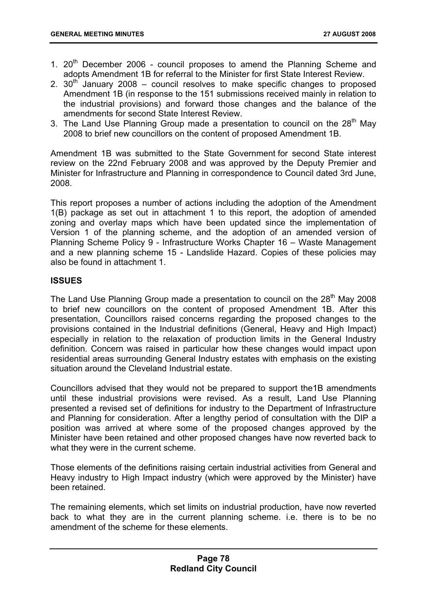- 1.  $20<sup>th</sup>$  December 2006 council proposes to amend the Planning Scheme and adopts Amendment 1B for referral to the Minister for first State Interest Review.
- 2.  $30<sup>th</sup>$  January 2008 council resolves to make specific changes to proposed Amendment 1B (in response to the 151 submissions received mainly in relation to the industrial provisions) and forward those changes and the balance of the amendments for second State Interest Review.
- 3. The Land Use Planning Group made a presentation to council on the  $28<sup>th</sup>$  May 2008 to brief new councillors on the content of proposed Amendment 1B.

Amendment 1B was submitted to the State Government for second State interest review on the 22nd February 2008 and was approved by the Deputy Premier and Minister for Infrastructure and Planning in correspondence to Council dated 3rd June, 2008.

This report proposes a number of actions including the adoption of the Amendment 1(B) package as set out in attachment 1 to this report, the adoption of amended zoning and overlay maps which have been updated since the implementation of Version 1 of the planning scheme, and the adoption of an amended version of Planning Scheme Policy 9 - Infrastructure Works Chapter 16 – Waste Management and a new planning scheme 15 - Landslide Hazard. Copies of these policies may also be found in attachment 1.

# **ISSUES**

The Land Use Planning Group made a presentation to council on the  $28<sup>th</sup>$  May 2008 to brief new councillors on the content of proposed Amendment 1B. After this presentation, Councillors raised concerns regarding the proposed changes to the provisions contained in the Industrial definitions (General, Heavy and High Impact) especially in relation to the relaxation of production limits in the General Industry definition. Concern was raised in particular how these changes would impact upon residential areas surrounding General Industry estates with emphasis on the existing situation around the Cleveland Industrial estate.

Councillors advised that they would not be prepared to support the1B amendments until these industrial provisions were revised. As a result, Land Use Planning presented a revised set of definitions for industry to the Department of Infrastructure and Planning for consideration. After a lengthy period of consultation with the DIP a position was arrived at where some of the proposed changes approved by the Minister have been retained and other proposed changes have now reverted back to what they were in the current scheme.

Those elements of the definitions raising certain industrial activities from General and Heavy industry to High Impact industry (which were approved by the Minister) have been retained.

The remaining elements, which set limits on industrial production, have now reverted back to what they are in the current planning scheme. i.e. there is to be no amendment of the scheme for these elements.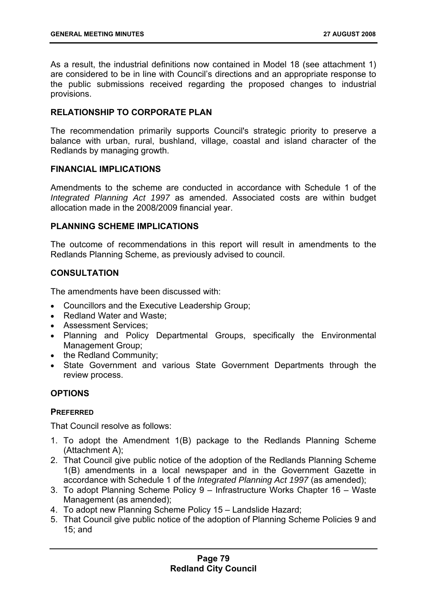As a result, the industrial definitions now contained in Model 18 (see attachment 1) are considered to be in line with Council's directions and an appropriate response to the public submissions received regarding the proposed changes to industrial provisions.

## **RELATIONSHIP TO CORPORATE PLAN**

The recommendation primarily supports Council's strategic priority to preserve a balance with urban, rural, bushland, village, coastal and island character of the Redlands by managing growth.

## **FINANCIAL IMPLICATIONS**

Amendments to the scheme are conducted in accordance with Schedule 1 of the *Integrated Planning Act 1997* as amended. Associated costs are within budget allocation made in the 2008/2009 financial year.

## **PLANNING SCHEME IMPLICATIONS**

The outcome of recommendations in this report will result in amendments to the Redlands Planning Scheme, as previously advised to council.

# **CONSULTATION**

The amendments have been discussed with:

- Councillors and the Executive Leadership Group;
- Redland Water and Waste;
- Assessment Services;
- Planning and Policy Departmental Groups, specifically the Environmental Management Group;
- the Redland Community;
- State Government and various State Government Departments through the review process.

# **OPTIONS**

### **PREFERRED**

That Council resolve as follows:

- 1. To adopt the Amendment 1(B) package to the Redlands Planning Scheme (Attachment A);
- 2. That Council give public notice of the adoption of the Redlands Planning Scheme 1(B) amendments in a local newspaper and in the Government Gazette in accordance with Schedule 1 of the *Integrated Planning Act 1997* (as amended);
- 3. To adopt Planning Scheme Policy 9 Infrastructure Works Chapter 16 Waste Management (as amended);
- 4. To adopt new Planning Scheme Policy 15 Landslide Hazard;
- 5. That Council give public notice of the adoption of Planning Scheme Policies 9 and 15; and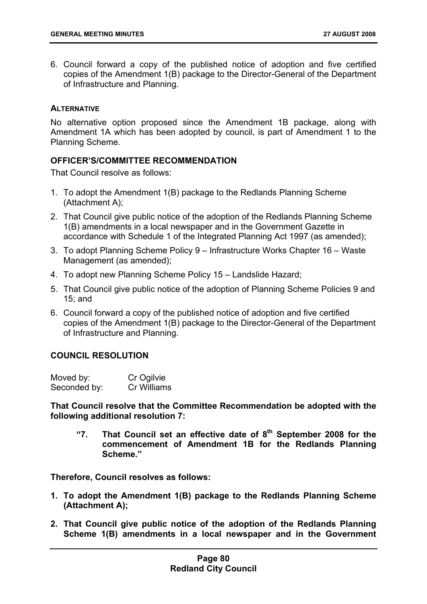6. Council forward a copy of the published notice of adoption and five certified copies of the Amendment 1(B) package to the Director-General of the Department of Infrastructure and Planning.

## **ALTERNATIVE**

No alternative option proposed since the Amendment 1B package, along with Amendment 1A which has been adopted by council, is part of Amendment 1 to the Planning Scheme.

# **OFFICER'S/COMMITTEE RECOMMENDATION**

That Council resolve as follows:

- 1. To adopt the Amendment 1(B) package to the Redlands Planning Scheme (Attachment A);
- 2. That Council give public notice of the adoption of the Redlands Planning Scheme 1(B) amendments in a local newspaper and in the Government Gazette in accordance with Schedule 1 of the Integrated Planning Act 1997 (as amended);
- 3. To adopt Planning Scheme Policy 9 Infrastructure Works Chapter 16 Waste Management (as amended);
- 4. To adopt new Planning Scheme Policy 15 Landslide Hazard;
- 5. That Council give public notice of the adoption of Planning Scheme Policies 9 and 15; and
- 6. Council forward a copy of the published notice of adoption and five certified copies of the Amendment 1(B) package to the Director-General of the Department of Infrastructure and Planning.

### **COUNCIL RESOLUTION**

| Moved by:    | Cr Ogilvie  |
|--------------|-------------|
| Seconded by: | Cr Williams |

**That Council resolve that the Committee Recommendation be adopted with the following additional resolution 7:** 

**"7. That Council set an effective date of 8th September 2008 for the commencement of Amendment 1B for the Redlands Planning Scheme."** 

**Therefore, Council resolves as follows:** 

- **1. To adopt the Amendment 1(B) package to the Redlands Planning Scheme (Attachment A);**
- **2. That Council give public notice of the adoption of the Redlands Planning Scheme 1(B) amendments in a local newspaper and in the Government**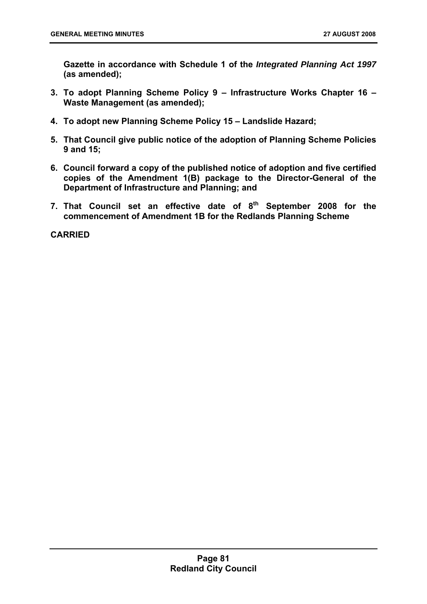**Gazette in accordance with Schedule 1 of the** *Integrated Planning Act 1997* **(as amended);** 

- **3. To adopt Planning Scheme Policy 9 Infrastructure Works Chapter 16 Waste Management (as amended);**
- **4. To adopt new Planning Scheme Policy 15 Landslide Hazard;**
- **5. That Council give public notice of the adoption of Planning Scheme Policies 9 and 15;**
- **6. Council forward a copy of the published notice of adoption and five certified copies of the Amendment 1(B) package to the Director-General of the Department of Infrastructure and Planning; and**
- 7. That Council set an effective date of 8<sup>th</sup> September 2008 for the **commencement of Amendment 1B for the Redlands Planning Scheme**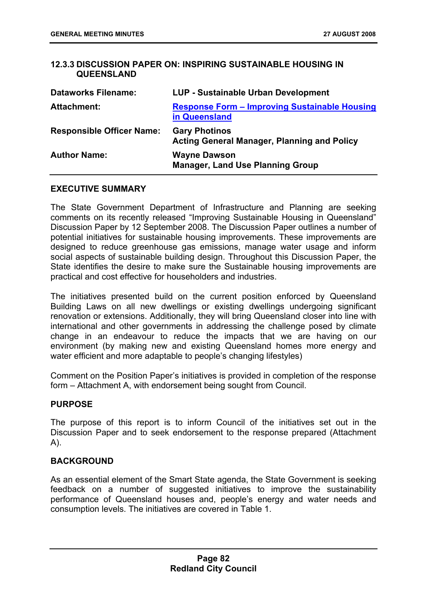## **12.3.3 DISCUSSION PAPER ON: INSPIRING SUSTAINABLE HOUSING IN QUEENSLAND**

| <b>Dataworks Filename:</b>       | <b>LUP - Sustainable Urban Development</b>                                 |
|----------------------------------|----------------------------------------------------------------------------|
| <b>Attachment:</b>               | <b>Response Form - Improving Sustainable Housing</b><br>in Queensland      |
| <b>Responsible Officer Name:</b> | <b>Gary Photinos</b><br><b>Acting General Manager, Planning and Policy</b> |
| <b>Author Name:</b>              | <b>Wayne Dawson</b><br><b>Manager, Land Use Planning Group</b>             |

### **EXECUTIVE SUMMARY**

The State Government Department of Infrastructure and Planning are seeking comments on its recently released "Improving Sustainable Housing in Queensland" Discussion Paper by 12 September 2008. The Discussion Paper outlines a number of potential initiatives for sustainable housing improvements. These improvements are designed to reduce greenhouse gas emissions, manage water usage and inform social aspects of sustainable building design. Throughout this Discussion Paper, the State identifies the desire to make sure the Sustainable housing improvements are practical and cost effective for householders and industries.

The initiatives presented build on the current position enforced by Queensland Building Laws on all new dwellings or existing dwellings undergoing significant renovation or extensions. Additionally, they will bring Queensland closer into line with international and other governments in addressing the challenge posed by climate change in an endeavour to reduce the impacts that we are having on our environment (by making new and existing Queensland homes more energy and water efficient and more adaptable to people's changing lifestyles)

Comment on the Position Paper's initiatives is provided in completion of the response form – Attachment A, with endorsement being sought from Council.

### **PURPOSE**

The purpose of this report is to inform Council of the initiatives set out in the Discussion Paper and to seek endorsement to the response prepared (Attachment A).

### **BACKGROUND**

As an essential element of the Smart State agenda, the State Government is seeking feedback on a number of suggested initiatives to improve the sustainability performance of Queensland houses and, people's energy and water needs and consumption levels. The initiatives are covered in Table 1.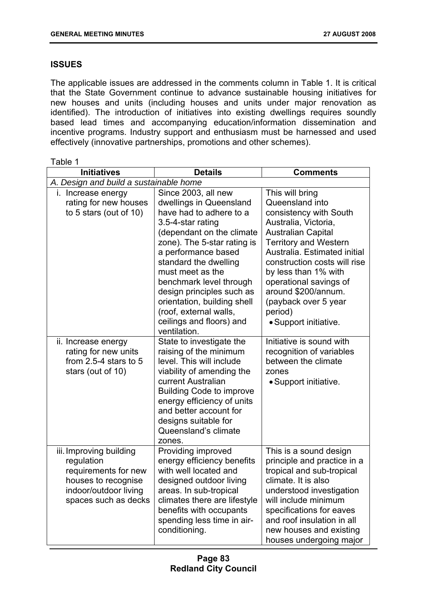# **ISSUES**

The applicable issues are addressed in the comments column in Table 1. It is critical that the State Government continue to advance sustainable housing initiatives for new houses and units (including houses and units under major renovation as identified). The introduction of initiatives into existing dwellings requires soundly based lead times and accompanying education/information dissemination and incentive programs. Industry support and enthusiasm must be harnessed and used effectively (innovative partnerships, promotions and other schemes).

| Table 1                                                                                                                               |                                                                                                                                                                                                                                                                                                                                                                                             |                                                                                                                                                                                                                                                                                                                                                        |  |
|---------------------------------------------------------------------------------------------------------------------------------------|---------------------------------------------------------------------------------------------------------------------------------------------------------------------------------------------------------------------------------------------------------------------------------------------------------------------------------------------------------------------------------------------|--------------------------------------------------------------------------------------------------------------------------------------------------------------------------------------------------------------------------------------------------------------------------------------------------------------------------------------------------------|--|
| <b>Initiatives</b>                                                                                                                    | <b>Details</b>                                                                                                                                                                                                                                                                                                                                                                              | <b>Comments</b>                                                                                                                                                                                                                                                                                                                                        |  |
| A. Design and build a sustainable home                                                                                                |                                                                                                                                                                                                                                                                                                                                                                                             |                                                                                                                                                                                                                                                                                                                                                        |  |
| i. Increase energy<br>rating for new houses<br>to 5 stars (out of $10$ )                                                              | Since 2003, all new<br>dwellings in Queensland<br>have had to adhere to a<br>3.5-4-star rating<br>(dependant on the climate<br>zone). The 5-star rating is<br>a performance based<br>standard the dwelling<br>must meet as the<br>benchmark level through<br>design principles such as<br>orientation, building shell<br>(roof, external walls,<br>ceilings and floors) and<br>ventilation. | This will bring<br>Queensland into<br>consistency with South<br>Australia, Victoria,<br><b>Australian Capital</b><br><b>Territory and Western</b><br>Australia. Estimated initial<br>construction costs will rise<br>by less than 1% with<br>operational savings of<br>around \$200/annum.<br>(payback over 5 year<br>period)<br>· Support initiative. |  |
| ii. Increase energy<br>rating for new units<br>from $2.5-4$ stars to $5$<br>stars (out of 10)                                         | State to investigate the<br>raising of the minimum<br>level. This will include<br>viability of amending the<br>current Australian<br><b>Building Code to improve</b><br>energy efficiency of units<br>and better account for<br>designs suitable for<br>Queensland's climate<br>zones.                                                                                                      | Initiative is sound with<br>recognition of variables<br>between the climate<br>zones<br>• Support initiative.                                                                                                                                                                                                                                          |  |
| iii. Improving building<br>regulation<br>requirements for new<br>houses to recognise<br>indoor/outdoor living<br>spaces such as decks | Providing improved<br>energy efficiency benefits<br>with well located and<br>designed outdoor living<br>areas. In sub-tropical<br>climates there are lifestyle<br>benefits with occupants<br>spending less time in air-<br>conditioning.                                                                                                                                                    | This is a sound design<br>principle and practice in a<br>tropical and sub-tropical<br>climate. It is also<br>understood investigation<br>will include minimum<br>specifications for eaves<br>and roof insulation in all<br>new houses and existing<br>houses undergoing major                                                                          |  |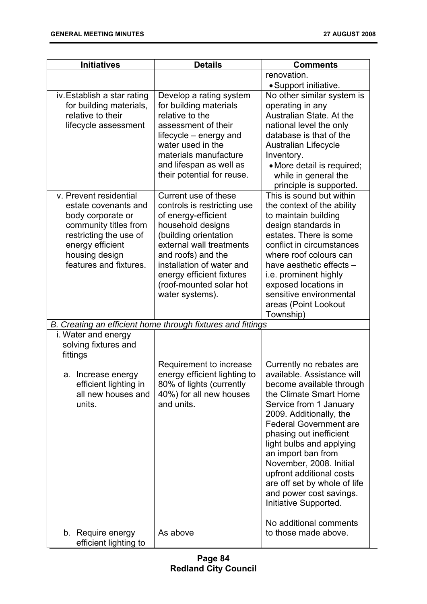÷.

| <b>Initiatives</b>                                                                                                                                                                     | <b>Details</b>                                                                                                                                                                                                                                                                     | <b>Comments</b>                                                                                                                                                                                                                                                                                                                                                                                                            |
|----------------------------------------------------------------------------------------------------------------------------------------------------------------------------------------|------------------------------------------------------------------------------------------------------------------------------------------------------------------------------------------------------------------------------------------------------------------------------------|----------------------------------------------------------------------------------------------------------------------------------------------------------------------------------------------------------------------------------------------------------------------------------------------------------------------------------------------------------------------------------------------------------------------------|
|                                                                                                                                                                                        |                                                                                                                                                                                                                                                                                    | renovation.                                                                                                                                                                                                                                                                                                                                                                                                                |
|                                                                                                                                                                                        |                                                                                                                                                                                                                                                                                    | • Support initiative.                                                                                                                                                                                                                                                                                                                                                                                                      |
| iv. Establish a star rating<br>for building materials,<br>relative to their<br>lifecycle assessment                                                                                    | Develop a rating system<br>for building materials<br>relative to the<br>assessment of their<br>lifecycle - energy and<br>water used in the<br>materials manufacture<br>and lifespan as well as<br>their potential for reuse.                                                       | No other similar system is<br>operating in any<br>Australian State. At the<br>national level the only<br>database is that of the<br><b>Australian Lifecycle</b><br>Inventory.<br>· More detail is required;<br>while in general the                                                                                                                                                                                        |
|                                                                                                                                                                                        |                                                                                                                                                                                                                                                                                    | principle is supported.                                                                                                                                                                                                                                                                                                                                                                                                    |
| v. Prevent residential<br>estate covenants and<br>body corporate or<br>community titles from<br>restricting the use of<br>energy efficient<br>housing design<br>features and fixtures. | Current use of these<br>controls is restricting use<br>of energy-efficient<br>household designs<br>(building orientation<br>external wall treatments<br>and roofs) and the<br>installation of water and<br>energy efficient fixtures<br>(roof-mounted solar hot<br>water systems). | This is sound but within<br>the context of the ability<br>to maintain building<br>design standards in<br>estates. There is some<br>conflict in circumstances<br>where roof colours can<br>have aesthetic effects -<br>i.e. prominent highly<br>exposed locations in<br>sensitive environmental<br>areas (Point Lookout<br>Township)                                                                                        |
|                                                                                                                                                                                        | B. Creating an efficient home through fixtures and fittings                                                                                                                                                                                                                        |                                                                                                                                                                                                                                                                                                                                                                                                                            |
| i. Water and energy<br>solving fixtures and<br>fittings                                                                                                                                |                                                                                                                                                                                                                                                                                    |                                                                                                                                                                                                                                                                                                                                                                                                                            |
| a. Increase energy<br>efficient lighting in<br>all new houses and<br>units.                                                                                                            | Requirement to increase<br>energy efficient lighting to<br>80% of lights (currently<br>40%) for all new houses<br>and units.                                                                                                                                                       | Currently no rebates are<br>available. Assistance will<br>become available through<br>the Climate Smart Home<br>Service from 1 January<br>2009. Additionally, the<br><b>Federal Government are</b><br>phasing out inefficient<br>light bulbs and applying<br>an import ban from<br>November, 2008. Initial<br>upfront additional costs<br>are off set by whole of life<br>and power cost savings.<br>Initiative Supported. |
| b. Require energy<br>efficient lighting to                                                                                                                                             | As above                                                                                                                                                                                                                                                                           | No additional comments<br>to those made above.                                                                                                                                                                                                                                                                                                                                                                             |

**Page 84 Redland City Council**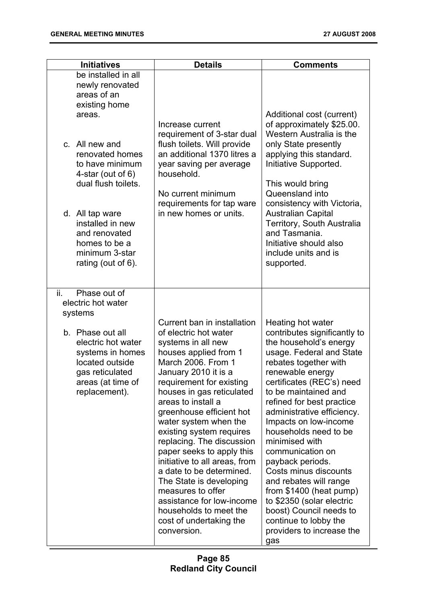| <b>Initiatives</b>                                                                                                                                                                                                   | <b>Details</b>                                                                                                                                                                                                                                                                                                                                                                                                                                                                                                                                                                            | <b>Comments</b>                                                                                                                                                                                                                                                                                                                                                                                                                                                                                                                                                                      |
|----------------------------------------------------------------------------------------------------------------------------------------------------------------------------------------------------------------------|-------------------------------------------------------------------------------------------------------------------------------------------------------------------------------------------------------------------------------------------------------------------------------------------------------------------------------------------------------------------------------------------------------------------------------------------------------------------------------------------------------------------------------------------------------------------------------------------|--------------------------------------------------------------------------------------------------------------------------------------------------------------------------------------------------------------------------------------------------------------------------------------------------------------------------------------------------------------------------------------------------------------------------------------------------------------------------------------------------------------------------------------------------------------------------------------|
| be installed in all<br>newly renovated<br>areas of an<br>existing home<br>areas.                                                                                                                                     |                                                                                                                                                                                                                                                                                                                                                                                                                                                                                                                                                                                           | Additional cost (current)                                                                                                                                                                                                                                                                                                                                                                                                                                                                                                                                                            |
| c. All new and<br>renovated homes<br>to have minimum<br>4-star (out of $6$ )<br>dual flush toilets.<br>d. All tap ware<br>installed in new<br>and renovated<br>homes to be a<br>minimum 3-star<br>rating (out of 6). | Increase current<br>requirement of 3-star dual<br>flush toilets. Will provide<br>an additional 1370 litres a<br>year saving per average<br>household.<br>No current minimum<br>requirements for tap ware<br>in new homes or units.                                                                                                                                                                                                                                                                                                                                                        | of approximately \$25.00.<br>Western Australia is the<br>only State presently<br>applying this standard.<br>Initiative Supported.<br>This would bring<br>Queensland into<br>consistency with Victoria,<br><b>Australian Capital</b><br>Territory, South Australia<br>and Tasmania.<br>Initiative should also<br>include units and is<br>supported.                                                                                                                                                                                                                                   |
| ii.<br>Phase out of<br>electric hot water<br>systems                                                                                                                                                                 |                                                                                                                                                                                                                                                                                                                                                                                                                                                                                                                                                                                           |                                                                                                                                                                                                                                                                                                                                                                                                                                                                                                                                                                                      |
| b. Phase out all<br>electric hot water<br>systems in homes<br>located outside<br>gas reticulated<br>areas (at time of<br>replacement).                                                                               | Current ban in installation<br>of electric hot water<br>systems in all new<br>houses applied from 1<br>March 2006. From 1<br>January 2010 it is a<br>requirement for existing<br>houses in gas reticulated<br>areas to install a<br>greenhouse efficient hot<br>water system when the<br>existing system requires<br>replacing. The discussion<br>paper seeks to apply this<br>initiative to all areas, from<br>a date to be determined.<br>The State is developing<br>measures to offer<br>assistance for low-income<br>households to meet the<br>cost of undertaking the<br>conversion. | Heating hot water<br>contributes significantly to<br>the household's energy<br>usage. Federal and State<br>rebates together with<br>renewable energy<br>certificates (REC's) need<br>to be maintained and<br>refined for best practice<br>administrative efficiency.<br>Impacts on low-income<br>households need to be<br>minimised with<br>communication on<br>payback periods.<br>Costs minus discounts<br>and rebates will range<br>from $$1400$ (heat pump)<br>to \$2350 (solar electric<br>boost) Council needs to<br>continue to lobby the<br>providers to increase the<br>gas |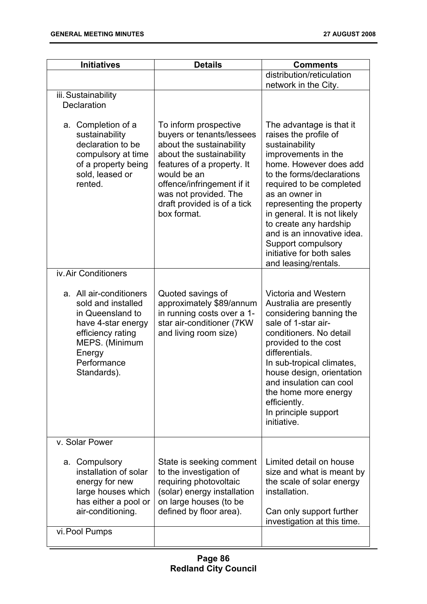| <b>Initiatives</b>                                                                                                                                                     | <b>Details</b>                                                                                                                                                                                                                                               | <b>Comments</b>                                                                                                                                                                                                                                                                                                                                                                                 |
|------------------------------------------------------------------------------------------------------------------------------------------------------------------------|--------------------------------------------------------------------------------------------------------------------------------------------------------------------------------------------------------------------------------------------------------------|-------------------------------------------------------------------------------------------------------------------------------------------------------------------------------------------------------------------------------------------------------------------------------------------------------------------------------------------------------------------------------------------------|
|                                                                                                                                                                        |                                                                                                                                                                                                                                                              | distribution/reticulation<br>network in the City.                                                                                                                                                                                                                                                                                                                                               |
| iii. Sustainability<br>Declaration                                                                                                                                     |                                                                                                                                                                                                                                                              |                                                                                                                                                                                                                                                                                                                                                                                                 |
| a. Completion of a<br>sustainability<br>declaration to be<br>compulsory at time<br>of a property being<br>sold, leased or<br>rented.                                   | To inform prospective<br>buyers or tenants/lessees<br>about the sustainability<br>about the sustainability<br>features of a property. It<br>would be an<br>offence/infringement if it<br>was not provided. The<br>draft provided is of a tick<br>box format. | The advantage is that it<br>raises the profile of<br>sustainability<br>improvements in the<br>home. However does add<br>to the forms/declarations<br>required to be completed<br>as an owner in<br>representing the property<br>in general. It is not likely<br>to create any hardship<br>and is an innovative idea.<br>Support compulsory<br>initiative for both sales<br>and leasing/rentals. |
| iv. Air Conditioners                                                                                                                                                   |                                                                                                                                                                                                                                                              |                                                                                                                                                                                                                                                                                                                                                                                                 |
| a. All air-conditioners<br>sold and installed<br>in Queensland to<br>have 4-star energy<br>efficiency rating<br>MEPS. (Minimum<br>Energy<br>Performance<br>Standards). | Quoted savings of<br>approximately \$89/annum<br>in running costs over a 1-<br>star air-conditioner (7KW<br>and living room size)                                                                                                                            | Victoria and Western<br>Australia are presently<br>considering banning the<br>sale of 1-star air-<br>conditioners. No detail<br>provided to the cost<br>differentials.<br>In sub-tropical climates,<br>house design, orientation<br>and insulation can cool<br>the home more energy<br>efficiently.<br>In principle support<br>initiative.                                                      |
| v. Solar Power                                                                                                                                                         |                                                                                                                                                                                                                                                              |                                                                                                                                                                                                                                                                                                                                                                                                 |
| a. Compulsory<br>installation of solar<br>energy for new<br>large houses which<br>has either a pool or<br>air-conditioning.<br>vi. Pool Pumps                          | State is seeking comment<br>to the investigation of<br>requiring photovoltaic<br>(solar) energy installation<br>on large houses (to be<br>defined by floor area).                                                                                            | Limited detail on house<br>size and what is meant by<br>the scale of solar energy<br>installation.<br>Can only support further<br>investigation at this time.                                                                                                                                                                                                                                   |
|                                                                                                                                                                        |                                                                                                                                                                                                                                                              |                                                                                                                                                                                                                                                                                                                                                                                                 |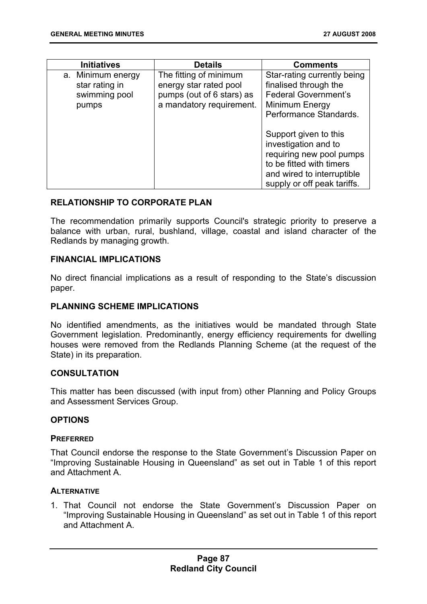| <b>Initiatives</b>                                            | <b>Details</b>                                                                                            | <b>Comments</b>                                                                                                                                                    |
|---------------------------------------------------------------|-----------------------------------------------------------------------------------------------------------|--------------------------------------------------------------------------------------------------------------------------------------------------------------------|
| a. Minimum energy<br>star rating in<br>swimming pool<br>pumps | The fitting of minimum<br>energy star rated pool<br>pumps (out of 6 stars) as<br>a mandatory requirement. | Star-rating currently being<br>finalised through the<br><b>Federal Government's</b><br>Minimum Energy<br>Performance Standards.                                    |
|                                                               |                                                                                                           | Support given to this<br>investigation and to<br>requiring new pool pumps<br>to be fitted with timers<br>and wired to interruptible<br>supply or off peak tariffs. |

### **RELATIONSHIP TO CORPORATE PLAN**

The recommendation primarily supports Council's strategic priority to preserve a balance with urban, rural, bushland, village, coastal and island character of the Redlands by managing growth.

### **FINANCIAL IMPLICATIONS**

No direct financial implications as a result of responding to the State's discussion paper.

### **PLANNING SCHEME IMPLICATIONS**

No identified amendments, as the initiatives would be mandated through State Government legislation. Predominantly, energy efficiency requirements for dwelling houses were removed from the Redlands Planning Scheme (at the request of the State) in its preparation.

### **CONSULTATION**

This matter has been discussed (with input from) other Planning and Policy Groups and Assessment Services Group.

### **OPTIONS**

### **PREFERRED**

That Council endorse the response to the State Government's Discussion Paper on "Improving Sustainable Housing in Queensland" as set out in Table 1 of this report and Attachment A.

### **ALTERNATIVE**

1. That Council not endorse the State Government's Discussion Paper on "Improving Sustainable Housing in Queensland" as set out in Table 1 of this report and Attachment A.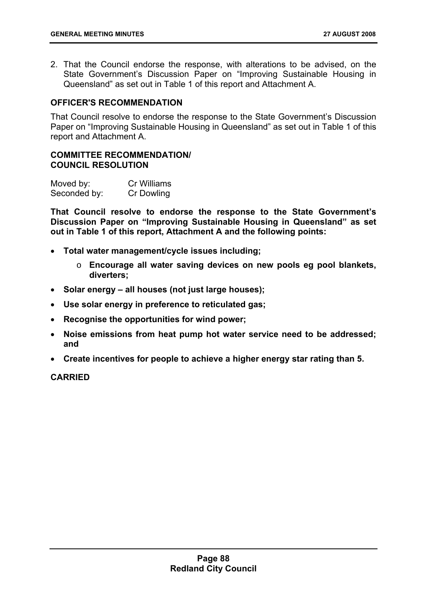2. That the Council endorse the response, with alterations to be advised, on the State Government's Discussion Paper on "Improving Sustainable Housing in Queensland" as set out in Table 1 of this report and Attachment A.

### **OFFICER'S RECOMMENDATION**

That Council resolve to endorse the response to the State Government's Discussion Paper on "Improving Sustainable Housing in Queensland" as set out in Table 1 of this report and Attachment A.

#### **COMMITTEE RECOMMENDATION/ COUNCIL RESOLUTION**

| Moved by:    | Cr Williams       |
|--------------|-------------------|
| Seconded by: | <b>Cr Dowling</b> |

**That Council resolve to endorse the response to the State Government's Discussion Paper on "Improving Sustainable Housing in Queensland" as set out in Table 1 of this report, Attachment A and the following points:** 

- **Total water management/cycle issues including;** 
	- o **Encourage all water saving devices on new pools eg pool blankets, diverters;**
- **Solar energy all houses (not just large houses);**
- **Use solar energy in preference to reticulated gas;**
- **Recognise the opportunities for wind power;**
- **Noise emissions from heat pump hot water service need to be addressed; and**
- **Create incentives for people to achieve a higher energy star rating than 5.**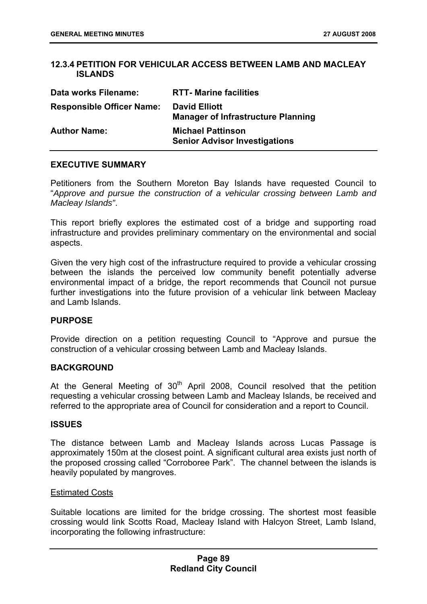## **12.3.4 PETITION FOR VEHICULAR ACCESS BETWEEN LAMB AND MACLEAY ISLANDS**

| Data works Filename:             | <b>RTT- Marine facilities</b>                                     |
|----------------------------------|-------------------------------------------------------------------|
| <b>Responsible Officer Name:</b> | <b>David Elliott</b><br><b>Manager of Infrastructure Planning</b> |
| <b>Author Name:</b>              | <b>Michael Pattinson</b><br><b>Senior Advisor Investigations</b>  |

### **EXECUTIVE SUMMARY**

Petitioners from the Southern Moreton Bay Islands have requested Council to "*Approve and pursue the construction of a vehicular crossing between Lamb and Macleay Islands"*.

This report briefly explores the estimated cost of a bridge and supporting road infrastructure and provides preliminary commentary on the environmental and social aspects.

Given the very high cost of the infrastructure required to provide a vehicular crossing between the islands the perceived low community benefit potentially adverse environmental impact of a bridge, the report recommends that Council not pursue further investigations into the future provision of a vehicular link between Macleay and Lamb Islands.

### **PURPOSE**

Provide direction on a petition requesting Council to "Approve and pursue the construction of a vehicular crossing between Lamb and Macleay Islands.

### **BACKGROUND**

At the General Meeting of  $30<sup>th</sup>$  April 2008, Council resolved that the petition requesting a vehicular crossing between Lamb and Macleay Islands, be received and referred to the appropriate area of Council for consideration and a report to Council.

### **ISSUES**

The distance between Lamb and Macleay Islands across Lucas Passage is approximately 150m at the closest point. A significant cultural area exists just north of the proposed crossing called "Corroboree Park". The channel between the islands is heavily populated by mangroves.

### Estimated Costs

Suitable locations are limited for the bridge crossing. The shortest most feasible crossing would link Scotts Road, Macleay Island with Halcyon Street, Lamb Island, incorporating the following infrastructure: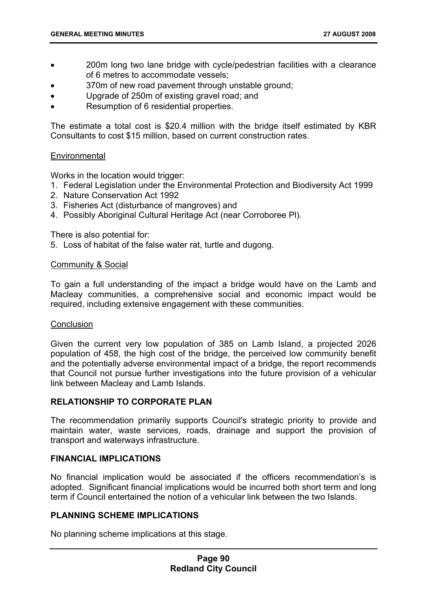- 200m long two lane bridge with cycle/pedestrian facilities with a clearance of 6 metres to accommodate vessels;
- 370m of new road pavement through unstable ground;
- Upgrade of 250m of existing gravel road; and
- Resumption of 6 residential properties.

The estimate a total cost is \$20.4 million with the bridge itself estimated by KBR Consultants to cost \$15 million, based on current construction rates.

## **Environmental**

Works in the location would trigger:

- 1. Federal Legislation under the Environmental Protection and Biodiversity Act 1999
- 2. Nature Conservation Act 1992
- 3. Fisheries Act (disturbance of mangroves) and
- 4. Possibly Aboriginal Cultural Heritage Act (near Corroboree Pl).

There is also potential for:

5. Loss of habitat of the false water rat, turtle and dugong.

## Community & Social

To gain a full understanding of the impact a bridge would have on the Lamb and Macleay communities, a comprehensive social and economic impact would be required, including extensive engagement with these communities.

# **Conclusion**

Given the current very low population of 385 on Lamb Island, a projected 2026 population of 458, the high cost of the bridge, the perceived low community benefit and the potentially adverse environmental impact of a bridge, the report recommends that Council not pursue further investigations into the future provision of a vehicular link between Macleay and Lamb Islands.

# **RELATIONSHIP TO CORPORATE PLAN**

The recommendation primarily supports Council's strategic priority to provide and maintain water, waste services, roads, drainage and support the provision of transport and waterways infrastructure.

# **FINANCIAL IMPLICATIONS**

No financial implication would be associated if the officers recommendation's is adopted. Significant financial implications would be incurred both short term and long term if Council entertained the notion of a vehicular link between the two Islands.

# **PLANNING SCHEME IMPLICATIONS**

No planning scheme implications at this stage.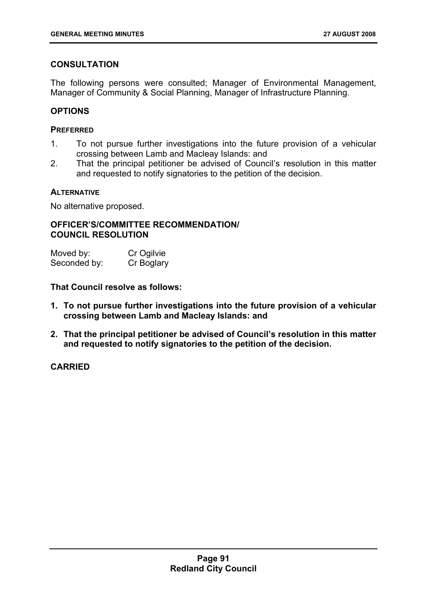# **CONSULTATION**

The following persons were consulted; Manager of Environmental Management, Manager of Community & Social Planning, Manager of Infrastructure Planning.

## **OPTIONS**

### **PREFERRED**

- 1. To not pursue further investigations into the future provision of a vehicular crossing between Lamb and Macleay Islands: and
- 2. That the principal petitioner be advised of Council's resolution in this matter and requested to notify signatories to the petition of the decision.

## **ALTERNATIVE**

No alternative proposed.

## **OFFICER'S/COMMITTEE RECOMMENDATION/ COUNCIL RESOLUTION**

| Moved by:    | Cr Ogilvie |
|--------------|------------|
| Seconded by: | Cr Boglary |

**That Council resolve as follows:** 

- **1. To not pursue further investigations into the future provision of a vehicular crossing between Lamb and Macleay Islands: and**
- **2. That the principal petitioner be advised of Council's resolution in this matter and requested to notify signatories to the petition of the decision.**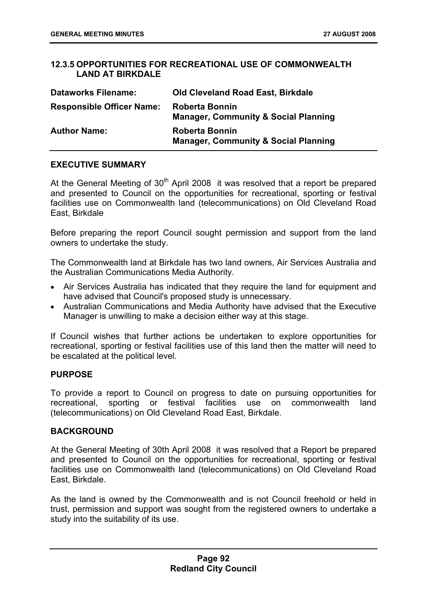## **12.3.5 OPPORTUNITIES FOR RECREATIONAL USE OF COMMONWEALTH LAND AT BIRKDALE**

| <b>Dataworks Filename:</b>       | <b>Old Cleveland Road East, Birkdale</b>                                 |
|----------------------------------|--------------------------------------------------------------------------|
| <b>Responsible Officer Name:</b> | <b>Roberta Bonnin</b><br><b>Manager, Community &amp; Social Planning</b> |
| <b>Author Name:</b>              | <b>Roberta Bonnin</b><br><b>Manager, Community &amp; Social Planning</b> |

## **EXECUTIVE SUMMARY**

At the General Meeting of  $30<sup>th</sup>$  April 2008 it was resolved that a report be prepared and presented to Council on the opportunities for recreational, sporting or festival facilities use on Commonwealth land (telecommunications) on Old Cleveland Road East, Birkdale

Before preparing the report Council sought permission and support from the land owners to undertake the study.

The Commonwealth land at Birkdale has two land owners, Air Services Australia and the Australian Communications Media Authority.

- Air Services Australia has indicated that they require the land for equipment and have advised that Council's proposed study is unnecessary.
- Australian Communications and Media Authority have advised that the Executive Manager is unwilling to make a decision either way at this stage.

If Council wishes that further actions be undertaken to explore opportunities for recreational, sporting or festival facilities use of this land then the matter will need to be escalated at the political level.

### **PURPOSE**

To provide a report to Council on progress to date on pursuing opportunities for recreational, sporting or festival facilities use on commonwealth land (telecommunications) on Old Cleveland Road East, Birkdale.

# **BACKGROUND**

At the General Meeting of 30th April 2008 it was resolved that a Report be prepared and presented to Council on the opportunities for recreational, sporting or festival facilities use on Commonwealth land (telecommunications) on Old Cleveland Road East, Birkdale.

As the land is owned by the Commonwealth and is not Council freehold or held in trust, permission and support was sought from the registered owners to undertake a study into the suitability of its use.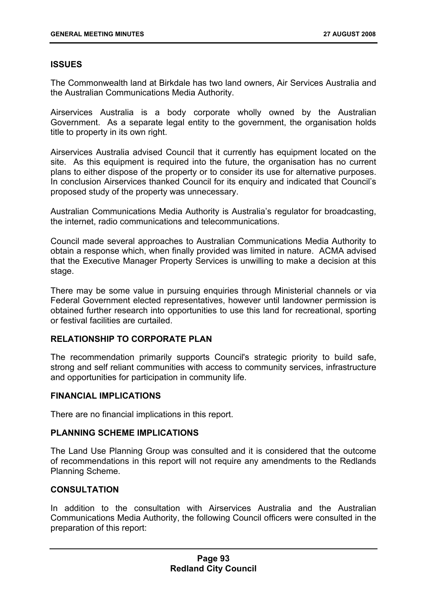# **ISSUES**

The Commonwealth land at Birkdale has two land owners, Air Services Australia and the Australian Communications Media Authority.

Airservices Australia is a body corporate wholly owned by the Australian Government. As a separate legal entity to the government, the organisation holds title to property in its own right.

Airservices Australia advised Council that it currently has equipment located on the site. As this equipment is required into the future, the organisation has no current plans to either dispose of the property or to consider its use for alternative purposes. In conclusion Airservices thanked Council for its enquiry and indicated that Council's proposed study of the property was unnecessary.

Australian Communications Media Authority is Australia's regulator for broadcasting, the internet, radio communications and telecommunications.

Council made several approaches to Australian Communications Media Authority to obtain a response which, when finally provided was limited in nature. ACMA advised that the Executive Manager Property Services is unwilling to make a decision at this stage.

There may be some value in pursuing enquiries through Ministerial channels or via Federal Government elected representatives, however until landowner permission is obtained further research into opportunities to use this land for recreational, sporting or festival facilities are curtailed.

# **RELATIONSHIP TO CORPORATE PLAN**

The recommendation primarily supports Council's strategic priority to build safe, strong and self reliant communities with access to community services, infrastructure and opportunities for participation in community life.

# **FINANCIAL IMPLICATIONS**

There are no financial implications in this report.

# **PLANNING SCHEME IMPLICATIONS**

The Land Use Planning Group was consulted and it is considered that the outcome of recommendations in this report will not require any amendments to the Redlands Planning Scheme.

# **CONSULTATION**

In addition to the consultation with Airservices Australia and the Australian Communications Media Authority, the following Council officers were consulted in the preparation of this report: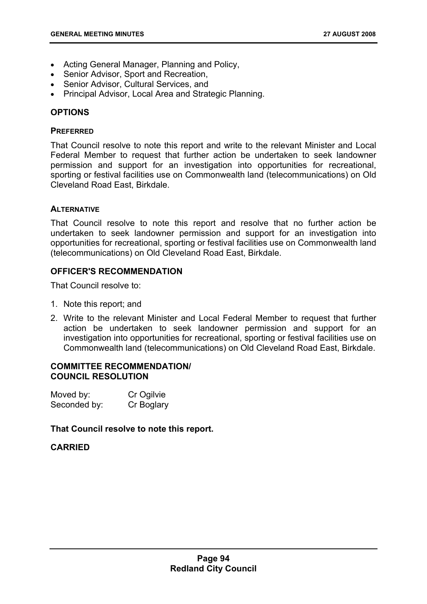- Acting General Manager, Planning and Policy,
- Senior Advisor, Sport and Recreation,
- Senior Advisor, Cultural Services, and
- Principal Advisor, Local Area and Strategic Planning.

## **OPTIONS**

### **PREFERRED**

That Council resolve to note this report and write to the relevant Minister and Local Federal Member to request that further action be undertaken to seek landowner permission and support for an investigation into opportunities for recreational, sporting or festival facilities use on Commonwealth land (telecommunications) on Old Cleveland Road East, Birkdale.

## **ALTERNATIVE**

That Council resolve to note this report and resolve that no further action be undertaken to seek landowner permission and support for an investigation into opportunities for recreational, sporting or festival facilities use on Commonwealth land (telecommunications) on Old Cleveland Road East, Birkdale.

# **OFFICER'S RECOMMENDATION**

That Council resolve to:

- 1. Note this report; and
- 2. Write to the relevant Minister and Local Federal Member to request that further action be undertaken to seek landowner permission and support for an investigation into opportunities for recreational, sporting or festival facilities use on Commonwealth land (telecommunications) on Old Cleveland Road East, Birkdale.

### **COMMITTEE RECOMMENDATION/ COUNCIL RESOLUTION**

| Moved by:    | Cr Ogilvie |
|--------------|------------|
| Seconded by: | Cr Boglary |

### **That Council resolve to note this report.**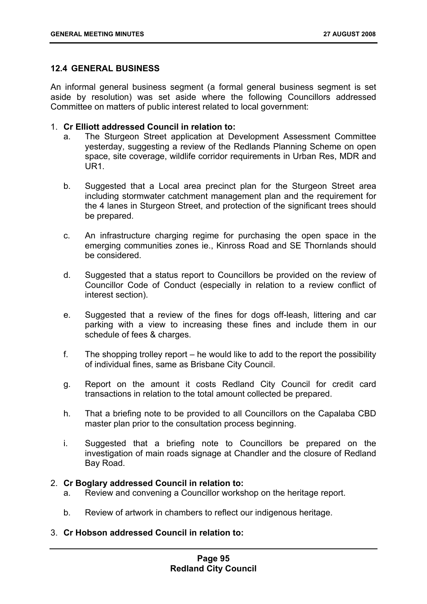# **12.4 GENERAL BUSINESS**

An informal general business segment (a formal general business segment is set aside by resolution) was set aside where the following Councillors addressed Committee on matters of public interest related to local government:

- 1. **Cr Elliott addressed Council in relation to:**
	- a. The Sturgeon Street application at Development Assessment Committee yesterday, suggesting a review of the Redlands Planning Scheme on open space, site coverage, wildlife corridor requirements in Urban Res, MDR and UR1.
	- b. Suggested that a Local area precinct plan for the Sturgeon Street area including stormwater catchment management plan and the requirement for the 4 lanes in Sturgeon Street, and protection of the significant trees should be prepared.
	- c. An infrastructure charging regime for purchasing the open space in the emerging communities zones ie., Kinross Road and SE Thornlands should be considered.
	- d. Suggested that a status report to Councillors be provided on the review of Councillor Code of Conduct (especially in relation to a review conflict of interest section).
	- e. Suggested that a review of the fines for dogs off-leash, littering and car parking with a view to increasing these fines and include them in our schedule of fees & charges.
	- f. The shopping trolley report he would like to add to the report the possibility of individual fines, same as Brisbane City Council.
	- g. Report on the amount it costs Redland City Council for credit card transactions in relation to the total amount collected be prepared.
	- h. That a briefing note to be provided to all Councillors on the Capalaba CBD master plan prior to the consultation process beginning.
	- i. Suggested that a briefing note to Councillors be prepared on the investigation of main roads signage at Chandler and the closure of Redland Bay Road.

# 2. **Cr Boglary addressed Council in relation to:**

- a. Review and convening a Councillor workshop on the heritage report.
- b. Review of artwork in chambers to reflect our indigenous heritage.
- 3. **Cr Hobson addressed Council in relation to:**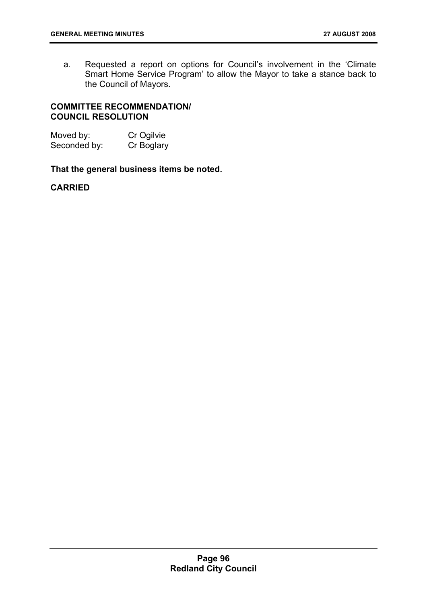a. Requested a report on options for Council's involvement in the 'Climate Smart Home Service Program' to allow the Mayor to take a stance back to the Council of Mayors.

## **COMMITTEE RECOMMENDATION/ COUNCIL RESOLUTION**

| Moved by:    | Cr Ogilvie |
|--------------|------------|
| Seconded by: | Cr Boglary |

## **That the general business items be noted.**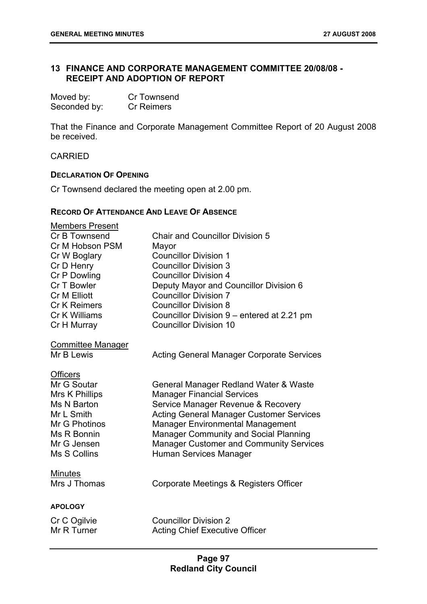# **13 FINANCE AND CORPORATE MANAGEMENT COMMITTEE 20/08/08 - RECEIPT AND ADOPTION OF REPORT**

| Moved by:    | Cr Townsend       |
|--------------|-------------------|
| Seconded by: | <b>Cr Reimers</b> |

That the Finance and Corporate Management Committee Report of 20 August 2008 be received.

CARRIED

#### **DECLARATION OF OPENING**

Cr Townsend declared the meeting open at 2.00 pm.

#### **RECORD OF ATTENDANCE AND LEAVE OF ABSENCE**

| <b>Members Present</b><br>Cr B Townsend<br>Cr M Hobson PSM<br>Cr W Boglary<br>Cr D Henry<br>Cr P Dowling<br>Cr T Bowler<br><b>Cr M Elliott</b><br><b>Cr K Reimers</b><br>Cr K Williams<br>Cr H Murray | <b>Chair and Councillor Division 5</b><br>Mayor<br><b>Councillor Division 1</b><br><b>Councillor Division 3</b><br><b>Councillor Division 4</b><br>Deputy Mayor and Councillor Division 6<br><b>Councillor Division 7</b><br><b>Councillor Division 8</b><br>Councillor Division 9 – entered at 2.21 pm<br><b>Councillor Division 10</b>   |
|-------------------------------------------------------------------------------------------------------------------------------------------------------------------------------------------------------|--------------------------------------------------------------------------------------------------------------------------------------------------------------------------------------------------------------------------------------------------------------------------------------------------------------------------------------------|
| <b>Committee Manager</b><br>Mr B Lewis                                                                                                                                                                | <b>Acting General Manager Corporate Services</b>                                                                                                                                                                                                                                                                                           |
| <b>Officers</b><br>Mr G Soutar<br>Mrs K Phillips<br>Ms N Barton<br>Mr L Smith<br>Mr G Photinos<br>Ms R Bonnin<br>Mr G Jensen<br>Ms S Collins                                                          | General Manager Redland Water & Waste<br><b>Manager Financial Services</b><br>Service Manager Revenue & Recovery<br><b>Acting General Manager Customer Services</b><br><b>Manager Environmental Management</b><br><b>Manager Community and Social Planning</b><br><b>Manager Customer and Community Services</b><br>Human Services Manager |
| <b>Minutes</b><br>Mrs J Thomas                                                                                                                                                                        | Corporate Meetings & Registers Officer                                                                                                                                                                                                                                                                                                     |
| <b>APOLOGY</b>                                                                                                                                                                                        |                                                                                                                                                                                                                                                                                                                                            |
| Cr C Ogilvie<br>Mr R Turner                                                                                                                                                                           | <b>Councillor Division 2</b><br><b>Acting Chief Executive Officer</b>                                                                                                                                                                                                                                                                      |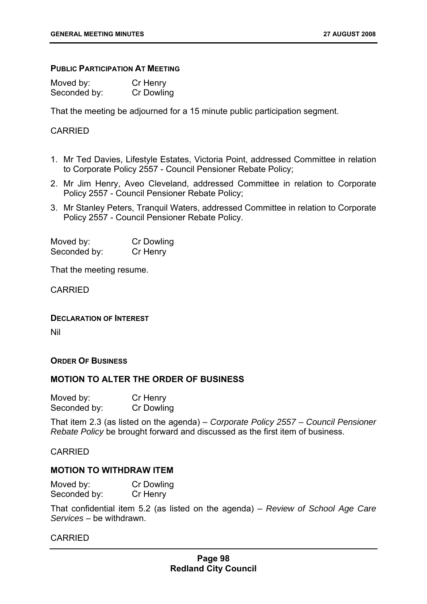#### **PUBLIC PARTICIPATION AT MEETING**

| Moved by:    | Cr Henry   |
|--------------|------------|
| Seconded by: | Cr Dowling |

That the meeting be adjourned for a 15 minute public participation segment.

### CARRIED

- 1. Mr Ted Davies, Lifestyle Estates, Victoria Point, addressed Committee in relation to Corporate Policy 2557 - Council Pensioner Rebate Policy;
- 2. Mr Jim Henry, Aveo Cleveland, addressed Committee in relation to Corporate Policy 2557 - Council Pensioner Rebate Policy;
- 3. Mr Stanley Peters, Tranquil Waters, addressed Committee in relation to Corporate Policy 2557 - Council Pensioner Rebate Policy.

Moved by: Cr Dowling Seconded by: Cr Henry

That the meeting resume.

CARRIED

**DECLARATION OF INTEREST**

Nil

#### **ORDER OF BUSINESS**

### **MOTION TO ALTER THE ORDER OF BUSINESS**

| Moved by:    | Cr Henry   |
|--------------|------------|
| Seconded by: | Cr Dowling |

That item 2.3 (as listed on the agenda) – *Corporate Policy 2557 – Council Pensioner Rebate Policy* be brought forward and discussed as the first item of business.

CARRIED

### **MOTION TO WITHDRAW ITEM**

| Moved by:    | Cr Dowling |
|--------------|------------|
| Seconded by: | Cr Henry   |

That confidential item 5.2 (as listed on the agenda) – *Review of School Age Care Services* – be withdrawn.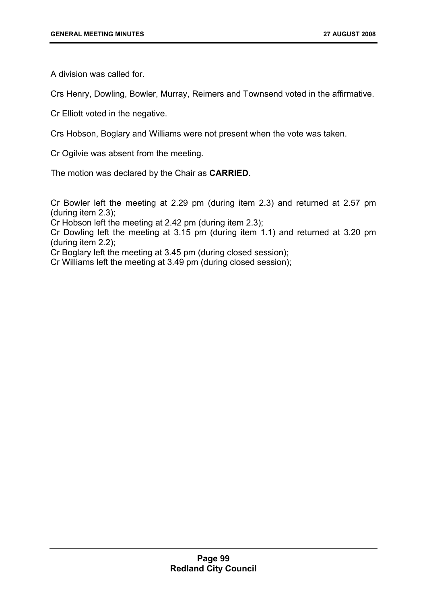A division was called for.

Crs Henry, Dowling, Bowler, Murray, Reimers and Townsend voted in the affirmative.

Cr Elliott voted in the negative.

Crs Hobson, Boglary and Williams were not present when the vote was taken.

Cr Ogilvie was absent from the meeting.

The motion was declared by the Chair as **CARRIED**.

Cr Bowler left the meeting at 2.29 pm (during item 2.3) and returned at 2.57 pm (during item 2.3);

Cr Hobson left the meeting at 2.42 pm (during item 2.3);

Cr Dowling left the meeting at 3.15 pm (during item 1.1) and returned at 3.20 pm (during item 2.2);

Cr Boglary left the meeting at 3.45 pm (during closed session);

Cr Williams left the meeting at 3.49 pm (during closed session);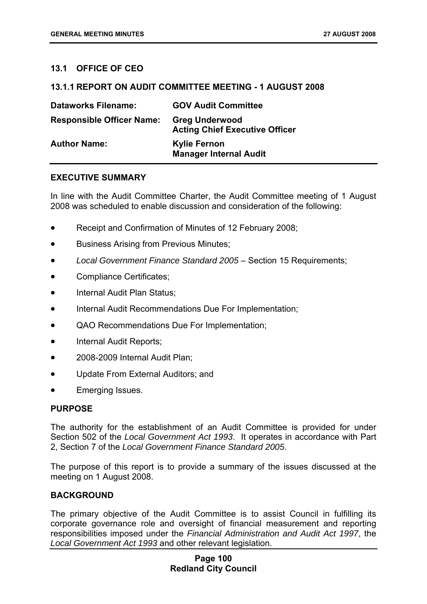# **13.1 OFFICE OF CEO**

### **13.1.1 REPORT ON AUDIT COMMITTEE MEETING - 1 AUGUST 2008**

| <b>Dataworks Filename:</b>       | <b>GOV Audit Committee</b>                                     |
|----------------------------------|----------------------------------------------------------------|
| <b>Responsible Officer Name:</b> | <b>Greg Underwood</b><br><b>Acting Chief Executive Officer</b> |
| <b>Author Name:</b>              | <b>Kylie Fernon</b><br><b>Manager Internal Audit</b>           |

### **EXECUTIVE SUMMARY**

In line with the Audit Committee Charter, the Audit Committee meeting of 1 August 2008 was scheduled to enable discussion and consideration of the following:

- Receipt and Confirmation of Minutes of 12 February 2008;
- Business Arising from Previous Minutes;
- *Local Government Finance Standard 2005* Section 15 Requirements;
- Compliance Certificates;
- Internal Audit Plan Status;
- Internal Audit Recommendations Due For Implementation;
- QAO Recommendations Due For Implementation;
- Internal Audit Reports;
- 2008-2009 Internal Audit Plan:
- Update From External Auditors; and
- Emerging Issues.

### **PURPOSE**

The authority for the establishment of an Audit Committee is provided for under Section 502 of the *Local Government Act 1993*. It operates in accordance with Part 2, Section 7 of the *Local Government Finance Standard 2005*.

The purpose of this report is to provide a summary of the issues discussed at the meeting on 1 August 2008.

### **BACKGROUND**

The primary objective of the Audit Committee is to assist Council in fulfilling its corporate governance role and oversight of financial measurement and reporting responsibilities imposed under the *Financial Administration and Audit Act 1997*, the *Local Government Act 1993* and other relevant legislation.

### **Page 100 Redland City Council**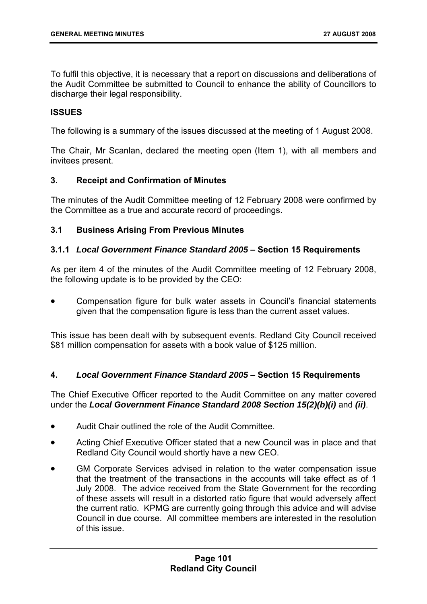To fulfil this objective, it is necessary that a report on discussions and deliberations of the Audit Committee be submitted to Council to enhance the ability of Councillors to discharge their legal responsibility.

## **ISSUES**

The following is a summary of the issues discussed at the meeting of 1 August 2008.

The Chair, Mr Scanlan, declared the meeting open (Item 1), with all members and invitees present.

## **3. Receipt and Confirmation of Minutes**

The minutes of the Audit Committee meeting of 12 February 2008 were confirmed by the Committee as a true and accurate record of proceedings.

## **3.1 Business Arising From Previous Minutes**

## **3.1.1** *Local Government Finance Standard 2005* **– Section 15 Requirements**

As per item 4 of the minutes of the Audit Committee meeting of 12 February 2008, the following update is to be provided by the CEO:

• Compensation figure for bulk water assets in Council's financial statements given that the compensation figure is less than the current asset values.

This issue has been dealt with by subsequent events. Redland City Council received \$81 million compensation for assets with a book value of \$125 million.

### **4.** *Local Government Finance Standard 2005* **– Section 15 Requirements**

The Chief Executive Officer reported to the Audit Committee on any matter covered under the *Local Government Finance Standard 2008 Section 15(2)(b)(i)* and *(ii)*.

- Audit Chair outlined the role of the Audit Committee.
- Acting Chief Executive Officer stated that a new Council was in place and that Redland City Council would shortly have a new CEO.
- GM Corporate Services advised in relation to the water compensation issue that the treatment of the transactions in the accounts will take effect as of 1 July 2008. The advice received from the State Government for the recording of these assets will result in a distorted ratio figure that would adversely affect the current ratio. KPMG are currently going through this advice and will advise Council in due course. All committee members are interested in the resolution of this issue.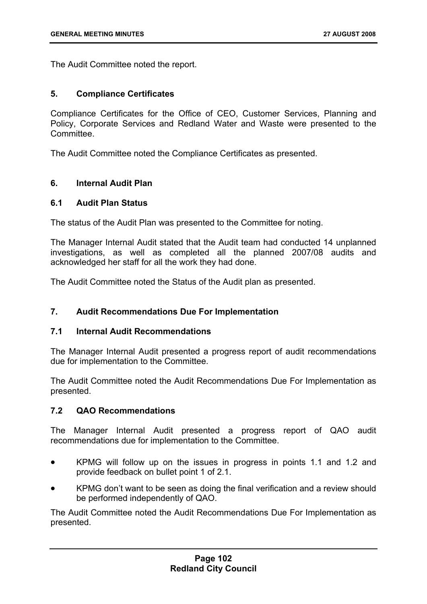The Audit Committee noted the report.

## **5. Compliance Certificates**

Compliance Certificates for the Office of CEO, Customer Services, Planning and Policy, Corporate Services and Redland Water and Waste were presented to the **Committee.** 

The Audit Committee noted the Compliance Certificates as presented.

# **6. Internal Audit Plan**

## **6.1 Audit Plan Status**

The status of the Audit Plan was presented to the Committee for noting.

The Manager Internal Audit stated that the Audit team had conducted 14 unplanned investigations, as well as completed all the planned 2007/08 audits and acknowledged her staff for all the work they had done.

The Audit Committee noted the Status of the Audit plan as presented.

# **7. Audit Recommendations Due For Implementation**

### **7.1 Internal Audit Recommendations**

The Manager Internal Audit presented a progress report of audit recommendations due for implementation to the Committee.

The Audit Committee noted the Audit Recommendations Due For Implementation as presented.

# **7.2 QAO Recommendations**

The Manager Internal Audit presented a progress report of QAO audit recommendations due for implementation to the Committee.

- KPMG will follow up on the issues in progress in points 1.1 and 1.2 and provide feedback on bullet point 1 of 2.1.
- KPMG don't want to be seen as doing the final verification and a review should be performed independently of QAO.

The Audit Committee noted the Audit Recommendations Due For Implementation as presented.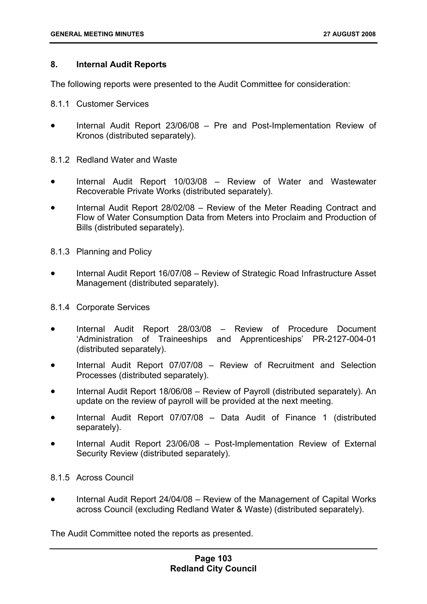## **8. Internal Audit Reports**

The following reports were presented to the Audit Committee for consideration:

- 8.1.1 Customer Services
- Internal Audit Report 23/06/08 Pre and Post-Implementation Review of Kronos (distributed separately).
- 8.1.2 Redland Water and Waste
- Internal Audit Report 10/03/08 Review of Water and Wastewater Recoverable Private Works (distributed separately).
- Internal Audit Report 28/02/08 Review of the Meter Reading Contract and Flow of Water Consumption Data from Meters into Proclaim and Production of Bills (distributed separately).
- 8.1.3 Planning and Policy
- Internal Audit Report 16/07/08 Review of Strategic Road Infrastructure Asset Management (distributed separately).
- 8.1.4 Corporate Services
- Internal Audit Report 28/03/08 Review of Procedure Document 'Administration of Traineeships and Apprenticeships' PR-2127-004-01 (distributed separately).
- Internal Audit Report 07/07/08 Review of Recruitment and Selection Processes (distributed separately).
- Internal Audit Report 18/06/08 Review of Payroll (distributed separately). An update on the review of payroll will be provided at the next meeting.
- Internal Audit Report 07/07/08 Data Audit of Finance 1 (distributed separately).
- Internal Audit Report 23/06/08 Post-Implementation Review of External Security Review (distributed separately).
- 8.1.5 Across Council
- Internal Audit Report 24/04/08 Review of the Management of Capital Works across Council (excluding Redland Water & Waste) (distributed separately).

The Audit Committee noted the reports as presented.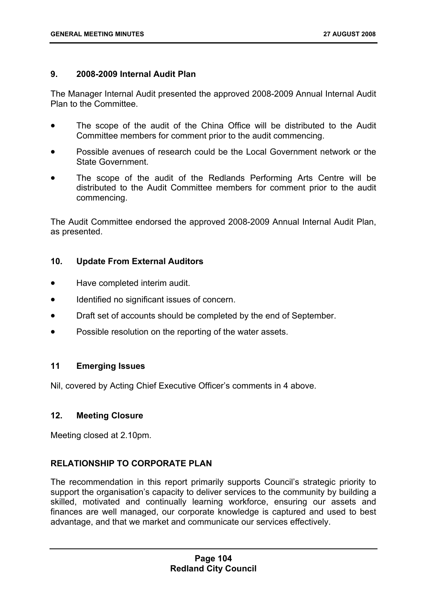## **9. 2008-2009 Internal Audit Plan**

The Manager Internal Audit presented the approved 2008-2009 Annual Internal Audit Plan to the Committee.

- The scope of the audit of the China Office will be distributed to the Audit Committee members for comment prior to the audit commencing.
- Possible avenues of research could be the Local Government network or the State Government.
- The scope of the audit of the Redlands Performing Arts Centre will be distributed to the Audit Committee members for comment prior to the audit commencing.

The Audit Committee endorsed the approved 2008-2009 Annual Internal Audit Plan, as presented.

## **10. Update From External Auditors**

- Have completed interim audit.
- Identified no significant issues of concern.
- Draft set of accounts should be completed by the end of September.
- Possible resolution on the reporting of the water assets.

## **11 Emerging Issues**

Nil, covered by Acting Chief Executive Officer's comments in 4 above.

#### **12. Meeting Closure**

Meeting closed at 2.10pm.

## **RELATIONSHIP TO CORPORATE PLAN**

The recommendation in this report primarily supports Council's strategic priority to support the organisation's capacity to deliver services to the community by building a skilled, motivated and continually learning workforce, ensuring our assets and finances are well managed, our corporate knowledge is captured and used to best advantage, and that we market and communicate our services effectively.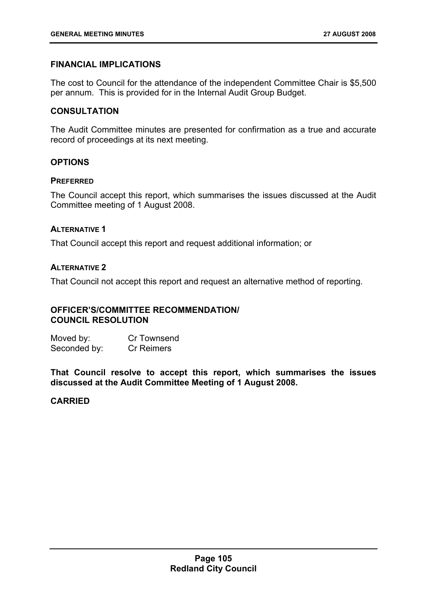# **FINANCIAL IMPLICATIONS**

The cost to Council for the attendance of the independent Committee Chair is \$5,500 per annum. This is provided for in the Internal Audit Group Budget.

## **CONSULTATION**

The Audit Committee minutes are presented for confirmation as a true and accurate record of proceedings at its next meeting.

## **OPTIONS**

## **PREFERRED**

The Council accept this report, which summarises the issues discussed at the Audit Committee meeting of 1 August 2008.

## **ALTERNATIVE 1**

That Council accept this report and request additional information; or

# **ALTERNATIVE 2**

That Council not accept this report and request an alternative method of reporting.

## **OFFICER'S/COMMITTEE RECOMMENDATION/ COUNCIL RESOLUTION**

Moved by: Cr Townsend Seconded by: Cr Reimers

**That Council resolve to accept this report, which summarises the issues discussed at the Audit Committee Meeting of 1 August 2008.** 

## **CARRIED**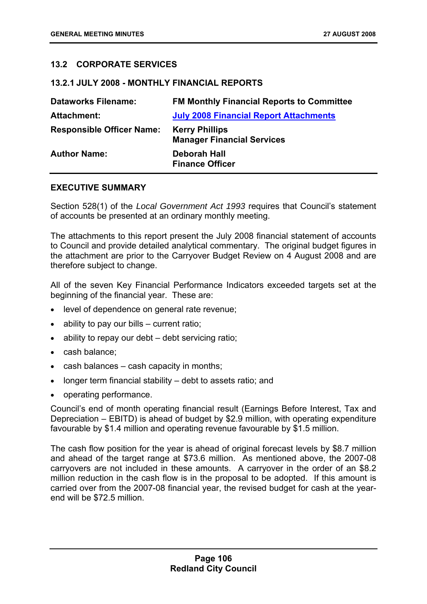# **13.2 CORPORATE SERVICES**

#### **13.2.1 JULY 2008 - MONTHLY FINANCIAL REPORTS**

| <b>Dataworks Filename:</b>       | <b>FM Monthly Financial Reports to Committee</b>           |
|----------------------------------|------------------------------------------------------------|
| <b>Attachment:</b>               | <b>July 2008 Financial Report Attachments</b>              |
| <b>Responsible Officer Name:</b> | <b>Kerry Phillips</b><br><b>Manager Financial Services</b> |
| <b>Author Name:</b>              | Deborah Hall<br><b>Finance Officer</b>                     |

### **EXECUTIVE SUMMARY**

Section 528(1) of the *Local Government Act 1993* requires that Council's statement of accounts be presented at an ordinary monthly meeting.

The attachments to this report present the July 2008 financial statement of accounts to Council and provide detailed analytical commentary. The original budget figures in the attachment are prior to the Carryover Budget Review on 4 August 2008 and are therefore subject to change.

All of the seven Key Financial Performance Indicators exceeded targets set at the beginning of the financial year. These are:

- level of dependence on general rate revenue;
- ability to pay our bills current ratio;
- ability to repay our debt debt servicing ratio;
- cash balance;
- cash balances cash capacity in months;
- longer term financial stability debt to assets ratio; and
- operating performance.

Council's end of month operating financial result (Earnings Before Interest, Tax and Depreciation – EBITD) is ahead of budget by \$2.9 million, with operating expenditure favourable by \$1.4 million and operating revenue favourable by \$1.5 million.

The cash flow position for the year is ahead of original forecast levels by \$8.7 million and ahead of the target range at \$73.6 million. As mentioned above, the 2007-08 carryovers are not included in these amounts. A carryover in the order of an \$8.2 million reduction in the cash flow is in the proposal to be adopted. If this amount is carried over from the 2007-08 financial year, the revised budget for cash at the yearend will be \$72.5 million.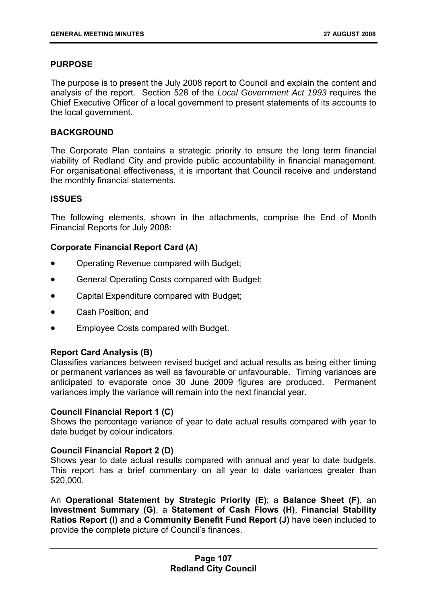## **PURPOSE**

The purpose is to present the July 2008 report to Council and explain the content and analysis of the report. Section 528 of the *Local Government Act 1993* requires the Chief Executive Officer of a local government to present statements of its accounts to the local government.

## **BACKGROUND**

The Corporate Plan contains a strategic priority to ensure the long term financial viability of Redland City and provide public accountability in financial management. For organisational effectiveness, it is important that Council receive and understand the monthly financial statements.

## **ISSUES**

The following elements, shown in the attachments, comprise the End of Month Financial Reports for July 2008:

## **Corporate Financial Report Card (A)**

- Operating Revenue compared with Budget;
- General Operating Costs compared with Budget;
- Capital Expenditure compared with Budget;
- Cash Position; and
- Employee Costs compared with Budget.

#### **Report Card Analysis (B)**

Classifies variances between revised budget and actual results as being either timing or permanent variances as well as favourable or unfavourable. Timing variances are anticipated to evaporate once 30 June 2009 figures are produced. Permanent variances imply the variance will remain into the next financial year.

#### **Council Financial Report 1 (C)**

Shows the percentage variance of year to date actual results compared with year to date budget by colour indicators.

#### **Council Financial Report 2 (D)**

Shows year to date actual results compared with annual and year to date budgets. This report has a brief commentary on all year to date variances greater than \$20,000.

An **Operational Statement by Strategic Priority (E)**; a **Balance Sheet (F)**, an **Investment Summary (G)**, a **Statement of Cash Flows (H)**, **Financial Stability Ratios Report (I)** and a **Community Benefit Fund Report (J)** have been included to provide the complete picture of Council's finances.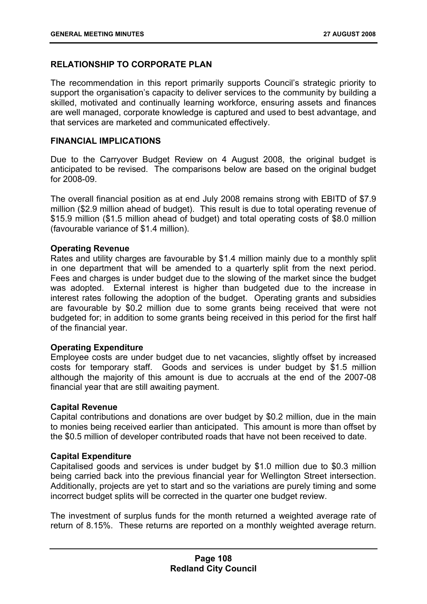# **RELATIONSHIP TO CORPORATE PLAN**

The recommendation in this report primarily supports Council's strategic priority to support the organisation's capacity to deliver services to the community by building a skilled, motivated and continually learning workforce, ensuring assets and finances are well managed, corporate knowledge is captured and used to best advantage, and that services are marketed and communicated effectively.

### **FINANCIAL IMPLICATIONS**

Due to the Carryover Budget Review on 4 August 2008, the original budget is anticipated to be revised. The comparisons below are based on the original budget for 2008-09.

The overall financial position as at end July 2008 remains strong with EBITD of \$7.9 million (\$2.9 million ahead of budget). This result is due to total operating revenue of \$15.9 million (\$1.5 million ahead of budget) and total operating costs of \$8.0 million (favourable variance of \$1.4 million).

## **Operating Revenue**

Rates and utility charges are favourable by \$1.4 million mainly due to a monthly split in one department that will be amended to a quarterly split from the next period. Fees and charges is under budget due to the slowing of the market since the budget was adopted. External interest is higher than budgeted due to the increase in interest rates following the adoption of the budget. Operating grants and subsidies are favourable by \$0.2 million due to some grants being received that were not budgeted for; in addition to some grants being received in this period for the first half of the financial year.

## **Operating Expenditure**

Employee costs are under budget due to net vacancies, slightly offset by increased costs for temporary staff. Goods and services is under budget by \$1.5 million although the majority of this amount is due to accruals at the end of the 2007-08 financial year that are still awaiting payment.

#### **Capital Revenue**

Capital contributions and donations are over budget by \$0.2 million, due in the main to monies being received earlier than anticipated. This amount is more than offset by the \$0.5 million of developer contributed roads that have not been received to date.

#### **Capital Expenditure**

Capitalised goods and services is under budget by \$1.0 million due to \$0.3 million being carried back into the previous financial year for Wellington Street intersection. Additionally, projects are yet to start and so the variations are purely timing and some incorrect budget splits will be corrected in the quarter one budget review.

The investment of surplus funds for the month returned a weighted average rate of return of 8.15%. These returns are reported on a monthly weighted average return.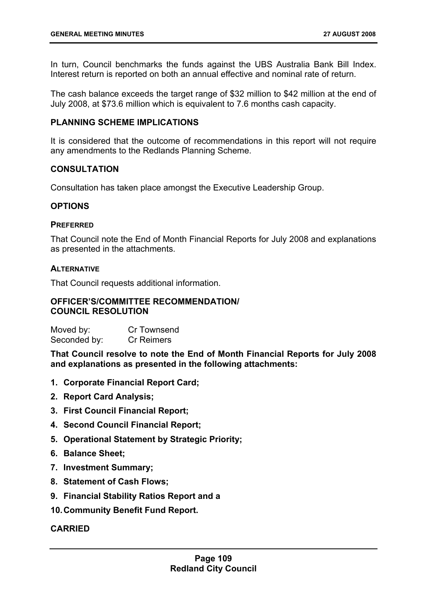In turn, Council benchmarks the funds against the UBS Australia Bank Bill Index. Interest return is reported on both an annual effective and nominal rate of return.

The cash balance exceeds the target range of \$32 million to \$42 million at the end of July 2008, at \$73.6 million which is equivalent to 7.6 months cash capacity.

## **PLANNING SCHEME IMPLICATIONS**

It is considered that the outcome of recommendations in this report will not require any amendments to the Redlands Planning Scheme.

## **CONSULTATION**

Consultation has taken place amongst the Executive Leadership Group.

## **OPTIONS**

#### **PREFERRED**

That Council note the End of Month Financial Reports for July 2008 and explanations as presented in the attachments.

#### **ALTERNATIVE**

That Council requests additional information.

#### **OFFICER'S/COMMITTEE RECOMMENDATION/ COUNCIL RESOLUTION**

| Moved by:    | Cr Townsend       |
|--------------|-------------------|
| Seconded by: | <b>Cr Reimers</b> |

**That Council resolve to note the End of Month Financial Reports for July 2008 and explanations as presented in the following attachments:** 

- **1. Corporate Financial Report Card;**
- **2. Report Card Analysis;**
- **3. First Council Financial Report;**
- **4. Second Council Financial Report;**
- **5. Operational Statement by Strategic Priority;**
- **6. Balance Sheet;**
- **7. Investment Summary;**
- **8. Statement of Cash Flows;**
- **9. Financial Stability Ratios Report and a**
- **10. Community Benefit Fund Report.**

#### **CARRIED**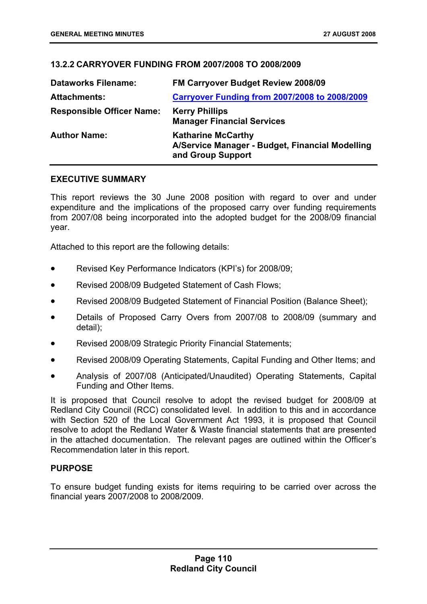## **13.2.2 CARRYOVER FUNDING FROM 2007/2008 TO 2008/2009**

| <b>Dataworks Filename:</b>       | FM Carryover Budget Review 2008/09                                                                |
|----------------------------------|---------------------------------------------------------------------------------------------------|
| <b>Attachments:</b>              | <b>Carryover Funding from 2007/2008 to 2008/2009</b>                                              |
| <b>Responsible Officer Name:</b> | <b>Kerry Phillips</b><br><b>Manager Financial Services</b>                                        |
| <b>Author Name:</b>              | <b>Katharine McCarthy</b><br>A/Service Manager - Budget, Financial Modelling<br>and Group Support |

#### **EXECUTIVE SUMMARY**

This report reviews the 30 June 2008 position with regard to over and under expenditure and the implications of the proposed carry over funding requirements from 2007/08 being incorporated into the adopted budget for the 2008/09 financial year.

Attached to this report are the following details:

- Revised Key Performance Indicators (KPI's) for 2008/09;
- Revised 2008/09 Budgeted Statement of Cash Flows;
- Revised 2008/09 Budgeted Statement of Financial Position (Balance Sheet);
- Details of Proposed Carry Overs from 2007/08 to 2008/09 (summary and detail);
- Revised 2008/09 Strategic Priority Financial Statements;
- Revised 2008/09 Operating Statements, Capital Funding and Other Items; and
- Analysis of 2007/08 (Anticipated/Unaudited) Operating Statements, Capital Funding and Other Items.

It is proposed that Council resolve to adopt the revised budget for 2008/09 at Redland City Council (RCC) consolidated level. In addition to this and in accordance with Section 520 of the Local Government Act 1993, it is proposed that Council resolve to adopt the Redland Water & Waste financial statements that are presented in the attached documentation. The relevant pages are outlined within the Officer's Recommendation later in this report.

#### **PURPOSE**

To ensure budget funding exists for items requiring to be carried over across the financial years 2007/2008 to 2008/2009.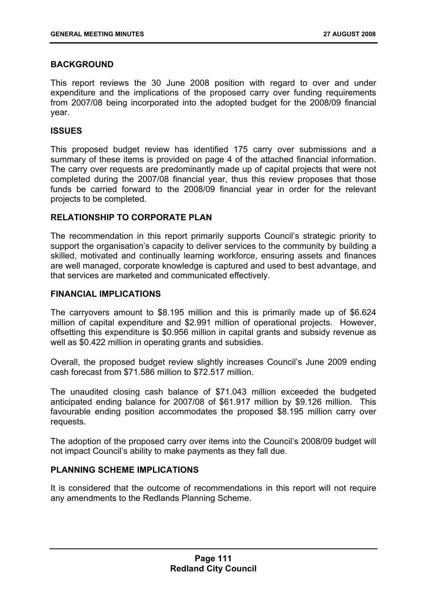## **BACKGROUND**

This report reviews the 30 June 2008 position with regard to over and under expenditure and the implications of the proposed carry over funding requirements from 2007/08 being incorporated into the adopted budget for the 2008/09 financial year.

## **ISSUES**

This proposed budget review has identified 175 carry over submissions and a summary of these items is provided on page 4 of the attached financial information. The carry over requests are predominantly made up of capital projects that were not completed during the 2007/08 financial year, thus this review proposes that those funds be carried forward to the 2008/09 financial year in order for the relevant projects to be completed.

## **RELATIONSHIP TO CORPORATE PLAN**

The recommendation in this report primarily supports Council's strategic priority to support the organisation's capacity to deliver services to the community by building a skilled, motivated and continually learning workforce, ensuring assets and finances are well managed, corporate knowledge is captured and used to best advantage, and that services are marketed and communicated effectively.

## **FINANCIAL IMPLICATIONS**

The carryovers amount to \$8.195 million and this is primarily made up of \$6.624 million of capital expenditure and \$2.991 million of operational projects. However, offsetting this expenditure is \$0.956 million in capital grants and subsidy revenue as well as \$0.422 million in operating grants and subsidies.

Overall, the proposed budget review slightly increases Council's June 2009 ending cash forecast from \$71.586 million to \$72.517 million.

The unaudited closing cash balance of \$71.043 million exceeded the budgeted anticipated ending balance for 2007/08 of \$61.917 million by \$9.126 million. This favourable ending position accommodates the proposed \$8.195 million carry over requests.

The adoption of the proposed carry over items into the Council's 2008/09 budget will not impact Council's ability to make payments as they fall due.

#### **PLANNING SCHEME IMPLICATIONS**

It is considered that the outcome of recommendations in this report will not require any amendments to the Redlands Planning Scheme.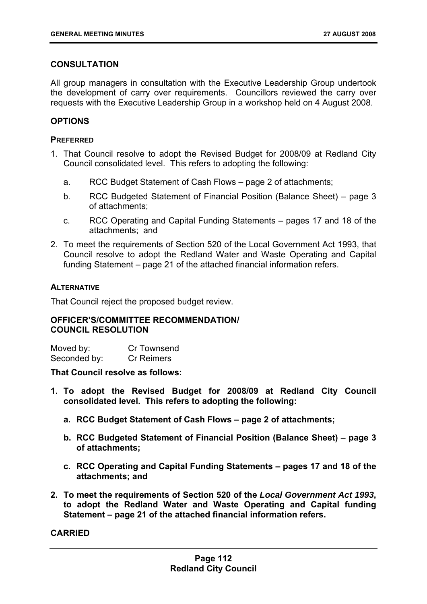## **CONSULTATION**

All group managers in consultation with the Executive Leadership Group undertook the development of carry over requirements. Councillors reviewed the carry over requests with the Executive Leadership Group in a workshop held on 4 August 2008.

## **OPTIONS**

## **PREFERRED**

- 1. That Council resolve to adopt the Revised Budget for 2008/09 at Redland City Council consolidated level. This refers to adopting the following:
	- a. RCC Budget Statement of Cash Flows page 2 of attachments;
	- b. RCC Budgeted Statement of Financial Position (Balance Sheet) page 3 of attachments;
	- c. RCC Operating and Capital Funding Statements pages 17 and 18 of the attachments; and
- 2. To meet the requirements of Section 520 of the Local Government Act 1993, that Council resolve to adopt the Redland Water and Waste Operating and Capital funding Statement – page 21 of the attached financial information refers.

## **ALTERNATIVE**

That Council reject the proposed budget review.

## **OFFICER'S/COMMITTEE RECOMMENDATION/ COUNCIL RESOLUTION**

| Moved by:    | Cr Townsend       |
|--------------|-------------------|
| Seconded by: | <b>Cr Reimers</b> |

#### **That Council resolve as follows:**

- **1. To adopt the Revised Budget for 2008/09 at Redland City Council consolidated level. This refers to adopting the following:** 
	- **a. RCC Budget Statement of Cash Flows page 2 of attachments;**
	- **b. RCC Budgeted Statement of Financial Position (Balance Sheet) page 3 of attachments;**
	- **c. RCC Operating and Capital Funding Statements pages 17 and 18 of the attachments; and**
- **2. To meet the requirements of Section 520 of the** *Local Government Act 1993***, to adopt the Redland Water and Waste Operating and Capital funding Statement – page 21 of the attached financial information refers.**

**CARRIED**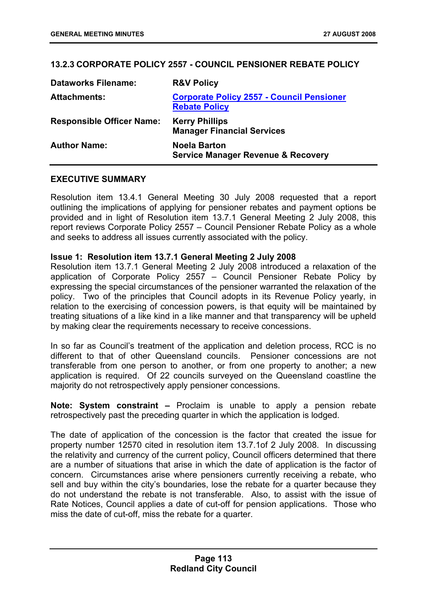# **13.2.3 CORPORATE POLICY 2557 - COUNCIL PENSIONER REBATE POLICY**

| <b>Dataworks Filename:</b>       | <b>R&amp;V Policy</b>                                                    |
|----------------------------------|--------------------------------------------------------------------------|
| <b>Attachments:</b>              | <b>Corporate Policy 2557 - Council Pensioner</b><br><b>Rebate Policy</b> |
| <b>Responsible Officer Name:</b> | <b>Kerry Phillips</b><br><b>Manager Financial Services</b>               |
| <b>Author Name:</b>              | <b>Noela Barton</b><br><b>Service Manager Revenue &amp; Recovery</b>     |

## **EXECUTIVE SUMMARY**

Resolution item 13.4.1 General Meeting 30 July 2008 requested that a report outlining the implications of applying for pensioner rebates and payment options be provided and in light of Resolution item 13.7.1 General Meeting 2 July 2008, this report reviews Corporate Policy 2557 – Council Pensioner Rebate Policy as a whole and seeks to address all issues currently associated with the policy.

## **Issue 1: Resolution item 13.7.1 General Meeting 2 July 2008**

Resolution item 13.7.1 General Meeting 2 July 2008 introduced a relaxation of the application of Corporate Policy 2557 – Council Pensioner Rebate Policy by expressing the special circumstances of the pensioner warranted the relaxation of the policy. Two of the principles that Council adopts in its Revenue Policy yearly, in relation to the exercising of concession powers, is that equity will be maintained by treating situations of a like kind in a like manner and that transparency will be upheld by making clear the requirements necessary to receive concessions.

In so far as Council's treatment of the application and deletion process, RCC is no different to that of other Queensland councils. Pensioner concessions are not transferable from one person to another, or from one property to another; a new application is required. Of 22 councils surveyed on the Queensland coastline the majority do not retrospectively apply pensioner concessions.

**Note: System constraint –** Proclaim is unable to apply a pension rebate retrospectively past the preceding quarter in which the application is lodged.

The date of application of the concession is the factor that created the issue for property number 12570 cited in resolution item 13.7.1of 2 July 2008. In discussing the relativity and currency of the current policy, Council officers determined that there are a number of situations that arise in which the date of application is the factor of concern. Circumstances arise where pensioners currently receiving a rebate, who sell and buy within the city's boundaries, lose the rebate for a quarter because they do not understand the rebate is not transferable. Also, to assist with the issue of Rate Notices, Council applies a date of cut-off for pension applications. Those who miss the date of cut-off, miss the rebate for a quarter.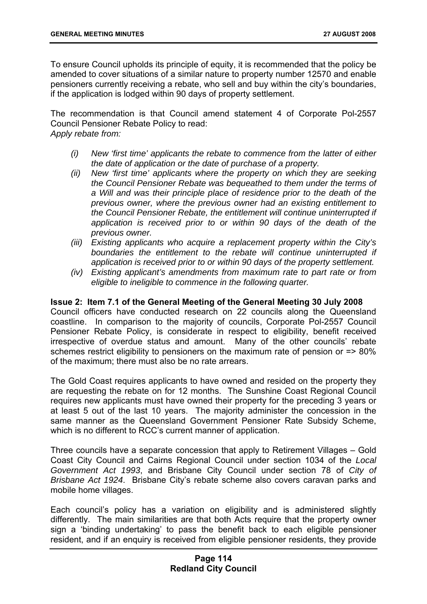To ensure Council upholds its principle of equity, it is recommended that the policy be amended to cover situations of a similar nature to property number 12570 and enable pensioners currently receiving a rebate, who sell and buy within the city's boundaries, if the application is lodged within 90 days of property settlement.

The recommendation is that Council amend statement 4 of Corporate Pol-2557 Council Pensioner Rebate Policy to read: *Apply rebate from:* 

- *(i) New 'first time' applicants the rebate to commence from the latter of either the date of application or the date of purchase of a property.*
- *(ii) New 'first time' applicants where the property on which they are seeking the Council Pensioner Rebate was bequeathed to them under the terms of a Will and was their principle place of residence prior to the death of the previous owner, where the previous owner had an existing entitlement to the Council Pensioner Rebate, the entitlement will continue uninterrupted if application is received prior to or within 90 days of the death of the previous owner.*
- *(iii) Existing applicants who acquire a replacement property within the City's boundaries the entitlement to the rebate will continue uninterrupted if application is received prior to or within 90 days of the property settlement.*
- *(iv) Existing applicant's amendments from maximum rate to part rate or from eligible to ineligible to commence in the following quarter.*

## **Issue 2: Item 7.1 of the General Meeting of the General Meeting 30 July 2008**

Council officers have conducted research on 22 councils along the Queensland coastline. In comparison to the majority of councils, Corporate Pol-2557 Council Pensioner Rebate Policy, is considerate in respect to eligibility, benefit received irrespective of overdue status and amount. Many of the other councils' rebate schemes restrict eligibility to pensioners on the maximum rate of pension or => 80% of the maximum; there must also be no rate arrears.

The Gold Coast requires applicants to have owned and resided on the property they are requesting the rebate on for 12 months. The Sunshine Coast Regional Council requires new applicants must have owned their property for the preceding 3 years or at least 5 out of the last 10 years. The majority administer the concession in the same manner as the Queensland Government Pensioner Rate Subsidy Scheme, which is no different to RCC's current manner of application.

Three councils have a separate concession that apply to Retirement Villages – Gold Coast City Council and Cairns Regional Council under section 1034 of the *Local Government Act 1993*, and Brisbane City Council under section 78 of *City of Brisbane Act 1924*. Brisbane City's rebate scheme also covers caravan parks and mobile home villages.

Each council's policy has a variation on eligibility and is administered slightly differently. The main similarities are that both Acts require that the property owner sign a 'binding undertaking' to pass the benefit back to each eligible pensioner resident, and if an enquiry is received from eligible pensioner residents, they provide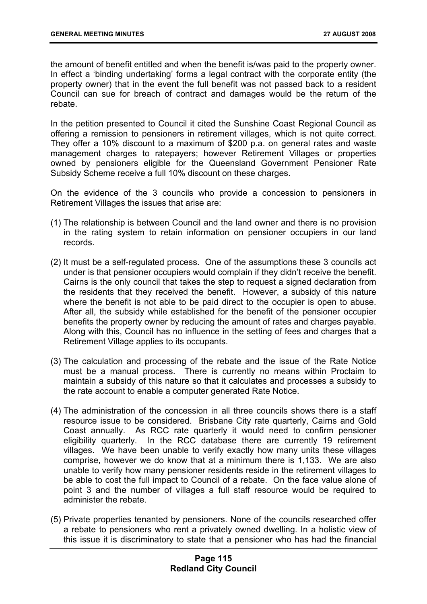the amount of benefit entitled and when the benefit is/was paid to the property owner. In effect a 'binding undertaking' forms a legal contract with the corporate entity (the property owner) that in the event the full benefit was not passed back to a resident Council can sue for breach of contract and damages would be the return of the rebate.

In the petition presented to Council it cited the Sunshine Coast Regional Council as offering a remission to pensioners in retirement villages, which is not quite correct. They offer a 10% discount to a maximum of \$200 p.a. on general rates and waste management charges to ratepayers; however Retirement Villages or properties owned by pensioners eligible for the Queensland Government Pensioner Rate Subsidy Scheme receive a full 10% discount on these charges.

On the evidence of the 3 councils who provide a concession to pensioners in Retirement Villages the issues that arise are:

- (1) The relationship is between Council and the land owner and there is no provision in the rating system to retain information on pensioner occupiers in our land records.
- (2) It must be a self-regulated process. One of the assumptions these 3 councils act under is that pensioner occupiers would complain if they didn't receive the benefit. Cairns is the only council that takes the step to request a signed declaration from the residents that they received the benefit. However, a subsidy of this nature where the benefit is not able to be paid direct to the occupier is open to abuse. After all, the subsidy while established for the benefit of the pensioner occupier benefits the property owner by reducing the amount of rates and charges payable. Along with this, Council has no influence in the setting of fees and charges that a Retirement Village applies to its occupants.
- (3) The calculation and processing of the rebate and the issue of the Rate Notice must be a manual process. There is currently no means within Proclaim to maintain a subsidy of this nature so that it calculates and processes a subsidy to the rate account to enable a computer generated Rate Notice.
- (4) The administration of the concession in all three councils shows there is a staff resource issue to be considered. Brisbane City rate quarterly, Cairns and Gold Coast annually. As RCC rate quarterly it would need to confirm pensioner eligibility quarterly. In the RCC database there are currently 19 retirement villages. We have been unable to verify exactly how many units these villages comprise, however we do know that at a minimum there is 1,133. We are also unable to verify how many pensioner residents reside in the retirement villages to be able to cost the full impact to Council of a rebate. On the face value alone of point 3 and the number of villages a full staff resource would be required to administer the rebate.
- (5) Private properties tenanted by pensioners. None of the councils researched offer a rebate to pensioners who rent a privately owned dwelling. In a holistic view of this issue it is discriminatory to state that a pensioner who has had the financial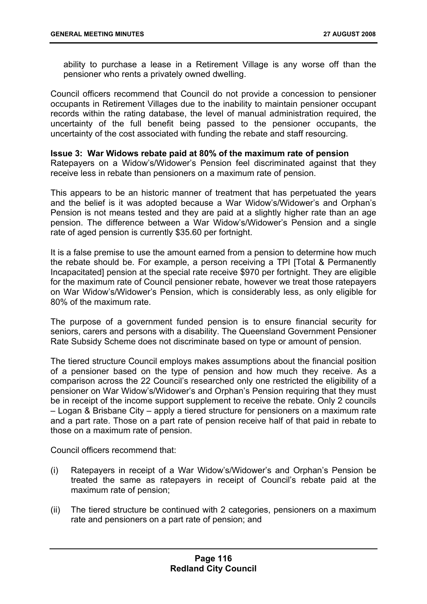ability to purchase a lease in a Retirement Village is any worse off than the pensioner who rents a privately owned dwelling.

Council officers recommend that Council do not provide a concession to pensioner occupants in Retirement Villages due to the inability to maintain pensioner occupant records within the rating database, the level of manual administration required, the uncertainty of the full benefit being passed to the pensioner occupants, the uncertainty of the cost associated with funding the rebate and staff resourcing.

#### **Issue 3: War Widows rebate paid at 80% of the maximum rate of pension**

Ratepayers on a Widow's/Widower's Pension feel discriminated against that they receive less in rebate than pensioners on a maximum rate of pension.

This appears to be an historic manner of treatment that has perpetuated the years and the belief is it was adopted because a War Widow's/Widower's and Orphan's Pension is not means tested and they are paid at a slightly higher rate than an age pension. The difference between a War Widow's/Widower's Pension and a single rate of aged pension is currently \$35.60 per fortnight.

It is a false premise to use the amount earned from a pension to determine how much the rebate should be. For example, a person receiving a TPI [Total & Permanently Incapacitated] pension at the special rate receive \$970 per fortnight. They are eligible for the maximum rate of Council pensioner rebate, however we treat those ratepayers on War Widow's/Widower's Pension, which is considerably less, as only eligible for 80% of the maximum rate.

The purpose of a government funded pension is to ensure financial security for seniors, carers and persons with a disability. The Queensland Government Pensioner Rate Subsidy Scheme does not discriminate based on type or amount of pension.

The tiered structure Council employs makes assumptions about the financial position of a pensioner based on the type of pension and how much they receive. As a comparison across the 22 Council's researched only one restricted the eligibility of a pensioner on War Widow's/Widower's and Orphan's Pension requiring that they must be in receipt of the income support supplement to receive the rebate. Only 2 councils – Logan & Brisbane City – apply a tiered structure for pensioners on a maximum rate and a part rate. Those on a part rate of pension receive half of that paid in rebate to those on a maximum rate of pension.

Council officers recommend that:

- (i) Ratepayers in receipt of a War Widow's/Widower's and Orphan's Pension be treated the same as ratepayers in receipt of Council's rebate paid at the maximum rate of pension;
- (ii) The tiered structure be continued with 2 categories, pensioners on a maximum rate and pensioners on a part rate of pension; and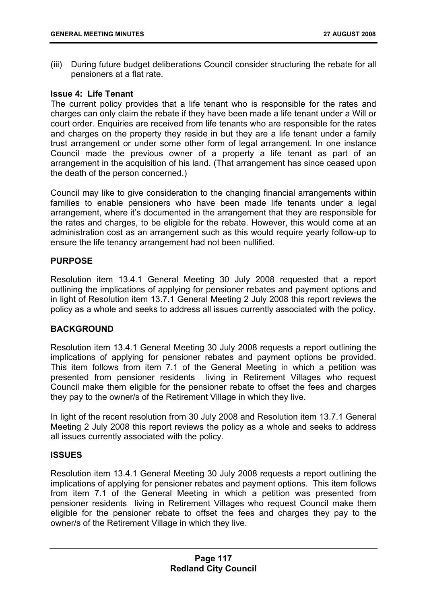(iii) During future budget deliberations Council consider structuring the rebate for all pensioners at a flat rate.

### **Issue 4: Life Tenant**

The current policy provides that a life tenant who is responsible for the rates and charges can only claim the rebate if they have been made a life tenant under a Will or court order. Enquiries are received from life tenants who are responsible for the rates and charges on the property they reside in but they are a life tenant under a family trust arrangement or under some other form of legal arrangement. In one instance Council made the previous owner of a property a life tenant as part of an arrangement in the acquisition of his land. (That arrangement has since ceased upon the death of the person concerned.)

Council may like to give consideration to the changing financial arrangements within families to enable pensioners who have been made life tenants under a legal arrangement, where it's documented in the arrangement that they are responsible for the rates and charges, to be eligible for the rebate. However, this would come at an administration cost as an arrangement such as this would require yearly follow-up to ensure the life tenancy arrangement had not been nullified.

## **PURPOSE**

Resolution item 13.4.1 General Meeting 30 July 2008 requested that a report outlining the implications of applying for pensioner rebates and payment options and in light of Resolution item 13.7.1 General Meeting 2 July 2008 this report reviews the policy as a whole and seeks to address all issues currently associated with the policy.

## **BACKGROUND**

Resolution item 13.4.1 General Meeting 30 July 2008 requests a report outlining the implications of applying for pensioner rebates and payment options be provided. This item follows from item 7.1 of the General Meeting in which a petition was presented from pensioner residents living in Retirement Villages who request Council make them eligible for the pensioner rebate to offset the fees and charges they pay to the owner/s of the Retirement Village in which they live.

In light of the recent resolution from 30 July 2008 and Resolution item 13.7.1 General Meeting 2 July 2008 this report reviews the policy as a whole and seeks to address all issues currently associated with the policy.

## **ISSUES**

Resolution item 13.4.1 General Meeting 30 July 2008 requests a report outlining the implications of applying for pensioner rebates and payment options. This item follows from item 7.1 of the General Meeting in which a petition was presented from pensioner residents living in Retirement Villages who request Council make them eligible for the pensioner rebate to offset the fees and charges they pay to the owner/s of the Retirement Village in which they live.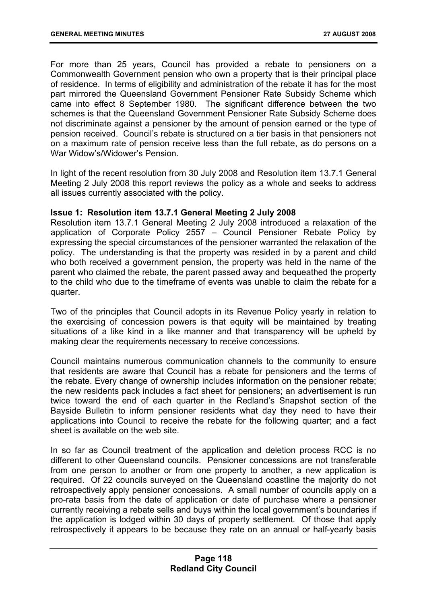For more than 25 years, Council has provided a rebate to pensioners on a Commonwealth Government pension who own a property that is their principal place of residence. In terms of eligibility and administration of the rebate it has for the most part mirrored the Queensland Government Pensioner Rate Subsidy Scheme which came into effect 8 September 1980. The significant difference between the two schemes is that the Queensland Government Pensioner Rate Subsidy Scheme does not discriminate against a pensioner by the amount of pension earned or the type of pension received. Council's rebate is structured on a tier basis in that pensioners not on a maximum rate of pension receive less than the full rebate, as do persons on a War Widow's/Widower's Pension.

In light of the recent resolution from 30 July 2008 and Resolution item 13.7.1 General Meeting 2 July 2008 this report reviews the policy as a whole and seeks to address all issues currently associated with the policy.

## **Issue 1: Resolution item 13.7.1 General Meeting 2 July 2008**

Resolution item 13.7.1 General Meeting 2 July 2008 introduced a relaxation of the application of Corporate Policy 2557 – Council Pensioner Rebate Policy by expressing the special circumstances of the pensioner warranted the relaxation of the policy. The understanding is that the property was resided in by a parent and child who both received a government pension, the property was held in the name of the parent who claimed the rebate, the parent passed away and bequeathed the property to the child who due to the timeframe of events was unable to claim the rebate for a quarter.

Two of the principles that Council adopts in its Revenue Policy yearly in relation to the exercising of concession powers is that equity will be maintained by treating situations of a like kind in a like manner and that transparency will be upheld by making clear the requirements necessary to receive concessions.

Council maintains numerous communication channels to the community to ensure that residents are aware that Council has a rebate for pensioners and the terms of the rebate. Every change of ownership includes information on the pensioner rebate; the new residents pack includes a fact sheet for pensioners; an advertisement is run twice toward the end of each quarter in the Redland's Snapshot section of the Bayside Bulletin to inform pensioner residents what day they need to have their applications into Council to receive the rebate for the following quarter; and a fact sheet is available on the web site.

In so far as Council treatment of the application and deletion process RCC is no different to other Queensland councils. Pensioner concessions are not transferable from one person to another or from one property to another, a new application is required. Of 22 councils surveyed on the Queensland coastline the majority do not retrospectively apply pensioner concessions. A small number of councils apply on a pro-rata basis from the date of application or date of purchase where a pensioner currently receiving a rebate sells and buys within the local government's boundaries if the application is lodged within 30 days of property settlement. Of those that apply retrospectively it appears to be because they rate on an annual or half-yearly basis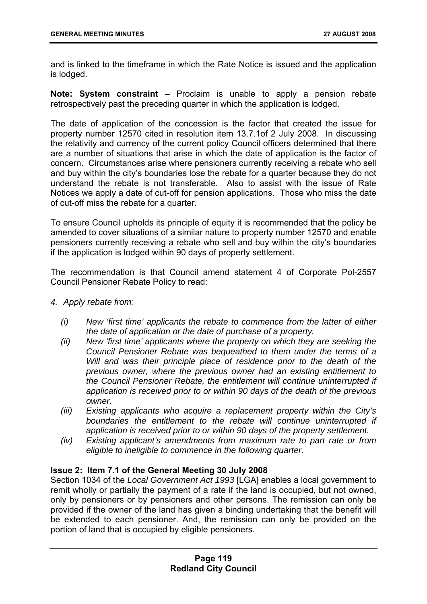and is linked to the timeframe in which the Rate Notice is issued and the application is lodged.

**Note: System constraint –** Proclaim is unable to apply a pension rebate retrospectively past the preceding quarter in which the application is lodged.

The date of application of the concession is the factor that created the issue for property number 12570 cited in resolution item 13.7.1of 2 July 2008. In discussing the relativity and currency of the current policy Council officers determined that there are a number of situations that arise in which the date of application is the factor of concern. Circumstances arise where pensioners currently receiving a rebate who sell and buy within the city's boundaries lose the rebate for a quarter because they do not understand the rebate is not transferable. Also to assist with the issue of Rate Notices we apply a date of cut-off for pension applications. Those who miss the date of cut-off miss the rebate for a quarter.

To ensure Council upholds its principle of equity it is recommended that the policy be amended to cover situations of a similar nature to property number 12570 and enable pensioners currently receiving a rebate who sell and buy within the city's boundaries if the application is lodged within 90 days of property settlement.

The recommendation is that Council amend statement 4 of Corporate Pol-2557 Council Pensioner Rebate Policy to read:

- *4. Apply rebate from:* 
	- *(i) New 'first time' applicants the rebate to commence from the latter of either the date of application or the date of purchase of a property.*
	- *(ii) New 'first time' applicants where the property on which they are seeking the Council Pensioner Rebate was bequeathed to them under the terms of a Will and was their principle place of residence prior to the death of the previous owner, where the previous owner had an existing entitlement to the Council Pensioner Rebate, the entitlement will continue uninterrupted if application is received prior to or within 90 days of the death of the previous owner.*
	- *(iii) Existing applicants who acquire a replacement property within the City's boundaries the entitlement to the rebate will continue uninterrupted if application is received prior to or within 90 days of the property settlement.*
	- *(iv) Existing applicant's amendments from maximum rate to part rate or from eligible to ineligible to commence in the following quarter.*

#### **Issue 2: Item 7.1 of the General Meeting 30 July 2008**

Section 1034 of the *Local Government Act 1993* [LGA] enables a local government to remit wholly or partially the payment of a rate if the land is occupied, but not owned, only by pensioners or by pensioners and other persons. The remission can only be provided if the owner of the land has given a binding undertaking that the benefit will be extended to each pensioner. And, the remission can only be provided on the portion of land that is occupied by eligible pensioners.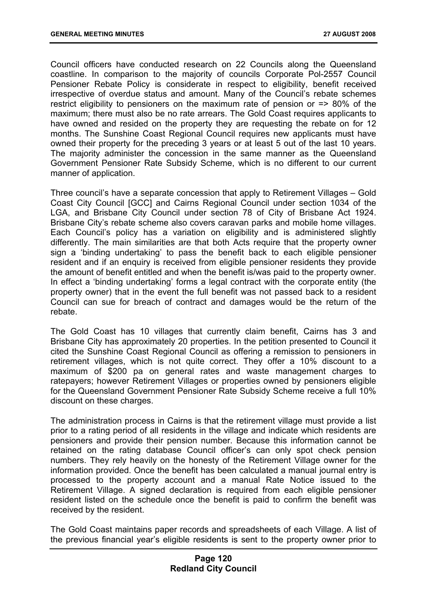Council officers have conducted research on 22 Councils along the Queensland coastline. In comparison to the majority of councils Corporate Pol-2557 Council Pensioner Rebate Policy is considerate in respect to eligibility, benefit received irrespective of overdue status and amount. Many of the Council's rebate schemes restrict eligibility to pensioners on the maximum rate of pension or => 80% of the maximum; there must also be no rate arrears. The Gold Coast requires applicants to have owned and resided on the property they are requesting the rebate on for 12 months. The Sunshine Coast Regional Council requires new applicants must have owned their property for the preceding 3 years or at least 5 out of the last 10 years. The majority administer the concession in the same manner as the Queensland Government Pensioner Rate Subsidy Scheme, which is no different to our current manner of application.

Three council's have a separate concession that apply to Retirement Villages – Gold Coast City Council [GCC] and Cairns Regional Council under section 1034 of the LGA, and Brisbane City Council under section 78 of City of Brisbane Act 1924. Brisbane City's rebate scheme also covers caravan parks and mobile home villages. Each Council's policy has a variation on eligibility and is administered slightly differently. The main similarities are that both Acts require that the property owner sign a 'binding undertaking' to pass the benefit back to each eligible pensioner resident and if an enquiry is received from eligible pensioner residents they provide the amount of benefit entitled and when the benefit is/was paid to the property owner. In effect a 'binding undertaking' forms a legal contract with the corporate entity (the property owner) that in the event the full benefit was not passed back to a resident Council can sue for breach of contract and damages would be the return of the rebate.

The Gold Coast has 10 villages that currently claim benefit, Cairns has 3 and Brisbane City has approximately 20 properties. In the petition presented to Council it cited the Sunshine Coast Regional Council as offering a remission to pensioners in retirement villages, which is not quite correct. They offer a 10% discount to a maximum of \$200 pa on general rates and waste management charges to ratepayers; however Retirement Villages or properties owned by pensioners eligible for the Queensland Government Pensioner Rate Subsidy Scheme receive a full 10% discount on these charges.

The administration process in Cairns is that the retirement village must provide a list prior to a rating period of all residents in the village and indicate which residents are pensioners and provide their pension number. Because this information cannot be retained on the rating database Council officer's can only spot check pension numbers. They rely heavily on the honesty of the Retirement Village owner for the information provided. Once the benefit has been calculated a manual journal entry is processed to the property account and a manual Rate Notice issued to the Retirement Village. A signed declaration is required from each eligible pensioner resident listed on the schedule once the benefit is paid to confirm the benefit was received by the resident.

The Gold Coast maintains paper records and spreadsheets of each Village. A list of the previous financial year's eligible residents is sent to the property owner prior to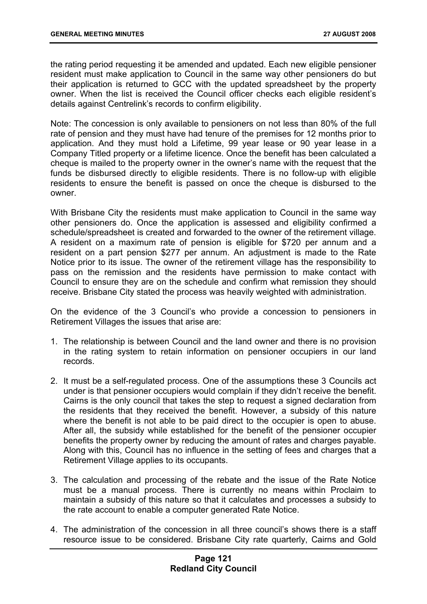the rating period requesting it be amended and updated. Each new eligible pensioner resident must make application to Council in the same way other pensioners do but their application is returned to GCC with the updated spreadsheet by the property owner. When the list is received the Council officer checks each eligible resident's details against Centrelink's records to confirm eligibility.

Note: The concession is only available to pensioners on not less than 80% of the full rate of pension and they must have had tenure of the premises for 12 months prior to application. And they must hold a Lifetime, 99 year lease or 90 year lease in a Company Titled property or a lifetime licence. Once the benefit has been calculated a cheque is mailed to the property owner in the owner's name with the request that the funds be disbursed directly to eligible residents. There is no follow-up with eligible residents to ensure the benefit is passed on once the cheque is disbursed to the owner.

With Brisbane City the residents must make application to Council in the same way other pensioners do. Once the application is assessed and eligibility confirmed a schedule/spreadsheet is created and forwarded to the owner of the retirement village. A resident on a maximum rate of pension is eligible for \$720 per annum and a resident on a part pension \$277 per annum. An adjustment is made to the Rate Notice prior to its issue. The owner of the retirement village has the responsibility to pass on the remission and the residents have permission to make contact with Council to ensure they are on the schedule and confirm what remission they should receive. Brisbane City stated the process was heavily weighted with administration.

On the evidence of the 3 Council's who provide a concession to pensioners in Retirement Villages the issues that arise are:

- 1. The relationship is between Council and the land owner and there is no provision in the rating system to retain information on pensioner occupiers in our land records.
- 2. It must be a self-regulated process. One of the assumptions these 3 Councils act under is that pensioner occupiers would complain if they didn't receive the benefit. Cairns is the only council that takes the step to request a signed declaration from the residents that they received the benefit. However, a subsidy of this nature where the benefit is not able to be paid direct to the occupier is open to abuse. After all, the subsidy while established for the benefit of the pensioner occupier benefits the property owner by reducing the amount of rates and charges payable. Along with this, Council has no influence in the setting of fees and charges that a Retirement Village applies to its occupants.
- 3. The calculation and processing of the rebate and the issue of the Rate Notice must be a manual process. There is currently no means within Proclaim to maintain a subsidy of this nature so that it calculates and processes a subsidy to the rate account to enable a computer generated Rate Notice.
- 4. The administration of the concession in all three council's shows there is a staff resource issue to be considered. Brisbane City rate quarterly, Cairns and Gold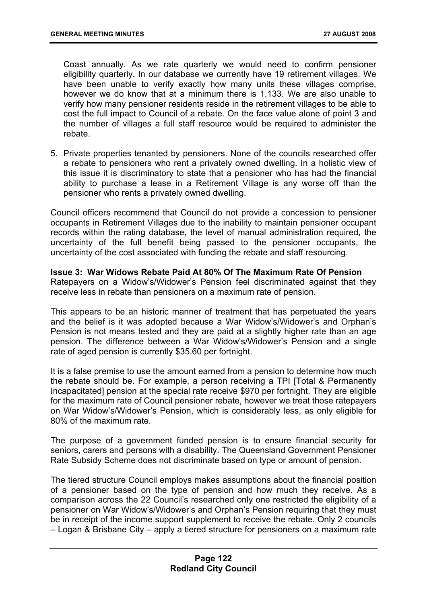Coast annually. As we rate quarterly we would need to confirm pensioner eligibility quarterly. In our database we currently have 19 retirement villages. We have been unable to verify exactly how many units these villages comprise, however we do know that at a minimum there is 1,133. We are also unable to verify how many pensioner residents reside in the retirement villages to be able to cost the full impact to Council of a rebate. On the face value alone of point 3 and the number of villages a full staff resource would be required to administer the rebate.

5. Private properties tenanted by pensioners. None of the councils researched offer a rebate to pensioners who rent a privately owned dwelling. In a holistic view of this issue it is discriminatory to state that a pensioner who has had the financial ability to purchase a lease in a Retirement Village is any worse off than the pensioner who rents a privately owned dwelling.

Council officers recommend that Council do not provide a concession to pensioner occupants in Retirement Villages due to the inability to maintain pensioner occupant records within the rating database, the level of manual administration required, the uncertainty of the full benefit being passed to the pensioner occupants, the uncertainty of the cost associated with funding the rebate and staff resourcing.

### **Issue 3: War Widows Rebate Paid At 80% Of The Maximum Rate Of Pension**

Ratepayers on a Widow's/Widower's Pension feel discriminated against that they receive less in rebate than pensioners on a maximum rate of pension.

This appears to be an historic manner of treatment that has perpetuated the years and the belief is it was adopted because a War Widow's/Widower's and Orphan's Pension is not means tested and they are paid at a slightly higher rate than an age pension. The difference between a War Widow's/Widower's Pension and a single rate of aged pension is currently \$35.60 per fortnight.

It is a false premise to use the amount earned from a pension to determine how much the rebate should be. For example, a person receiving a TPI [Total & Permanently Incapacitated] pension at the special rate receive \$970 per fortnight. They are eligible for the maximum rate of Council pensioner rebate, however we treat those ratepayers on War Widow's/Widower's Pension, which is considerably less, as only eligible for 80% of the maximum rate.

The purpose of a government funded pension is to ensure financial security for seniors, carers and persons with a disability. The Queensland Government Pensioner Rate Subsidy Scheme does not discriminate based on type or amount of pension.

The tiered structure Council employs makes assumptions about the financial position of a pensioner based on the type of pension and how much they receive. As a comparison across the 22 Council's researched only one restricted the eligibility of a pensioner on War Widow's/Widower's and Orphan's Pension requiring that they must be in receipt of the income support supplement to receive the rebate. Only 2 councils – Logan & Brisbane City – apply a tiered structure for pensioners on a maximum rate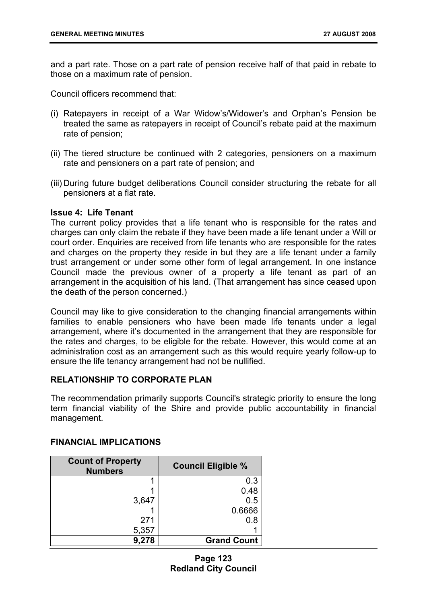and a part rate. Those on a part rate of pension receive half of that paid in rebate to those on a maximum rate of pension.

Council officers recommend that:

- (i) Ratepayers in receipt of a War Widow's/Widower's and Orphan's Pension be treated the same as ratepayers in receipt of Council's rebate paid at the maximum rate of pension;
- (ii) The tiered structure be continued with 2 categories, pensioners on a maximum rate and pensioners on a part rate of pension; and
- (iii) During future budget deliberations Council consider structuring the rebate for all pensioners at a flat rate.

## **Issue 4: Life Tenant**

The current policy provides that a life tenant who is responsible for the rates and charges can only claim the rebate if they have been made a life tenant under a Will or court order. Enquiries are received from life tenants who are responsible for the rates and charges on the property they reside in but they are a life tenant under a family trust arrangement or under some other form of legal arrangement. In one instance Council made the previous owner of a property a life tenant as part of an arrangement in the acquisition of his land. (That arrangement has since ceased upon the death of the person concerned.)

Council may like to give consideration to the changing financial arrangements within families to enable pensioners who have been made life tenants under a legal arrangement, where it's documented in the arrangement that they are responsible for the rates and charges, to be eligible for the rebate. However, this would come at an administration cost as an arrangement such as this would require yearly follow-up to ensure the life tenancy arrangement had not be nullified.

#### **RELATIONSHIP TO CORPORATE PLAN**

The recommendation primarily supports Council's strategic priority to ensure the long term financial viability of the Shire and provide public accountability in financial management.

| <b>Count of Property</b><br><b>Numbers</b> | <b>Council Eligible %</b> |
|--------------------------------------------|---------------------------|
|                                            | 0.3                       |
|                                            | 0.48                      |
| 3,647                                      | 0.5                       |
|                                            | 0.6666                    |
| 271                                        | 0.8                       |
| 5,357                                      |                           |
| 9,278                                      | <b>Grand Count</b>        |

## **FINANCIAL IMPLICATIONS**

**Page 123 Redland City Council**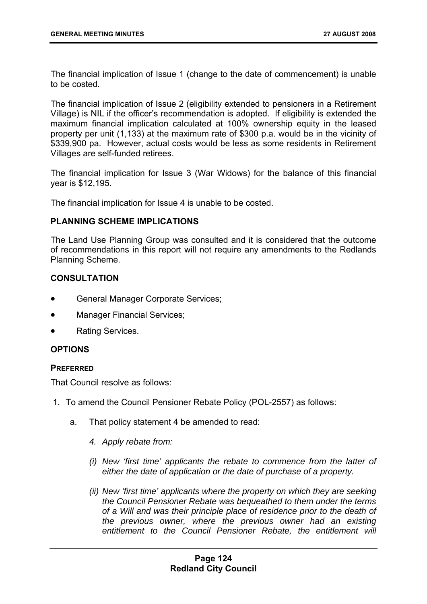The financial implication of Issue 1 (change to the date of commencement) is unable to be costed.

The financial implication of Issue 2 (eligibility extended to pensioners in a Retirement Village) is NIL if the officer's recommendation is adopted. If eligibility is extended the maximum financial implication calculated at 100% ownership equity in the leased property per unit (1,133) at the maximum rate of \$300 p.a. would be in the vicinity of \$339,900 pa. However, actual costs would be less as some residents in Retirement Villages are self-funded retirees.

The financial implication for Issue 3 (War Widows) for the balance of this financial year is \$12,195.

The financial implication for Issue 4 is unable to be costed.

## **PLANNING SCHEME IMPLICATIONS**

The Land Use Planning Group was consulted and it is considered that the outcome of recommendations in this report will not require any amendments to the Redlands Planning Scheme.

## **CONSULTATION**

- General Manager Corporate Services;
- Manager Financial Services;
- Rating Services.

## **OPTIONS**

#### **PREFERRED**

That Council resolve as follows:

- 1. To amend the Council Pensioner Rebate Policy (POL-2557) as follows:
	- a. That policy statement 4 be amended to read:
		- *4. Apply rebate from:*
		- *(i) New 'first time' applicants the rebate to commence from the latter of either the date of application or the date of purchase of a property.*
		- *(ii) New 'first time' applicants where the property on which they are seeking the Council Pensioner Rebate was bequeathed to them under the terms of a Will and was their principle place of residence prior to the death of the previous owner, where the previous owner had an existing*  entitlement to the Council Pensioner Rebate, the entitlement will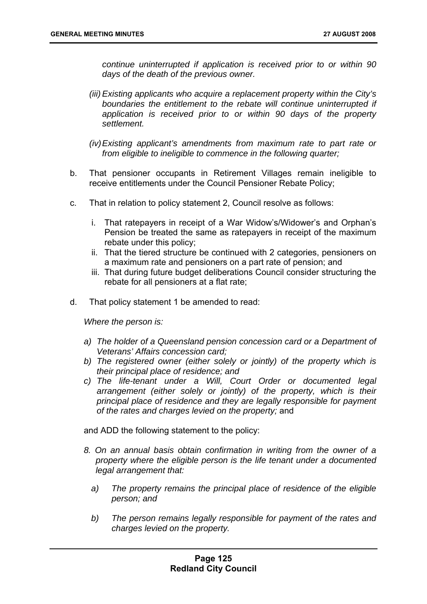*continue uninterrupted if application is received prior to or within 90 days of the death of the previous owner.* 

- *(iii) Existing applicants who acquire a replacement property within the City's boundaries the entitlement to the rebate will continue uninterrupted if application is received prior to or within 90 days of the property settlement.*
- *(iv) Existing applicant's amendments from maximum rate to part rate or from eligible to ineligible to commence in the following quarter;*
- b. That pensioner occupants in Retirement Villages remain ineligible to receive entitlements under the Council Pensioner Rebate Policy;
- c. That in relation to policy statement 2, Council resolve as follows:
	- i. That ratepayers in receipt of a War Widow's/Widower's and Orphan's Pension be treated the same as ratepayers in receipt of the maximum rebate under this policy;
	- ii. That the tiered structure be continued with 2 categories, pensioners on a maximum rate and pensioners on a part rate of pension; and
	- iii. That during future budget deliberations Council consider structuring the rebate for all pensioners at a flat rate;
- d. That policy statement 1 be amended to read:

*Where the person is:* 

- *a) The holder of a Queensland pension concession card or a Department of Veterans' Affairs concession card;*
- *b) The registered owner (either solely or jointly) of the property which is their principal place of residence; and*
- *c) The life-tenant under a Will, Court Order or documented legal arrangement (either solely or jointly) of the property, which is their principal place of residence and they are legally responsible for payment of the rates and charges levied on the property;* and

and ADD the following statement to the policy:

- *8. On an annual basis obtain confirmation in writing from the owner of a property where the eligible person is the life tenant under a documented legal arrangement that:* 
	- *a) The property remains the principal place of residence of the eligible person; and*
	- *b) The person remains legally responsible for payment of the rates and charges levied on the property.*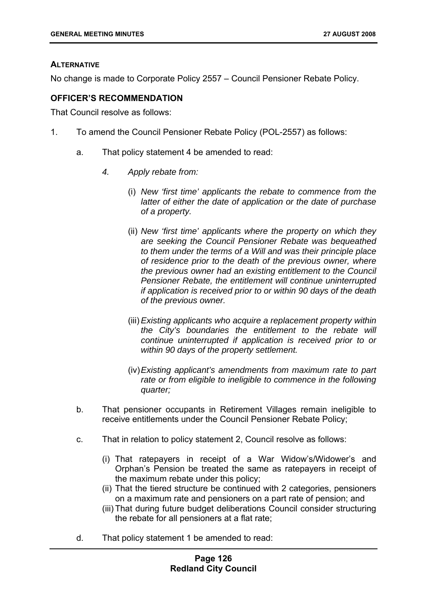## **ALTERNATIVE**

No change is made to Corporate Policy 2557 – Council Pensioner Rebate Policy.

## **OFFICER'S RECOMMENDATION**

That Council resolve as follows:

- 1. To amend the Council Pensioner Rebate Policy (POL-2557) as follows:
	- a. That policy statement 4 be amended to read:
		- *4. Apply rebate from:* 
			- (i) *New 'first time' applicants the rebate to commence from the latter of either the date of application or the date of purchase of a property.*
			- (ii) *New 'first time' applicants where the property on which they are seeking the Council Pensioner Rebate was bequeathed to them under the terms of a Will and was their principle place of residence prior to the death of the previous owner, where the previous owner had an existing entitlement to the Council Pensioner Rebate, the entitlement will continue uninterrupted if application is received prior to or within 90 days of the death of the previous owner.*
			- (iii) *Existing applicants who acquire a replacement property within the City's boundaries the entitlement to the rebate will continue uninterrupted if application is received prior to or within 90 days of the property settlement.*
			- (iv) *Existing applicant's amendments from maximum rate to part rate or from eligible to ineligible to commence in the following quarter;*
	- b. That pensioner occupants in Retirement Villages remain ineligible to receive entitlements under the Council Pensioner Rebate Policy;
	- c. That in relation to policy statement 2, Council resolve as follows:
		- (i) That ratepayers in receipt of a War Widow's/Widower's and Orphan's Pension be treated the same as ratepayers in receipt of the maximum rebate under this policy;
		- (ii) That the tiered structure be continued with 2 categories, pensioners on a maximum rate and pensioners on a part rate of pension; and
		- (iii) That during future budget deliberations Council consider structuring the rebate for all pensioners at a flat rate;
	- d. That policy statement 1 be amended to read: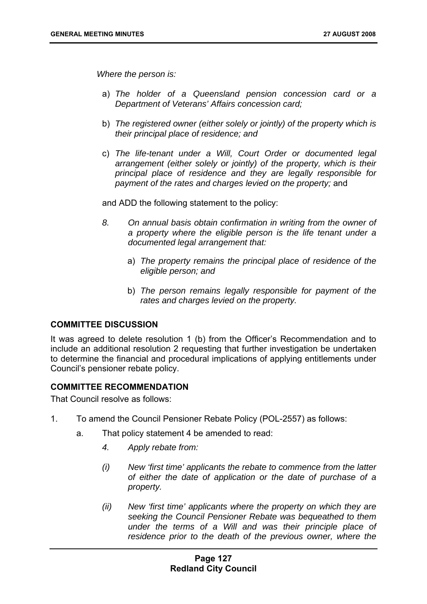*Where the person is:* 

- a) *The holder of a Queensland pension concession card or a Department of Veterans' Affairs concession card;*
- b) *The registered owner (either solely or jointly) of the property which is their principal place of residence; and*
- c) *The life-tenant under a Will, Court Order or documented legal arrangement (either solely or jointly) of the property, which is their principal place of residence and they are legally responsible for payment of the rates and charges levied on the property;* and

and ADD the following statement to the policy:

- *8. On annual basis obtain confirmation in writing from the owner of a property where the eligible person is the life tenant under a documented legal arrangement that:* 
	- a) *The property remains the principal place of residence of the eligible person; and*
	- b) *The person remains legally responsible for payment of the rates and charges levied on the property.*

#### **COMMITTEE DISCUSSION**

It was agreed to delete resolution 1 (b) from the Officer's Recommendation and to include an additional resolution 2 requesting that further investigation be undertaken to determine the financial and procedural implications of applying entitlements under Council's pensioner rebate policy.

#### **COMMITTEE RECOMMENDATION**

That Council resolve as follows:

- 1. To amend the Council Pensioner Rebate Policy (POL-2557) as follows:
	- a. That policy statement 4 be amended to read:
		- *4. Apply rebate from:*
		- *(i) New 'first time' applicants the rebate to commence from the latter of either the date of application or the date of purchase of a property.*
		- *(ii) New 'first time' applicants where the property on which they are seeking the Council Pensioner Rebate was bequeathed to them under the terms of a Will and was their principle place of*  residence prior to the death of the previous owner, where the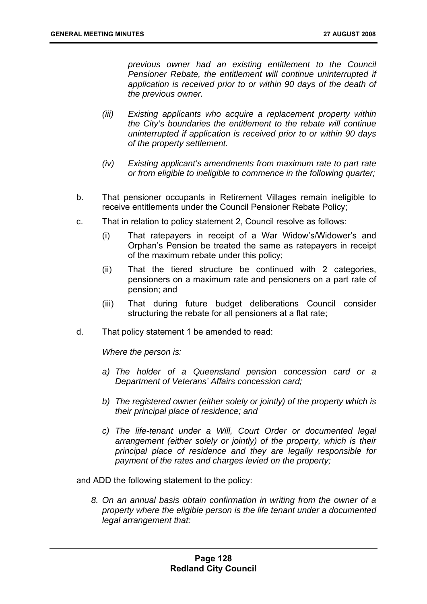*previous owner had an existing entitlement to the Council Pensioner Rebate, the entitlement will continue uninterrupted if application is received prior to or within 90 days of the death of the previous owner.* 

- *(iii) Existing applicants who acquire a replacement property within the City's boundaries the entitlement to the rebate will continue uninterrupted if application is received prior to or within 90 days of the property settlement.*
- *(iv) Existing applicant's amendments from maximum rate to part rate or from eligible to ineligible to commence in the following quarter;*
- b. That pensioner occupants in Retirement Villages remain ineligible to receive entitlements under the Council Pensioner Rebate Policy;
- c. That in relation to policy statement 2, Council resolve as follows:
	- (i) That ratepayers in receipt of a War Widow's/Widower's and Orphan's Pension be treated the same as ratepayers in receipt of the maximum rebate under this policy;
	- (ii) That the tiered structure be continued with 2 categories, pensioners on a maximum rate and pensioners on a part rate of pension; and
	- (iii) That during future budget deliberations Council consider structuring the rebate for all pensioners at a flat rate;
- d. That policy statement 1 be amended to read:

*Where the person is:* 

- *a) The holder of a Queensland pension concession card or a Department of Veterans' Affairs concession card;*
- *b) The registered owner (either solely or jointly) of the property which is their principal place of residence; and*
- *c) The life-tenant under a Will, Court Order or documented legal arrangement (either solely or jointly) of the property, which is their principal place of residence and they are legally responsible for payment of the rates and charges levied on the property;*

and ADD the following statement to the policy:

*8. On an annual basis obtain confirmation in writing from the owner of a property where the eligible person is the life tenant under a documented legal arrangement that:*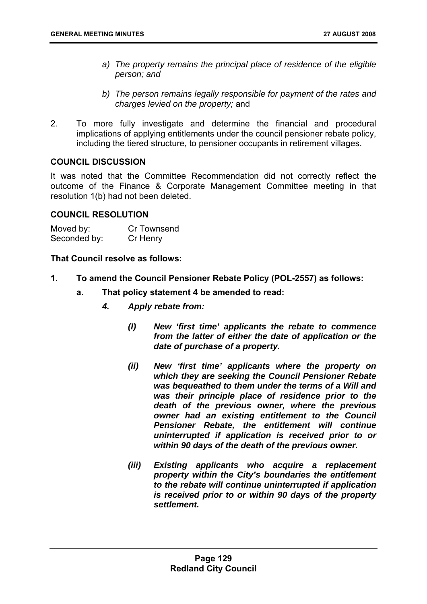- *a) The property remains the principal place of residence of the eligible person; and*
- *b) The person remains legally responsible for payment of the rates and charges levied on the property;* and
- 2. To more fully investigate and determine the financial and procedural implications of applying entitlements under the council pensioner rebate policy, including the tiered structure, to pensioner occupants in retirement villages.

## **COUNCIL DISCUSSION**

It was noted that the Committee Recommendation did not correctly reflect the outcome of the Finance & Corporate Management Committee meeting in that resolution 1(b) had not been deleted.

#### **COUNCIL RESOLUTION**

| Moved by:    | Cr Townsend |
|--------------|-------------|
| Seconded by: | Cr Henry    |

**That Council resolve as follows:** 

- **1. To amend the Council Pensioner Rebate Policy (POL-2557) as follows:** 
	- **a. That policy statement 4 be amended to read:** 
		- *4. Apply rebate from:* 
			- *(I) New 'first time' applicants the rebate to commence from the latter of either the date of application or the date of purchase of a property.*
			- *(ii) New 'first time' applicants where the property on which they are seeking the Council Pensioner Rebate was bequeathed to them under the terms of a Will and was their principle place of residence prior to the death of the previous owner, where the previous owner had an existing entitlement to the Council Pensioner Rebate, the entitlement will continue uninterrupted if application is received prior to or within 90 days of the death of the previous owner.*
			- *(iii) Existing applicants who acquire a replacement property within the City's boundaries the entitlement to the rebate will continue uninterrupted if application is received prior to or within 90 days of the property settlement.*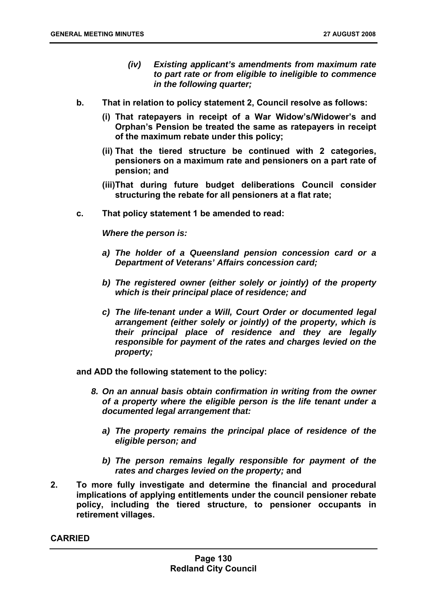- *(iv) Existing applicant's amendments from maximum rate to part rate or from eligible to ineligible to commence in the following quarter;*
- **b. That in relation to policy statement 2, Council resolve as follows:** 
	- **(i) That ratepayers in receipt of a War Widow's/Widower's and Orphan's Pension be treated the same as ratepayers in receipt of the maximum rebate under this policy;**
	- **(ii) That the tiered structure be continued with 2 categories, pensioners on a maximum rate and pensioners on a part rate of pension; and**
	- **(iii)That during future budget deliberations Council consider structuring the rebate for all pensioners at a flat rate;**
- **c. That policy statement 1 be amended to read:**

*Where the person is:* 

- *a) The holder of a Queensland pension concession card or a Department of Veterans' Affairs concession card;*
- *b) The registered owner (either solely or jointly) of the property which is their principal place of residence; and*
- *c) The life-tenant under a Will, Court Order or documented legal arrangement (either solely or jointly) of the property, which is their principal place of residence and they are legally responsible for payment of the rates and charges levied on the property;*

**and ADD the following statement to the policy:** 

- *8. On an annual basis obtain confirmation in writing from the owner of a property where the eligible person is the life tenant under a documented legal arrangement that:* 
	- *a) The property remains the principal place of residence of the eligible person; and*
	- *b) The person remains legally responsible for payment of the rates and charges levied on the property;* **and**
- **2. To more fully investigate and determine the financial and procedural implications of applying entitlements under the council pensioner rebate policy, including the tiered structure, to pensioner occupants in retirement villages.**

**CARRIED**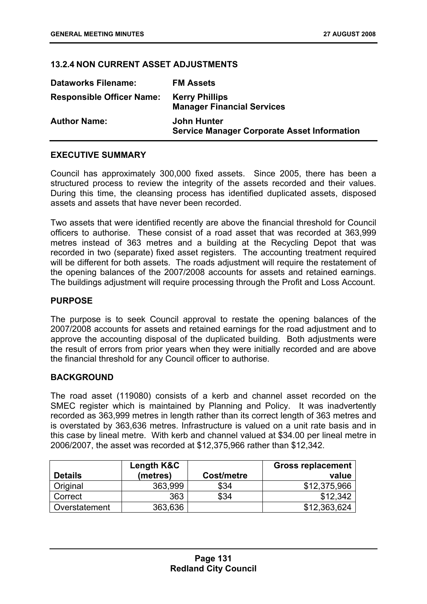## **13.2.4 NON CURRENT ASSET ADJUSTMENTS**

| <b>Dataworks Filename:</b>       | <b>FM Assets</b>                                                         |
|----------------------------------|--------------------------------------------------------------------------|
| <b>Responsible Officer Name:</b> | <b>Kerry Phillips</b><br><b>Manager Financial Services</b>               |
| <b>Author Name:</b>              | <b>John Hunter</b><br><b>Service Manager Corporate Asset Information</b> |

### **EXECUTIVE SUMMARY**

Council has approximately 300,000 fixed assets. Since 2005, there has been a structured process to review the integrity of the assets recorded and their values. During this time, the cleansing process has identified duplicated assets, disposed assets and assets that have never been recorded.

Two assets that were identified recently are above the financial threshold for Council officers to authorise. These consist of a road asset that was recorded at 363,999 metres instead of 363 metres and a building at the Recycling Depot that was recorded in two (separate) fixed asset registers. The accounting treatment required will be different for both assets. The roads adjustment will require the restatement of the opening balances of the 2007/2008 accounts for assets and retained earnings. The buildings adjustment will require processing through the Profit and Loss Account.

#### **PURPOSE**

The purpose is to seek Council approval to restate the opening balances of the 2007/2008 accounts for assets and retained earnings for the road adjustment and to approve the accounting disposal of the duplicated building. Both adjustments were the result of errors from prior years when they were initially recorded and are above the financial threshold for any Council officer to authorise.

#### **BACKGROUND**

The road asset (119080) consists of a kerb and channel asset recorded on the SMEC register which is maintained by Planning and Policy. It was inadvertently recorded as 363,999 metres in length rather than its correct length of 363 metres and is overstated by 363,636 metres. Infrastructure is valued on a unit rate basis and in this case by lineal metre. With kerb and channel valued at \$34.00 per lineal metre in 2006/2007, the asset was recorded at \$12,375,966 rather than \$12,342.

|                | Length K&C |            | <b>Gross replacement</b> |
|----------------|------------|------------|--------------------------|
| <b>Details</b> | (metres)   | Cost/metre | value                    |
| Original       | 363,999    | \$34       | \$12,375,966             |
| Correct        | 363        | \$34       | \$12.342                 |
| Overstatement  | 363,636    |            | \$12,363,624             |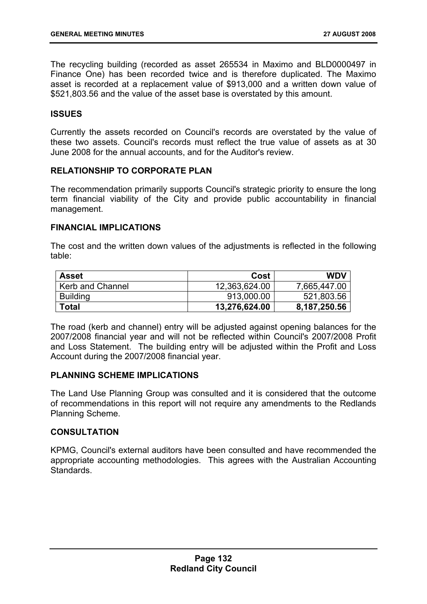The recycling building (recorded as asset 265534 in Maximo and BLD0000497 in Finance One) has been recorded twice and is therefore duplicated. The Maximo asset is recorded at a replacement value of \$913,000 and a written down value of \$521,803.56 and the value of the asset base is overstated by this amount.

## **ISSUES**

Currently the assets recorded on Council's records are overstated by the value of these two assets. Council's records must reflect the true value of assets as at 30 June 2008 for the annual accounts, and for the Auditor's review.

## **RELATIONSHIP TO CORPORATE PLAN**

The recommendation primarily supports Council's strategic priority to ensure the long term financial viability of the City and provide public accountability in financial management.

## **FINANCIAL IMPLICATIONS**

The cost and the written down values of the adjustments is reflected in the following table:

| <b>Asset</b>     | Cost          | <b>WDV</b>   |
|------------------|---------------|--------------|
| Kerb and Channel | 12,363,624.00 | 7,665,447.00 |
| <b>Building</b>  | 913,000.00    | 521,803.56   |
| <b>Total</b>     | 13,276,624.00 | 8,187,250.56 |

The road (kerb and channel) entry will be adjusted against opening balances for the 2007/2008 financial year and will not be reflected within Council's 2007/2008 Profit and Loss Statement. The building entry will be adjusted within the Profit and Loss Account during the 2007/2008 financial year.

#### **PLANNING SCHEME IMPLICATIONS**

The Land Use Planning Group was consulted and it is considered that the outcome of recommendations in this report will not require any amendments to the Redlands Planning Scheme.

## **CONSULTATION**

KPMG, Council's external auditors have been consulted and have recommended the appropriate accounting methodologies. This agrees with the Australian Accounting **Standards**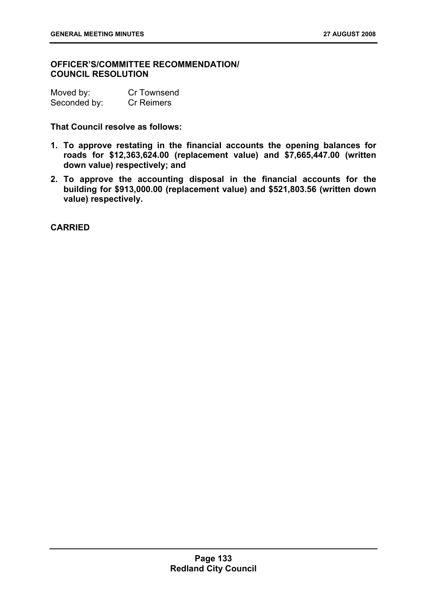## **OFFICER'S/COMMITTEE RECOMMENDATION/ COUNCIL RESOLUTION**

| Moved by:    | Cr Townsend       |
|--------------|-------------------|
| Seconded by: | <b>Cr Reimers</b> |

## **That Council resolve as follows:**

- **1. To approve restating in the financial accounts the opening balances for roads for \$12,363,624.00 (replacement value) and \$7,665,447.00 (written down value) respectively; and**
- **2. To approve the accounting disposal in the financial accounts for the building for \$913,000.00 (replacement value) and \$521,803.56 (written down value) respectively.**

**CARRIED**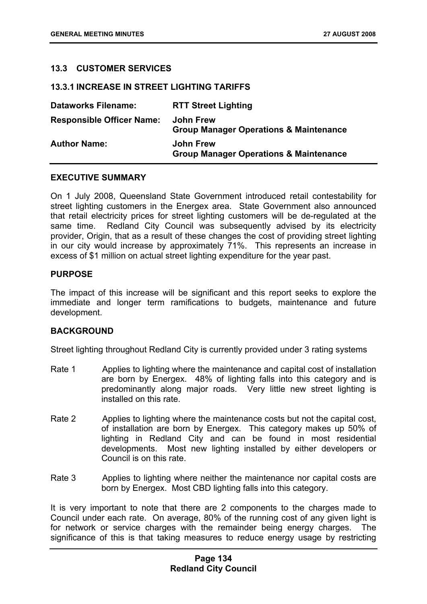## **13.3 CUSTOMER SERVICES**

#### **13.3.1 INCREASE IN STREET LIGHTING TARIFFS**

| <b>Dataworks Filename:</b>       | <b>RTT Street Lighting</b>                                            |
|----------------------------------|-----------------------------------------------------------------------|
| <b>Responsible Officer Name:</b> | John Frew<br><b>Group Manager Operations &amp; Maintenance</b>        |
| <b>Author Name:</b>              | <b>John Frew</b><br><b>Group Manager Operations &amp; Maintenance</b> |

### **EXECUTIVE SUMMARY**

On 1 July 2008, Queensland State Government introduced retail contestability for street lighting customers in the Energex area. State Government also announced that retail electricity prices for street lighting customers will be de-regulated at the same time. Redland City Council was subsequently advised by its electricity provider, Origin, that as a result of these changes the cost of providing street lighting in our city would increase by approximately 71%. This represents an increase in excess of \$1 million on actual street lighting expenditure for the year past.

#### **PURPOSE**

The impact of this increase will be significant and this report seeks to explore the immediate and longer term ramifications to budgets, maintenance and future development.

## **BACKGROUND**

Street lighting throughout Redland City is currently provided under 3 rating systems

- Rate 1 Applies to lighting where the maintenance and capital cost of installation are born by Energex. 48% of lighting falls into this category and is predominantly along major roads. Very little new street lighting is installed on this rate.
- Rate 2 Applies to lighting where the maintenance costs but not the capital cost, of installation are born by Energex. This category makes up 50% of lighting in Redland City and can be found in most residential developments. Most new lighting installed by either developers or Council is on this rate.
- Rate 3 Applies to lighting where neither the maintenance nor capital costs are born by Energex. Most CBD lighting falls into this category.

It is very important to note that there are 2 components to the charges made to Council under each rate. On average, 80% of the running cost of any given light is for network or service charges with the remainder being energy charges. The significance of this is that taking measures to reduce energy usage by restricting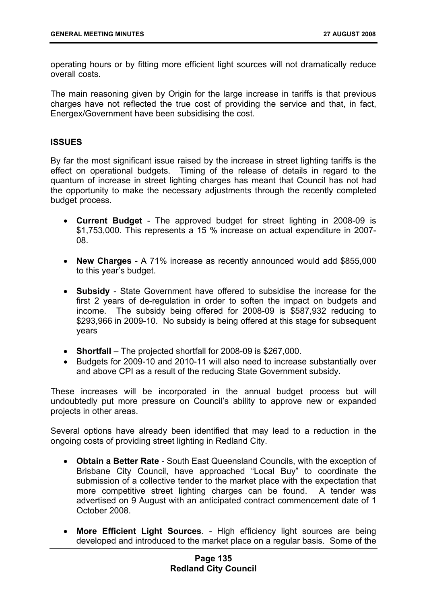operating hours or by fitting more efficient light sources will not dramatically reduce overall costs.

The main reasoning given by Origin for the large increase in tariffs is that previous charges have not reflected the true cost of providing the service and that, in fact, Energex/Government have been subsidising the cost.

## **ISSUES**

By far the most significant issue raised by the increase in street lighting tariffs is the effect on operational budgets. Timing of the release of details in regard to the quantum of increase in street lighting charges has meant that Council has not had the opportunity to make the necessary adjustments through the recently completed budget process.

- **Current Budget**  The approved budget for street lighting in 2008-09 is \$1,753,000. This represents a 15 % increase on actual expenditure in 2007- 08.
- **New Charges** A 71% increase as recently announced would add \$855,000 to this year's budget.
- **Subsidy** State Government have offered to subsidise the increase for the first 2 years of de-regulation in order to soften the impact on budgets and income. The subsidy being offered for 2008-09 is \$587,932 reducing to \$293,966 in 2009-10. No subsidy is being offered at this stage for subsequent years
- **Shortfall** The projected shortfall for 2008-09 is \$267,000.
- Budgets for 2009-10 and 2010-11 will also need to increase substantially over and above CPI as a result of the reducing State Government subsidy.

These increases will be incorporated in the annual budget process but will undoubtedly put more pressure on Council's ability to approve new or expanded projects in other areas.

Several options have already been identified that may lead to a reduction in the ongoing costs of providing street lighting in Redland City.

- **Obtain a Better Rate** South East Queensland Councils, with the exception of Brisbane City Council, have approached "Local Buy" to coordinate the submission of a collective tender to the market place with the expectation that more competitive street lighting charges can be found. A tender was advertised on 9 August with an anticipated contract commencement date of 1 October 2008.
- **More Efficient Light Sources**. High efficiency light sources are being developed and introduced to the market place on a regular basis. Some of the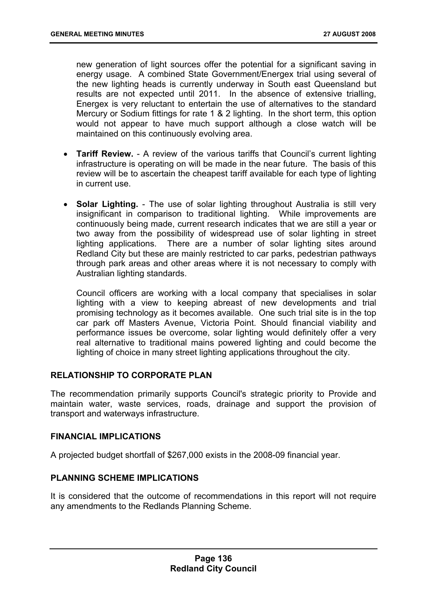new generation of light sources offer the potential for a significant saving in energy usage. A combined State Government/Energex trial using several of the new lighting heads is currently underway in South east Queensland but results are not expected until 2011. In the absence of extensive trialling, Energex is very reluctant to entertain the use of alternatives to the standard Mercury or Sodium fittings for rate 1 & 2 lighting. In the short term, this option would not appear to have much support although a close watch will be maintained on this continuously evolving area.

- **Tariff Review.** A review of the various tariffs that Council's current lighting infrastructure is operating on will be made in the near future. The basis of this review will be to ascertain the cheapest tariff available for each type of lighting in current use.
- **Solar Lighting.** The use of solar lighting throughout Australia is still very insignificant in comparison to traditional lighting. While improvements are continuously being made, current research indicates that we are still a year or two away from the possibility of widespread use of solar lighting in street lighting applications. There are a number of solar lighting sites around Redland City but these are mainly restricted to car parks, pedestrian pathways through park areas and other areas where it is not necessary to comply with Australian lighting standards.

Council officers are working with a local company that specialises in solar lighting with a view to keeping abreast of new developments and trial promising technology as it becomes available. One such trial site is in the top car park off Masters Avenue, Victoria Point. Should financial viability and performance issues be overcome, solar lighting would definitely offer a very real alternative to traditional mains powered lighting and could become the lighting of choice in many street lighting applications throughout the city.

### **RELATIONSHIP TO CORPORATE PLAN**

The recommendation primarily supports Council's strategic priority to Provide and maintain water, waste services, roads, drainage and support the provision of transport and waterways infrastructure.

## **FINANCIAL IMPLICATIONS**

A projected budget shortfall of \$267,000 exists in the 2008-09 financial year.

#### **PLANNING SCHEME IMPLICATIONS**

It is considered that the outcome of recommendations in this report will not require any amendments to the Redlands Planning Scheme.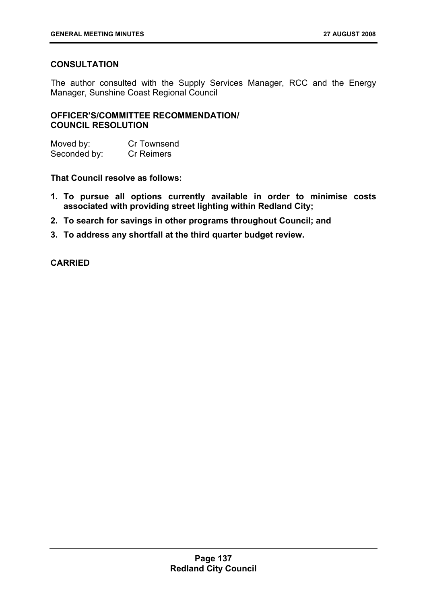# **CONSULTATION**

The author consulted with the Supply Services Manager, RCC and the Energy Manager, Sunshine Coast Regional Council

## **OFFICER'S/COMMITTEE RECOMMENDATION/ COUNCIL RESOLUTION**

Moved by: Cr Townsend Seconded by: Cr Reimers

**That Council resolve as follows:** 

- **1. To pursue all options currently available in order to minimise costs associated with providing street lighting within Redland City;**
- **2. To search for savings in other programs throughout Council; and**
- **3. To address any shortfall at the third quarter budget review.**

## **CARRIED**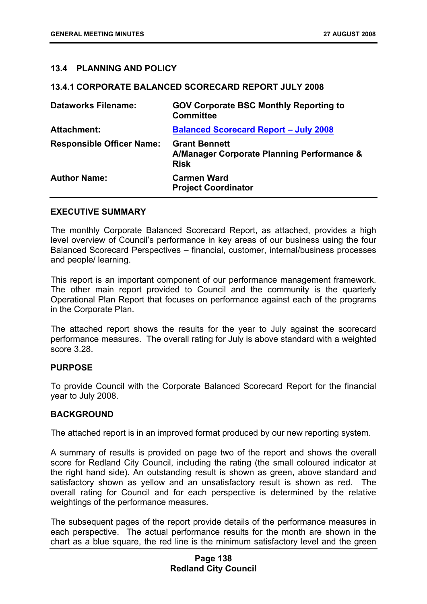### **13.4 PLANNING AND POLICY**

#### **13.4.1 CORPORATE BALANCED SCORECARD REPORT JULY 2008**

| <b>Dataworks Filename:</b>       | <b>GOV Corporate BSC Monthly Reporting to</b><br><b>Committee</b>                 |
|----------------------------------|-----------------------------------------------------------------------------------|
| <b>Attachment:</b>               | <b>Balanced Scorecard Report - July 2008</b>                                      |
| <b>Responsible Officer Name:</b> | <b>Grant Bennett</b><br>A/Manager Corporate Planning Performance &<br><b>Risk</b> |
| <b>Author Name:</b>              | <b>Carmen Ward</b><br><b>Project Coordinator</b>                                  |

#### **EXECUTIVE SUMMARY**

The monthly Corporate Balanced Scorecard Report, as attached, provides a high level overview of Council's performance in key areas of our business using the four Balanced Scorecard Perspectives – financial, customer, internal/business processes and people/ learning.

This report is an important component of our performance management framework. The other main report provided to Council and the community is the quarterly Operational Plan Report that focuses on performance against each of the programs in the Corporate Plan.

The attached report shows the results for the year to July against the scorecard performance measures. The overall rating for July is above standard with a weighted score 3.28.

#### **PURPOSE**

To provide Council with the Corporate Balanced Scorecard Report for the financial year to July 2008.

#### **BACKGROUND**

The attached report is in an improved format produced by our new reporting system.

A summary of results is provided on page two of the report and shows the overall score for Redland City Council, including the rating (the small coloured indicator at the right hand side). An outstanding result is shown as green, above standard and satisfactory shown as yellow and an unsatisfactory result is shown as red. The overall rating for Council and for each perspective is determined by the relative weightings of the performance measures.

The subsequent pages of the report provide details of the performance measures in each perspective. The actual performance results for the month are shown in the chart as a blue square, the red line is the minimum satisfactory level and the green

## **Page 138 Redland City Council**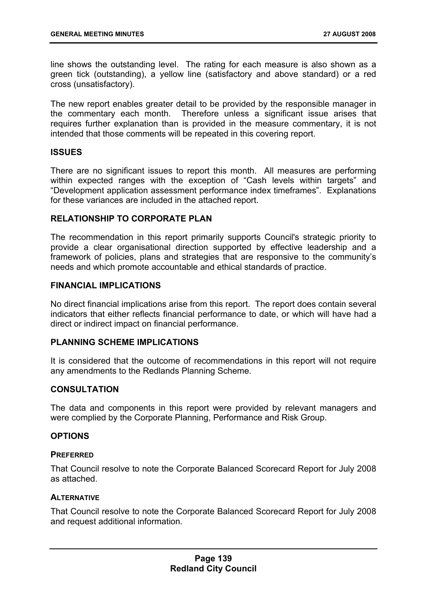line shows the outstanding level. The rating for each measure is also shown as a green tick (outstanding), a yellow line (satisfactory and above standard) or a red cross (unsatisfactory).

The new report enables greater detail to be provided by the responsible manager in the commentary each month. Therefore unless a significant issue arises that requires further explanation than is provided in the measure commentary, it is not intended that those comments will be repeated in this covering report.

## **ISSUES**

There are no significant issues to report this month. All measures are performing within expected ranges with the exception of "Cash levels within targets" and "Development application assessment performance index timeframes". Explanations for these variances are included in the attached report.

## **RELATIONSHIP TO CORPORATE PLAN**

The recommendation in this report primarily supports Council's strategic priority to provide a clear organisational direction supported by effective leadership and a framework of policies, plans and strategies that are responsive to the community's needs and which promote accountable and ethical standards of practice.

#### **FINANCIAL IMPLICATIONS**

No direct financial implications arise from this report. The report does contain several indicators that either reflects financial performance to date, or which will have had a direct or indirect impact on financial performance.

## **PLANNING SCHEME IMPLICATIONS**

It is considered that the outcome of recommendations in this report will not require any amendments to the Redlands Planning Scheme.

## **CONSULTATION**

The data and components in this report were provided by relevant managers and were complied by the Corporate Planning, Performance and Risk Group.

#### **OPTIONS**

#### **PREFERRED**

That Council resolve to note the Corporate Balanced Scorecard Report for July 2008 as attached.

#### **ALTERNATIVE**

That Council resolve to note the Corporate Balanced Scorecard Report for July 2008 and request additional information.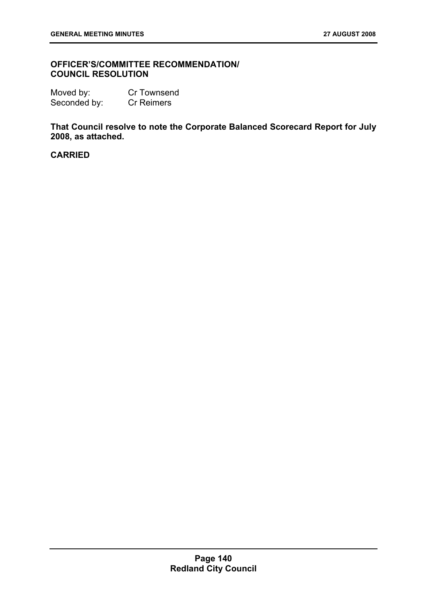## **OFFICER'S/COMMITTEE RECOMMENDATION/ COUNCIL RESOLUTION**

| Moved by:    | Cr Townsend       |
|--------------|-------------------|
| Seconded by: | <b>Cr Reimers</b> |

**That Council resolve to note the Corporate Balanced Scorecard Report for July 2008, as attached.**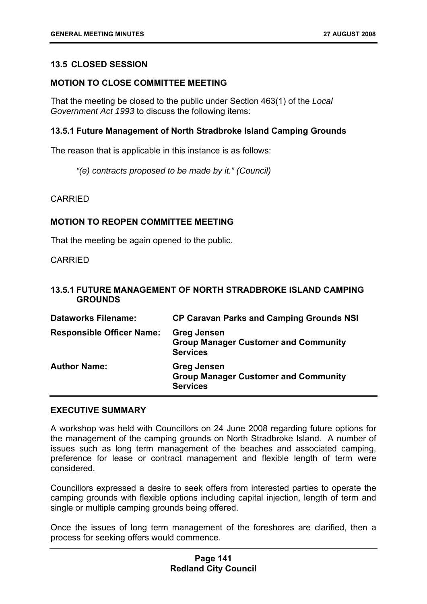## **13.5 CLOSED SESSION**

#### **MOTION TO CLOSE COMMITTEE MEETING**

That the meeting be closed to the public under Section 463(1) of the *Local Government Act 1993* to discuss the following items:

#### **13.5.1 Future Management of North Stradbroke Island Camping Grounds**

The reason that is applicable in this instance is as follows:

*"(e) contracts proposed to be made by it." (Council)* 

CARRIED

#### **MOTION TO REOPEN COMMITTEE MEETING**

That the meeting be again opened to the public.

CARRIED

#### **13.5.1 FUTURE MANAGEMENT OF NORTH STRADBROKE ISLAND CAMPING GROUNDS**

| <b>Dataworks Filename:</b>       | <b>CP Caravan Parks and Camping Grounds NSI</b>                                      |
|----------------------------------|--------------------------------------------------------------------------------------|
| <b>Responsible Officer Name:</b> | <b>Greg Jensen</b><br><b>Group Manager Customer and Community</b><br><b>Services</b> |
| <b>Author Name:</b>              | <b>Greg Jensen</b><br><b>Group Manager Customer and Community</b><br><b>Services</b> |

#### **EXECUTIVE SUMMARY**

A workshop was held with Councillors on 24 June 2008 regarding future options for the management of the camping grounds on North Stradbroke Island. A number of issues such as long term management of the beaches and associated camping, preference for lease or contract management and flexible length of term were considered.

Councillors expressed a desire to seek offers from interested parties to operate the camping grounds with flexible options including capital injection, length of term and single or multiple camping grounds being offered.

Once the issues of long term management of the foreshores are clarified, then a process for seeking offers would commence.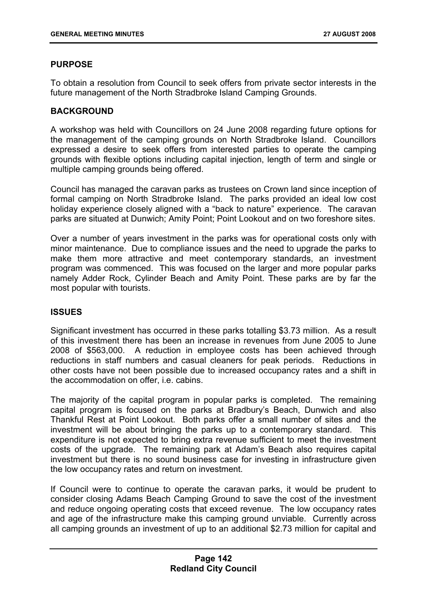## **PURPOSE**

To obtain a resolution from Council to seek offers from private sector interests in the future management of the North Stradbroke Island Camping Grounds.

## **BACKGROUND**

A workshop was held with Councillors on 24 June 2008 regarding future options for the management of the camping grounds on North Stradbroke Island. Councillors expressed a desire to seek offers from interested parties to operate the camping grounds with flexible options including capital injection, length of term and single or multiple camping grounds being offered.

Council has managed the caravan parks as trustees on Crown land since inception of formal camping on North Stradbroke Island. The parks provided an ideal low cost holiday experience closely aligned with a "back to nature" experience. The caravan parks are situated at Dunwich; Amity Point; Point Lookout and on two foreshore sites.

Over a number of years investment in the parks was for operational costs only with minor maintenance. Due to compliance issues and the need to upgrade the parks to make them more attractive and meet contemporary standards, an investment program was commenced. This was focused on the larger and more popular parks namely Adder Rock, Cylinder Beach and Amity Point. These parks are by far the most popular with tourists.

## **ISSUES**

Significant investment has occurred in these parks totalling \$3.73 million. As a result of this investment there has been an increase in revenues from June 2005 to June 2008 of \$563,000. A reduction in employee costs has been achieved through reductions in staff numbers and casual cleaners for peak periods. Reductions in other costs have not been possible due to increased occupancy rates and a shift in the accommodation on offer, i.e. cabins.

The majority of the capital program in popular parks is completed. The remaining capital program is focused on the parks at Bradbury's Beach, Dunwich and also Thankful Rest at Point Lookout. Both parks offer a small number of sites and the investment will be about bringing the parks up to a contemporary standard. This expenditure is not expected to bring extra revenue sufficient to meet the investment costs of the upgrade. The remaining park at Adam's Beach also requires capital investment but there is no sound business case for investing in infrastructure given the low occupancy rates and return on investment.

If Council were to continue to operate the caravan parks, it would be prudent to consider closing Adams Beach Camping Ground to save the cost of the investment and reduce ongoing operating costs that exceed revenue. The low occupancy rates and age of the infrastructure make this camping ground unviable. Currently across all camping grounds an investment of up to an additional \$2.73 million for capital and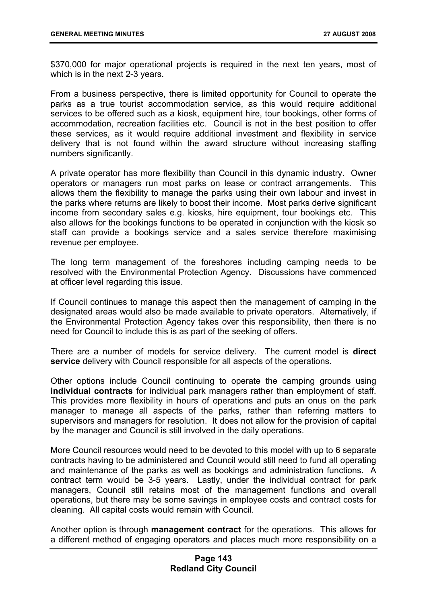\$370,000 for major operational projects is required in the next ten years, most of which is in the next 2-3 years.

From a business perspective, there is limited opportunity for Council to operate the parks as a true tourist accommodation service, as this would require additional services to be offered such as a kiosk, equipment hire, tour bookings, other forms of accommodation, recreation facilities etc. Council is not in the best position to offer these services, as it would require additional investment and flexibility in service delivery that is not found within the award structure without increasing staffing numbers significantly.

A private operator has more flexibility than Council in this dynamic industry. Owner operators or managers run most parks on lease or contract arrangements. This allows them the flexibility to manage the parks using their own labour and invest in the parks where returns are likely to boost their income. Most parks derive significant income from secondary sales e.g. kiosks, hire equipment, tour bookings etc. This also allows for the bookings functions to be operated in conjunction with the kiosk so staff can provide a bookings service and a sales service therefore maximising revenue per employee.

The long term management of the foreshores including camping needs to be resolved with the Environmental Protection Agency. Discussions have commenced at officer level regarding this issue.

If Council continues to manage this aspect then the management of camping in the designated areas would also be made available to private operators. Alternatively, if the Environmental Protection Agency takes over this responsibility, then there is no need for Council to include this is as part of the seeking of offers.

There are a number of models for service delivery. The current model is **direct service** delivery with Council responsible for all aspects of the operations.

Other options include Council continuing to operate the camping grounds using **individual contracts** for individual park managers rather than employment of staff. This provides more flexibility in hours of operations and puts an onus on the park manager to manage all aspects of the parks, rather than referring matters to supervisors and managers for resolution. It does not allow for the provision of capital by the manager and Council is still involved in the daily operations.

More Council resources would need to be devoted to this model with up to 6 separate contracts having to be administered and Council would still need to fund all operating and maintenance of the parks as well as bookings and administration functions. A contract term would be 3-5 years. Lastly, under the individual contract for park managers, Council still retains most of the management functions and overall operations, but there may be some savings in employee costs and contract costs for cleaning. All capital costs would remain with Council.

Another option is through **management contract** for the operations. This allows for a different method of engaging operators and places much more responsibility on a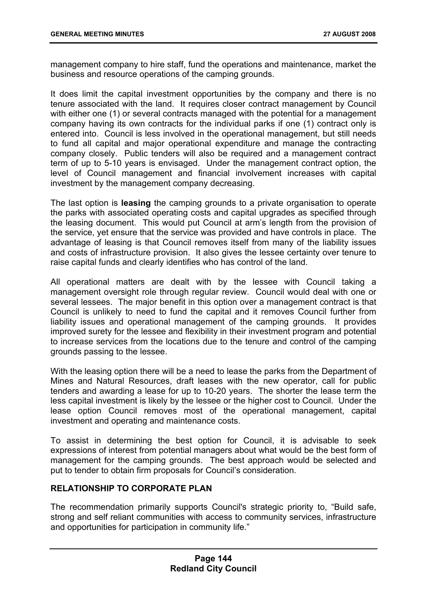management company to hire staff, fund the operations and maintenance, market the business and resource operations of the camping grounds.

It does limit the capital investment opportunities by the company and there is no tenure associated with the land. It requires closer contract management by Council with either one (1) or several contracts managed with the potential for a management company having its own contracts for the individual parks if one (1) contract only is entered into. Council is less involved in the operational management, but still needs to fund all capital and major operational expenditure and manage the contracting company closely. Public tenders will also be required and a management contract term of up to 5-10 years is envisaged. Under the management contract option, the level of Council management and financial involvement increases with capital investment by the management company decreasing.

The last option is **leasing** the camping grounds to a private organisation to operate the parks with associated operating costs and capital upgrades as specified through the leasing document. This would put Council at arm's length from the provision of the service, yet ensure that the service was provided and have controls in place. The advantage of leasing is that Council removes itself from many of the liability issues and costs of infrastructure provision. It also gives the lessee certainty over tenure to raise capital funds and clearly identifies who has control of the land.

All operational matters are dealt with by the lessee with Council taking a management oversight role through regular review. Council would deal with one or several lessees. The major benefit in this option over a management contract is that Council is unlikely to need to fund the capital and it removes Council further from liability issues and operational management of the camping grounds. It provides improved surety for the lessee and flexibility in their investment program and potential to increase services from the locations due to the tenure and control of the camping grounds passing to the lessee.

With the leasing option there will be a need to lease the parks from the Department of Mines and Natural Resources, draft leases with the new operator, call for public tenders and awarding a lease for up to 10-20 years. The shorter the lease term the less capital investment is likely by the lessee or the higher cost to Council. Under the lease option Council removes most of the operational management, capital investment and operating and maintenance costs.

To assist in determining the best option for Council, it is advisable to seek expressions of interest from potential managers about what would be the best form of management for the camping grounds. The best approach would be selected and put to tender to obtain firm proposals for Council's consideration.

## **RELATIONSHIP TO CORPORATE PLAN**

The recommendation primarily supports Council's strategic priority to, "Build safe, strong and self reliant communities with access to community services, infrastructure and opportunities for participation in community life."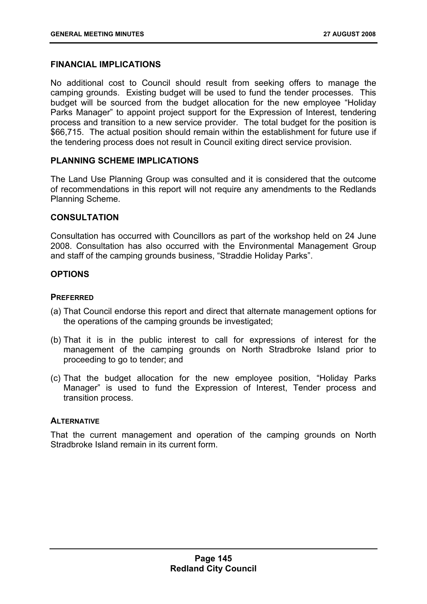## **FINANCIAL IMPLICATIONS**

No additional cost to Council should result from seeking offers to manage the camping grounds. Existing budget will be used to fund the tender processes. This budget will be sourced from the budget allocation for the new employee "Holiday Parks Manager" to appoint project support for the Expression of Interest, tendering process and transition to a new service provider. The total budget for the position is \$66,715. The actual position should remain within the establishment for future use if the tendering process does not result in Council exiting direct service provision.

## **PLANNING SCHEME IMPLICATIONS**

The Land Use Planning Group was consulted and it is considered that the outcome of recommendations in this report will not require any amendments to the Redlands Planning Scheme.

## **CONSULTATION**

Consultation has occurred with Councillors as part of the workshop held on 24 June 2008. Consultation has also occurred with the Environmental Management Group and staff of the camping grounds business, "Straddie Holiday Parks".

## **OPTIONS**

## **PREFERRED**

- (a) That Council endorse this report and direct that alternate management options for the operations of the camping grounds be investigated;
- (b) That it is in the public interest to call for expressions of interest for the management of the camping grounds on North Stradbroke Island prior to proceeding to go to tender; and
- (c) That the budget allocation for the new employee position, "Holiday Parks Manager" is used to fund the Expression of Interest, Tender process and transition process.

#### **ALTERNATIVE**

That the current management and operation of the camping grounds on North Stradbroke Island remain in its current form.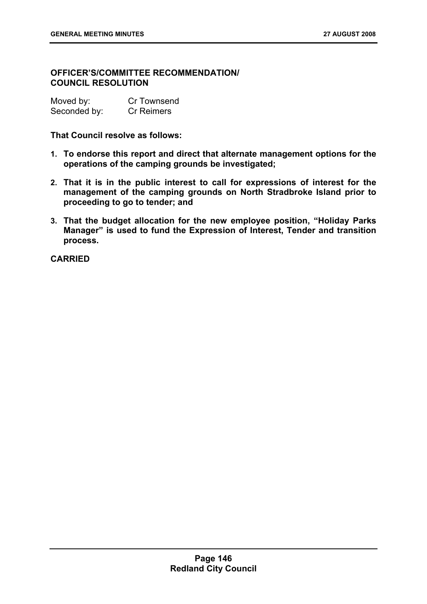## **OFFICER'S/COMMITTEE RECOMMENDATION/ COUNCIL RESOLUTION**

| Moved by:    | <b>Cr Townsend</b> |
|--------------|--------------------|
| Seconded by: | <b>Cr Reimers</b>  |

**That Council resolve as follows:** 

- **1. To endorse this report and direct that alternate management options for the operations of the camping grounds be investigated;**
- **2. That it is in the public interest to call for expressions of interest for the management of the camping grounds on North Stradbroke Island prior to proceeding to go to tender; and**
- **3. That the budget allocation for the new employee position, "Holiday Parks Manager" is used to fund the Expression of Interest, Tender and transition process.**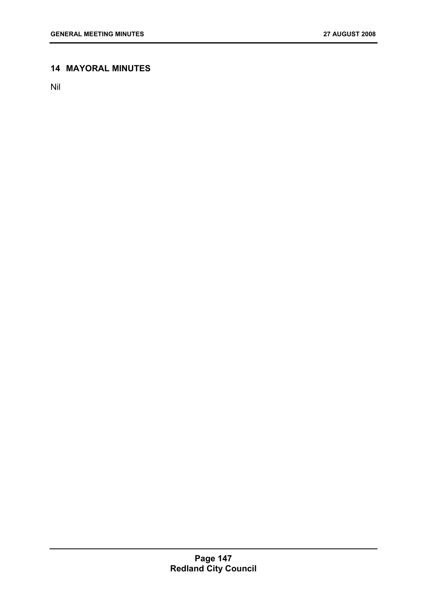# **14 MAYORAL MINUTES**

Nil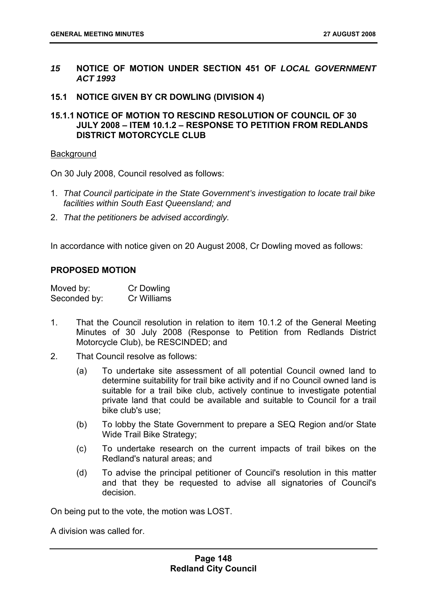- *15* **NOTICE OF MOTION UNDER SECTION 451 OF** *LOCAL GOVERNMENT ACT 1993*
- **15.1 NOTICE GIVEN BY CR DOWLING (DIVISION 4)**
- **15.1.1 NOTICE OF MOTION TO RESCIND RESOLUTION OF COUNCIL OF 30 JULY 2008 – ITEM 10.1.2 – RESPONSE TO PETITION FROM REDLANDS DISTRICT MOTORCYCLE CLUB**

#### **Background**

On 30 July 2008, Council resolved as follows:

- 1. *That Council participate in the State Government's investigation to locate trail bike facilities within South East Queensland; and*
- 2. *That the petitioners be advised accordingly.*

In accordance with notice given on 20 August 2008, Cr Dowling moved as follows:

#### **PROPOSED MOTION**

| Moved by:    | Cr Dowling  |
|--------------|-------------|
| Seconded by: | Cr Williams |

- 1. That the Council resolution in relation to item 10.1.2 of the General Meeting Minutes of 30 July 2008 (Response to Petition from Redlands District Motorcycle Club), be RESCINDED; and
- 2. That Council resolve as follows:
	- (a) To undertake site assessment of all potential Council owned land to determine suitability for trail bike activity and if no Council owned land is suitable for a trail bike club, actively continue to investigate potential private land that could be available and suitable to Council for a trail bike club's use;
	- (b) To lobby the State Government to prepare a SEQ Region and/or State Wide Trail Bike Strategy;
	- (c) To undertake research on the current impacts of trail bikes on the Redland's natural areas; and
	- (d) To advise the principal petitioner of Council's resolution in this matter and that they be requested to advise all signatories of Council's decision.

On being put to the vote, the motion was LOST.

A division was called for.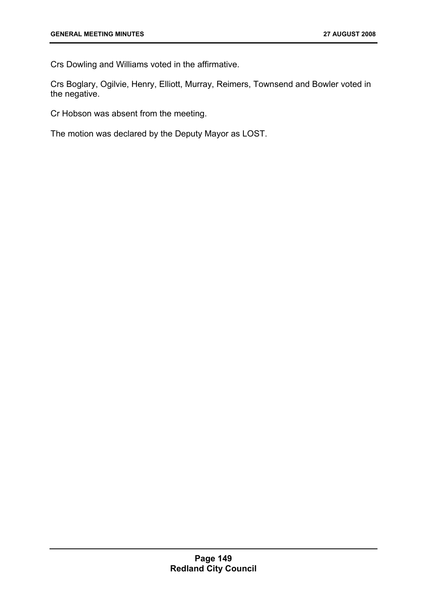Crs Dowling and Williams voted in the affirmative.

Crs Boglary, Ogilvie, Henry, Elliott, Murray, Reimers, Townsend and Bowler voted in the negative.

Cr Hobson was absent from the meeting.

The motion was declared by the Deputy Mayor as LOST.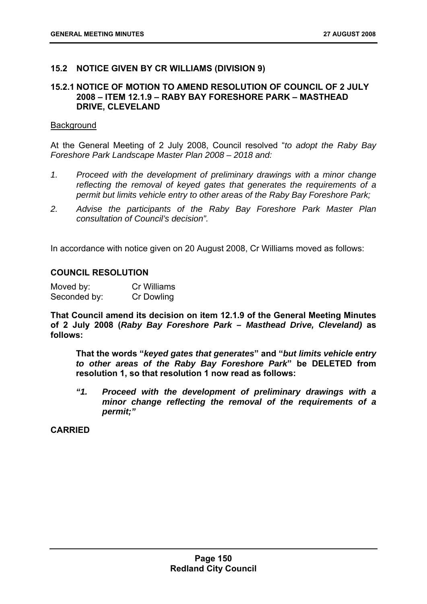## **15.2 NOTICE GIVEN BY CR WILLIAMS (DIVISION 9)**

#### **15.2.1 NOTICE OF MOTION TO AMEND RESOLUTION OF COUNCIL OF 2 JULY 2008 – ITEM 12.1.9 – RABY BAY FORESHORE PARK – MASTHEAD DRIVE, CLEVELAND**

#### **Background**

At the General Meeting of 2 July 2008, Council resolved "*to adopt the Raby Bay Foreshore Park Landscape Master Plan 2008 – 2018 and:* 

- *1. Proceed with the development of preliminary drawings with a minor change reflecting the removal of keyed gates that generates the requirements of a permit but limits vehicle entry to other areas of the Raby Bay Foreshore Park;*
- *2. Advise the participants of the Raby Bay Foreshore Park Master Plan consultation of Council's decision".*

In accordance with notice given on 20 August 2008, Cr Williams moved as follows:

#### **COUNCIL RESOLUTION**

| Moved by:    | Cr Williams |
|--------------|-------------|
| Seconded by: | Cr Dowling  |

**That Council amend its decision on item 12.1.9 of the General Meeting Minutes of 2 July 2008 (***Raby Bay Foreshore Park – Masthead Drive, Cleveland)* **as follows:** 

**That the words "***keyed gates that generates***" and "***but limits vehicle entry to other areas of the Raby Bay Foreshore Park***" be DELETED from resolution 1, so that resolution 1 now read as follows:** 

*"1. Proceed with the development of preliminary drawings with a minor change reflecting the removal of the requirements of a permit;"*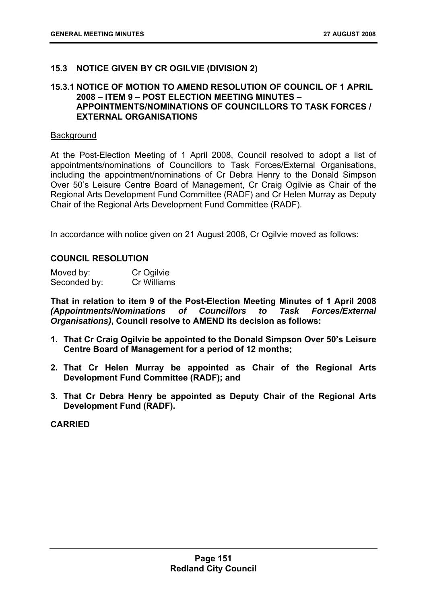## **15.3 NOTICE GIVEN BY CR OGILVIE (DIVISION 2)**

## **15.3.1 NOTICE OF MOTION TO AMEND RESOLUTION OF COUNCIL OF 1 APRIL 2008 – ITEM 9 – POST ELECTION MEETING MINUTES – APPOINTMENTS/NOMINATIONS OF COUNCILLORS TO TASK FORCES / EXTERNAL ORGANISATIONS**

#### **Background**

At the Post-Election Meeting of 1 April 2008, Council resolved to adopt a list of appointments/nominations of Councillors to Task Forces/External Organisations, including the appointment/nominations of Cr Debra Henry to the Donald Simpson Over 50's Leisure Centre Board of Management, Cr Craig Ogilvie as Chair of the Regional Arts Development Fund Committee (RADF) and Cr Helen Murray as Deputy Chair of the Regional Arts Development Fund Committee (RADF).

In accordance with notice given on 21 August 2008, Cr Ogilvie moved as follows:

## **COUNCIL RESOLUTION**

| Moved by:    | Cr Ogilvie  |
|--------------|-------------|
| Seconded by: | Cr Williams |

**That in relation to item 9 of the Post-Election Meeting Minutes of 1 April 2008**  *(Appointments/Nominations of Councillors to Task Forces/External Organisations)***, Council resolve to AMEND its decision as follows:** 

- **1. That Cr Craig Ogilvie be appointed to the Donald Simpson Over 50's Leisure Centre Board of Management for a period of 12 months;**
- **2. That Cr Helen Murray be appointed as Chair of the Regional Arts Development Fund Committee (RADF); and**
- **3. That Cr Debra Henry be appointed as Deputy Chair of the Regional Arts Development Fund (RADF).**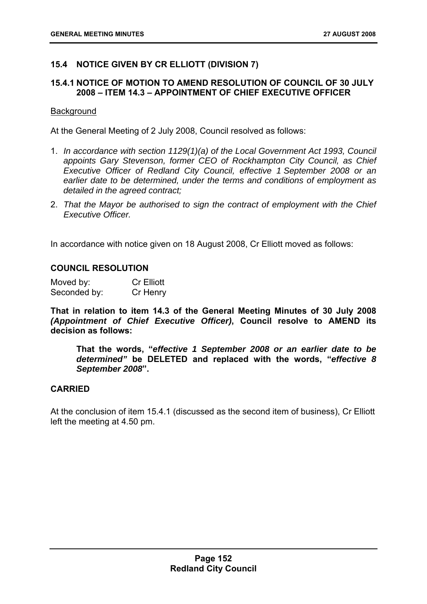# **15.4 NOTICE GIVEN BY CR ELLIOTT (DIVISION 7)**

## **15.4.1 NOTICE OF MOTION TO AMEND RESOLUTION OF COUNCIL OF 30 JULY 2008 – ITEM 14.3 – APPOINTMENT OF CHIEF EXECUTIVE OFFICER**

#### **Background**

At the General Meeting of 2 July 2008, Council resolved as follows:

- 1. *In accordance with section 1129(1)(a) of the Local Government Act 1993, Council appoints Gary Stevenson, former CEO of Rockhampton City Council, as Chief Executive Officer of Redland City Council, effective 1 September 2008 or an earlier date to be determined, under the terms and conditions of employment as detailed in the agreed contract;*
- 2. *That the Mayor be authorised to sign the contract of employment with the Chief Executive Officer.*

In accordance with notice given on 18 August 2008, Cr Elliott moved as follows:

#### **COUNCIL RESOLUTION**

Moved by: Cr Elliott Seconded by: Cr Henry

**That in relation to item 14.3 of the General Meeting Minutes of 30 July 2008**  *(Appointment of Chief Executive Officer)***, Council resolve to AMEND its decision as follows:** 

**That the words, "***effective 1 September 2008 or an earlier date to be determined"* **be DELETED and replaced with the words, "***effective 8 September 2008***".** 

#### **CARRIED**

At the conclusion of item 15.4.1 (discussed as the second item of business), Cr Elliott left the meeting at 4.50 pm.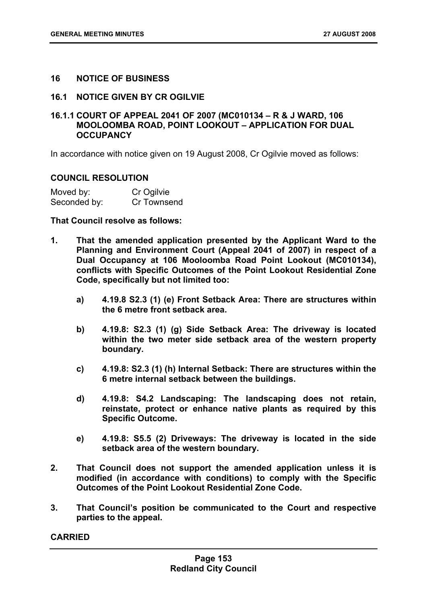## **16 NOTICE OF BUSINESS**

#### **16.1 NOTICE GIVEN BY CR OGILVIE**

## **16.1.1 COURT OF APPEAL 2041 OF 2007 (MC010134 – R & J WARD, 106 MOOLOOMBA ROAD, POINT LOOKOUT – APPLICATION FOR DUAL OCCUPANCY**

In accordance with notice given on 19 August 2008, Cr Ogilvie moved as follows:

#### **COUNCIL RESOLUTION**

| Moved by:    | Cr Ogilvie  |
|--------------|-------------|
| Seconded by: | Cr Townsend |

#### **That Council resolve as follows:**

- **1. That the amended application presented by the Applicant Ward to the Planning and Environment Court (Appeal 2041 of 2007) in respect of a Dual Occupancy at 106 Mooloomba Road Point Lookout (MC010134), conflicts with Specific Outcomes of the Point Lookout Residential Zone Code, specifically but not limited too:** 
	- **a) 4.19.8 S2.3 (1) (e) Front Setback Area: There are structures within the 6 metre front setback area.**
	- **b) 4.19.8: S2.3 (1) (g) Side Setback Area: The driveway is located within the two meter side setback area of the western property boundary.**
	- **c) 4.19.8: S2.3 (1) (h) Internal Setback: There are structures within the 6 metre internal setback between the buildings.**
	- **d) 4.19.8: S4.2 Landscaping: The landscaping does not retain, reinstate, protect or enhance native plants as required by this Specific Outcome.**
	- **e) 4.19.8: S5.5 (2) Driveways: The driveway is located in the side setback area of the western boundary.**
- **2. That Council does not support the amended application unless it is modified (in accordance with conditions) to comply with the Specific Outcomes of the Point Lookout Residential Zone Code.**
- **3. That Council's position be communicated to the Court and respective parties to the appeal.**